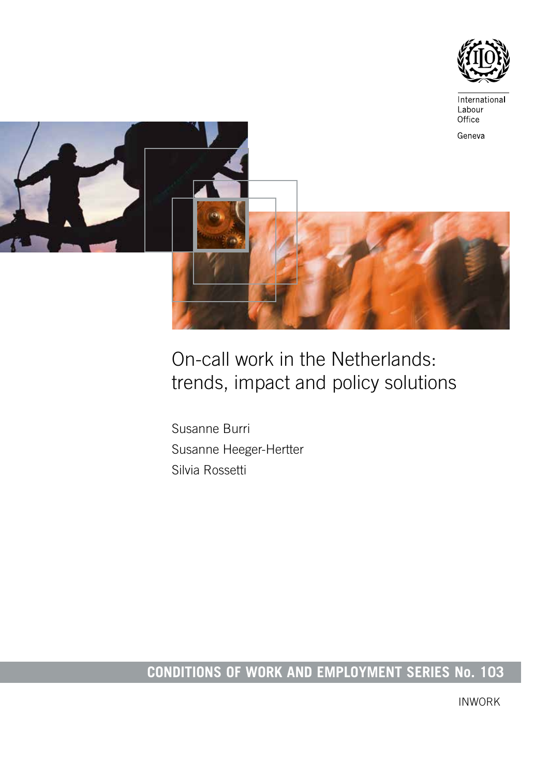



# On-call work in the Netherlands: trends, impact and policy solutions

Susanne Burri Susanne Heeger-Hertter Silvia Rossetti

# **CONDITIONS OF WORK AND EMPLOYMENT SERIES No. 103**

INWORK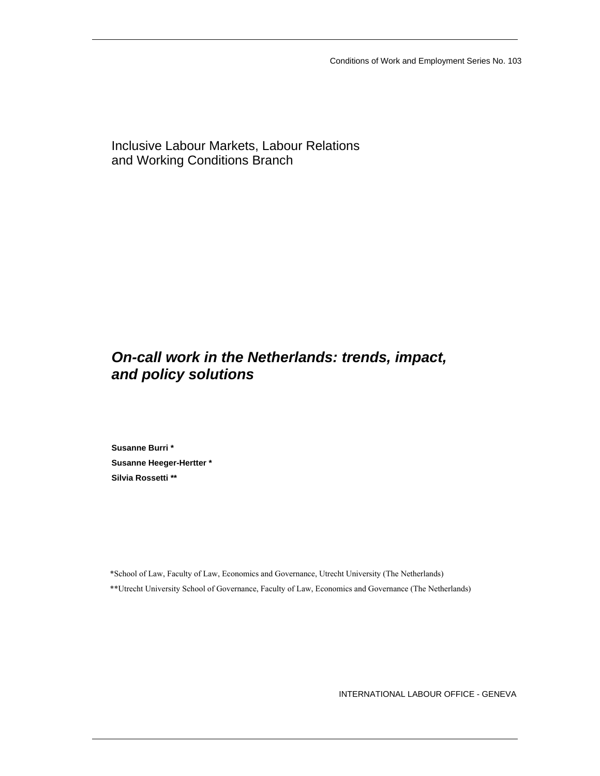Conditions of Work and Employment Series No. 103

Inclusive Labour Markets, Labour Relations and Working Conditions Branch

## *On-call work in the Netherlands: trends, impact, and policy solutions*

**Susanne Burri \* Susanne Heeger-Hertter \* Silvia Rossetti \*\*** 

\*School of Law, Faculty of Law, Economics and Governance, Utrecht University (The Netherlands) \*\*Utrecht University School of Governance, Faculty of Law, Economics and Governance (The Netherlands)

INTERNATIONAL LABOUR OFFICE - GENEVA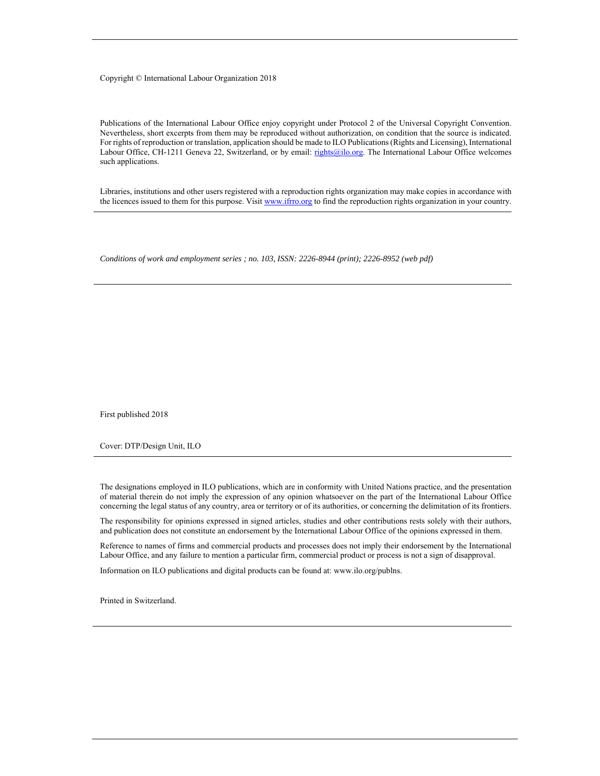#### Copyright © International Labour Organization 2018

Publications of the International Labour Office enjoy copyright under Protocol 2 of the Universal Copyright Convention. Nevertheless, short excerpts from them may be reproduced without authorization, on condition that the source is indicated. For rights of reproduction or translation, application should be made to ILO Publications (Rights and Licensing), International Labour Office, CH-1211 Geneva 22, Switzerland, or by email: rights@ilo.org. The International Labour Office welcomes such applications.

Libraries, institutions and other users registered with a reproduction rights organization may make copies in accordance with the licences issued to them for this purpose. Visit www.ifrro.org to find the reproduction rights organization in your country.

*Conditions of work and employment series ; no. 103, ISSN: 2226-8944 (print); 2226-8952 (web pdf)* 

First published 2018

Cover: DTP/Design Unit, ILO

The designations employed in ILO publications, which are in conformity with United Nations practice, and the presentation of material therein do not imply the expression of any opinion whatsoever on the part of the International Labour Office concerning the legal status of any country, area or territory or of its authorities, or concerning the delimitation of its frontiers.

The responsibility for opinions expressed in signed articles, studies and other contributions rests solely with their authors, and publication does not constitute an endorsement by the International Labour Office of the opinions expressed in them.

Reference to names of firms and commercial products and processes does not imply their endorsement by the International Labour Office, and any failure to mention a particular firm, commercial product or process is not a sign of disapproval.

Information on ILO publications and digital products can be found at: www.ilo.org/publns.

Printed in Switzerland.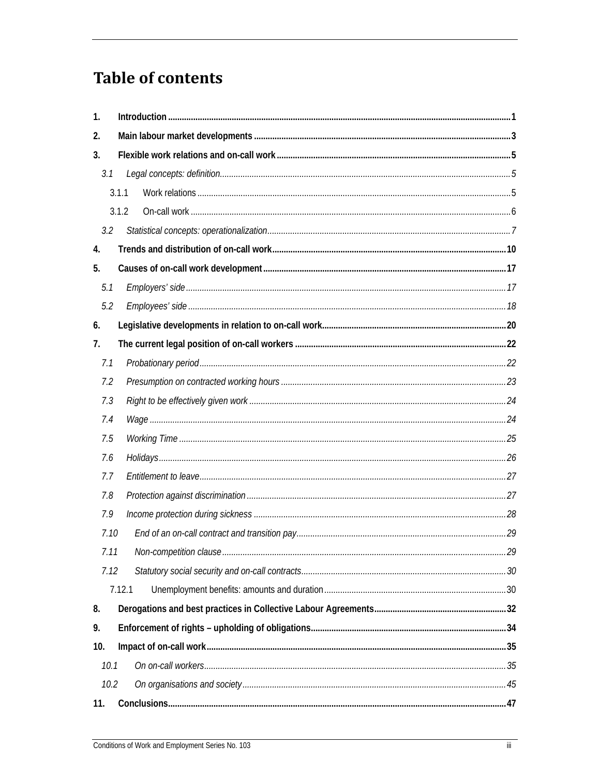# **Table of contents**

| $\mathbf{1}$ . |        |  |
|----------------|--------|--|
| 2.             |        |  |
| 3 <sub>1</sub> |        |  |
| 3.1            |        |  |
|                | 3.1.1  |  |
|                | 3.1.2  |  |
| 3.2            |        |  |
| 4.             |        |  |
| 5.             |        |  |
| 5.1            |        |  |
| 5.2            |        |  |
| 6.             |        |  |
| 7.             |        |  |
| 7.1            |        |  |
| 7.2            |        |  |
| 7.3            |        |  |
| 7.4            |        |  |
| 7.5            |        |  |
| 7.6            |        |  |
| 7.7            |        |  |
| 7.8            |        |  |
| 7.9            |        |  |
| 7.10           |        |  |
| 7.11           |        |  |
| 7.12           |        |  |
|                | 7.12.1 |  |
| 8.             |        |  |
| 9.             |        |  |
| 10.            |        |  |
| 10.1           |        |  |
| 10.2           |        |  |
| 11.            |        |  |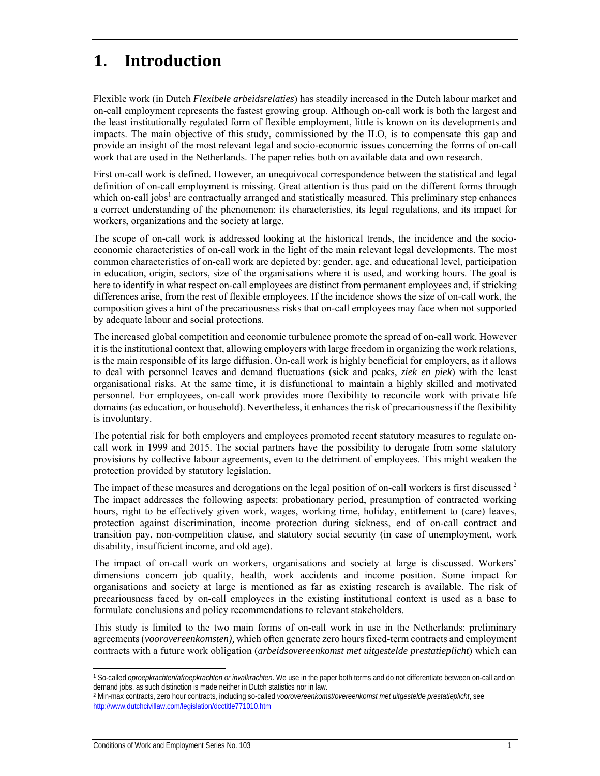## 1. **Introduction**

Flexible work (in Dutch *Flexibele arbeidsrelaties*) has steadily increased in the Dutch labour market and on-call employment represents the fastest growing group. Although on-call work is both the largest and the least institutionally regulated form of flexible employment, little is known on its developments and impacts. The main objective of this study, commissioned by the ILO, is to compensate this gap and provide an insight of the most relevant legal and socio-economic issues concerning the forms of on-call work that are used in the Netherlands. The paper relies both on available data and own research.

First on-call work is defined. However, an unequivocal correspondence between the statistical and legal definition of on-call employment is missing. Great attention is thus paid on the different forms through which on-call jobs<sup>1</sup> are contractually arranged and statistically measured. This preliminary step enhances a correct understanding of the phenomenon: its characteristics, its legal regulations, and its impact for workers, organizations and the society at large.

The scope of on-call work is addressed looking at the historical trends, the incidence and the socioeconomic characteristics of on-call work in the light of the main relevant legal developments. The most common characteristics of on-call work are depicted by: gender, age, and educational level, participation in education, origin, sectors, size of the organisations where it is used, and working hours. The goal is here to identify in what respect on-call employees are distinct from permanent employees and, if stricking differences arise, from the rest of flexible employees. If the incidence shows the size of on-call work, the composition gives a hint of the precariousness risks that on-call employees may face when not supported by adequate labour and social protections.

The increased global competition and economic turbulence promote the spread of on-call work. However it is the institutional context that, allowing employers with large freedom in organizing the work relations, is the main responsible of its large diffusion. On-call work is highly beneficial for employers, as it allows to deal with personnel leaves and demand fluctuations (sick and peaks, *ziek en piek*) with the least organisational risks. At the same time, it is disfunctional to maintain a highly skilled and motivated personnel. For employees, on-call work provides more flexibility to reconcile work with private life domains (as education, or household). Nevertheless, it enhances the risk of precariousness if the flexibility is involuntary.

The potential risk for both employers and employees promoted recent statutory measures to regulate oncall work in 1999 and 2015. The social partners have the possibility to derogate from some statutory provisions by collective labour agreements, even to the detriment of employees. This might weaken the protection provided by statutory legislation.

The impact of these measures and derogations on the legal position of on-call workers is first discussed <sup>2</sup> The impact addresses the following aspects: probationary period, presumption of contracted working hours, right to be effectively given work, wages, working time, holiday, entitlement to (care) leaves, protection against discrimination, income protection during sickness, end of on-call contract and transition pay, non-competition clause, and statutory social security (in case of unemployment, work disability, insufficient income, and old age).

The impact of on-call work on workers, organisations and society at large is discussed. Workers' dimensions concern job quality, health, work accidents and income position. Some impact for organisations and society at large is mentioned as far as existing research is available. The risk of precariousness faced by on-call employees in the existing institutional context is used as a base to formulate conclusions and policy recommendations to relevant stakeholders.

This study is limited to the two main forms of on-call work in use in the Netherlands: preliminary agreements (*voorovereenkomsten),* which often generate zero hours fixed-term contracts and employment contracts with a future work obligation (*arbeidsovereenkomst met uitgestelde prestatieplicht*) which can

<sup>1</sup> So-called *oproepkrachten/afroepkrachten or invalkrachten*. We use in the paper both terms and do not differentiate between on-call and on demand jobs, as such distinction is made neither in Dutch statistics nor in law.

<sup>2</sup> Min-max contracts, zero hour contracts, including so-called *voorovereenkomst/overeenkomst met uitgestelde prestatieplicht*, see http://www.dutchcivillaw.com/legislation/dcctitle771010.htm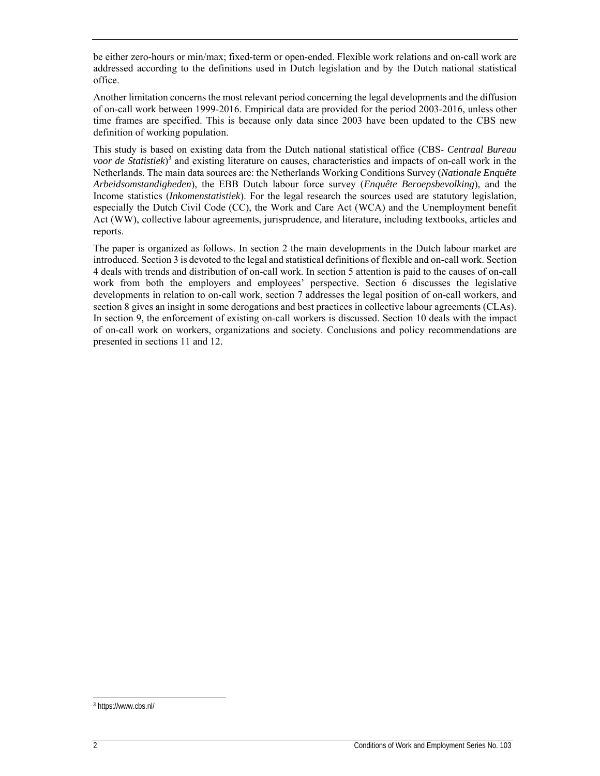be either zero-hours or min/max; fixed-term or open-ended. Flexible work relations and on-call work are addressed according to the definitions used in Dutch legislation and by the Dutch national statistical office.

Another limitation concerns the most relevant period concerning the legal developments and the diffusion of on-call work between 1999-2016. Empirical data are provided for the period 2003-2016, unless other time frames are specified. This is because only data since 2003 have been updated to the CBS new definition of working population.

This study is based on existing data from the Dutch national statistical office (CBS- *Centraal Bureau voor de Statistiek*) 3 and existing literature on causes, characteristics and impacts of on-call work in the Netherlands. The main data sources are: the Netherlands Working Conditions Survey (*Nationale Enquête Arbeidsomstandigheden*), the EBB Dutch labour force survey (*Enquête Beroepsbevolking*), and the Income statistics (*Inkomenstatistiek*). For the legal research the sources used are statutory legislation, especially the Dutch Civil Code (CC), the Work and Care Act (WCA) and the Unemployment benefit Act (WW), collective labour agreements, jurisprudence, and literature, including textbooks, articles and reports.

The paper is organized as follows. In section 2 the main developments in the Dutch labour market are introduced. Section 3 is devoted to the legal and statistical definitions of flexible and on-call work. Section 4 deals with trends and distribution of on-call work. In section 5 attention is paid to the causes of on-call work from both the employers and employees' perspective. Section 6 discusses the legislative developments in relation to on-call work, section 7 addresses the legal position of on-call workers, and section 8 gives an insight in some derogations and best practices in collective labour agreements (CLAs). In section 9, the enforcement of existing on-call workers is discussed. Section 10 deals with the impact of on-call work on workers, organizations and society. Conclusions and policy recommendations are presented in sections 11 and 12.

ł 3 https://www.cbs.nl/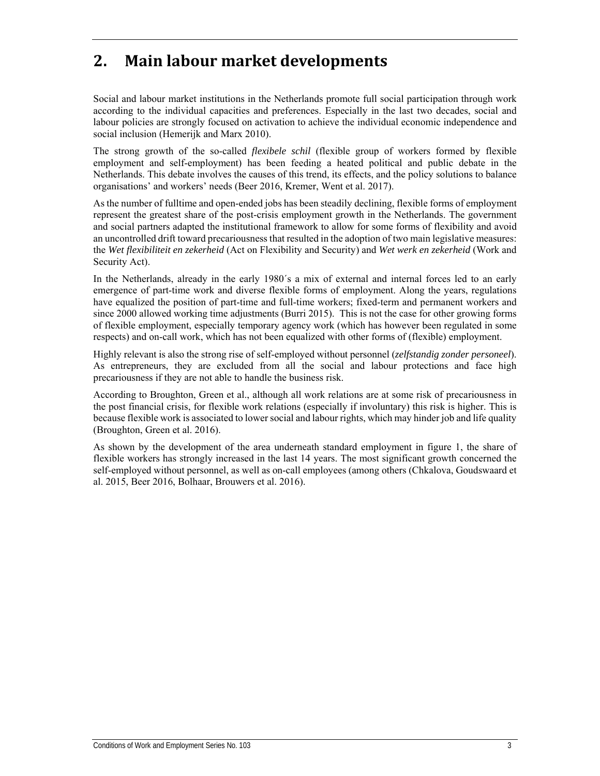## **2. Main labour market developments**

Social and labour market institutions in the Netherlands promote full social participation through work according to the individual capacities and preferences. Especially in the last two decades, social and labour policies are strongly focused on activation to achieve the individual economic independence and social inclusion (Hemerijk and Marx 2010).

The strong growth of the so-called *flexibele schil* (flexible group of workers formed by flexible employment and self-employment) has been feeding a heated political and public debate in the Netherlands. This debate involves the causes of this trend, its effects, and the policy solutions to balance organisations' and workers' needs (Beer 2016, Kremer, Went et al. 2017).

As the number of fulltime and open-ended jobs has been steadily declining, flexible forms of employment represent the greatest share of the post-crisis employment growth in the Netherlands. The government and social partners adapted the institutional framework to allow for some forms of flexibility and avoid an uncontrolled drift toward precariousness that resulted in the adoption of two main legislative measures: the *Wet flexibiliteit en zekerheid* (Act on Flexibility and Security) and *Wet werk en zekerheid* (Work and Security Act).

In the Netherlands, already in the early 1980´s a mix of external and internal forces led to an early emergence of part-time work and diverse flexible forms of employment. Along the years, regulations have equalized the position of part-time and full-time workers; fixed-term and permanent workers and since 2000 allowed working time adjustments (Burri 2015). This is not the case for other growing forms of flexible employment, especially temporary agency work (which has however been regulated in some respects) and on-call work, which has not been equalized with other forms of (flexible) employment.

Highly relevant is also the strong rise of self-employed without personnel (*zelfstandig zonder personeel*). As entrepreneurs, they are excluded from all the social and labour protections and face high precariousness if they are not able to handle the business risk.

According to Broughton, Green et al., although all work relations are at some risk of precariousness in the post financial crisis, for flexible work relations (especially if involuntary) this risk is higher. This is because flexible work is associated to lower social and labour rights, which may hinder job and life quality (Broughton, Green et al. 2016).

As shown by the development of the area underneath standard employment in figure 1, the share of flexible workers has strongly increased in the last 14 years. The most significant growth concerned the self-employed without personnel, as well as on-call employees (among others (Chkalova, Goudswaard et al. 2015, Beer 2016, Bolhaar, Brouwers et al. 2016).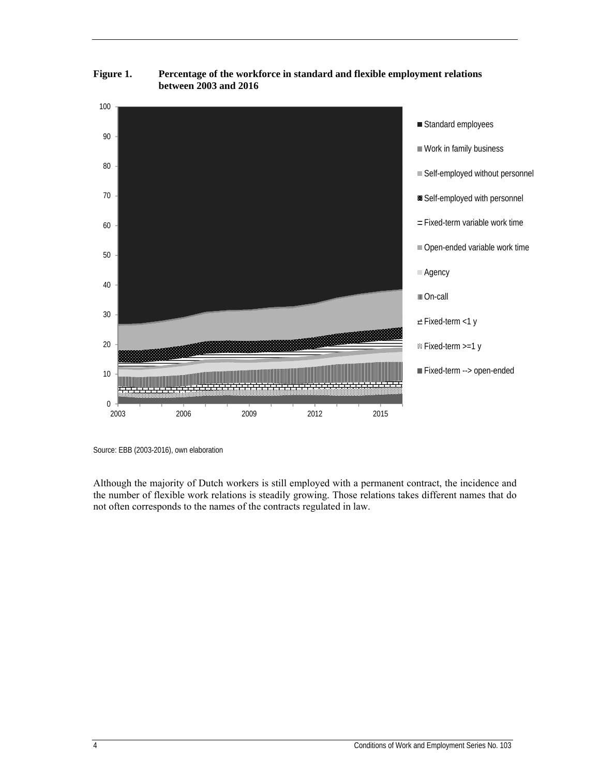

**Figure 1. Percentage of the workforce in standard and flexible employment relations between 2003 and 2016** 

Although the majority of Dutch workers is still employed with a permanent contract, the incidence and the number of flexible work relations is steadily growing. Those relations takes different names that do not often corresponds to the names of the contracts regulated in law.

Source: EBB (2003-2016), own elaboration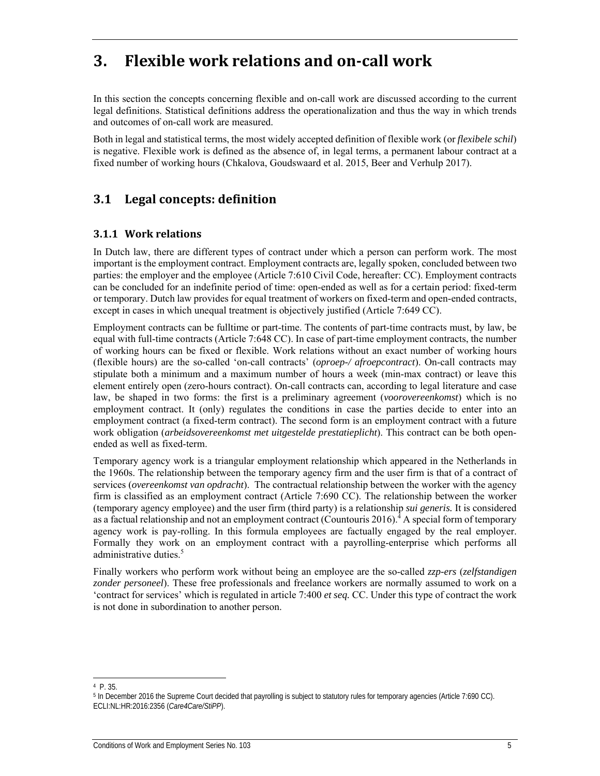## **3. Flexible work relations and on‐call work**

In this section the concepts concerning flexible and on-call work are discussed according to the current legal definitions. Statistical definitions address the operationalization and thus the way in which trends and outcomes of on-call work are measured.

Both in legal and statistical terms, the most widely accepted definition of flexible work (or *flexibele schil*) is negative. Flexible work is defined as the absence of, in legal terms, a permanent labour contract at a fixed number of working hours (Chkalova, Goudswaard et al. 2015, Beer and Verhulp 2017).

## **3.1 Legal concepts: definition**

### **3.1.1 Work relations**

In Dutch law, there are different types of contract under which a person can perform work. The most important is the employment contract. Employment contracts are, legally spoken, concluded between two parties: the employer and the employee (Article 7:610 Civil Code, hereafter: CC). Employment contracts can be concluded for an indefinite period of time: open-ended as well as for a certain period: fixed-term or temporary. Dutch law provides for equal treatment of workers on fixed-term and open-ended contracts, except in cases in which unequal treatment is objectively justified (Article 7:649 CC).

Employment contracts can be fulltime or part-time. The contents of part-time contracts must, by law, be equal with full-time contracts (Article 7:648 CC). In case of part-time employment contracts, the number of working hours can be fixed or flexible. Work relations without an exact number of working hours (flexible hours) are the so-called 'on-call contracts' (*oproep-/ afroepcontract*). On-call contracts may stipulate both a minimum and a maximum number of hours a week (min-max contract) or leave this element entirely open (zero-hours contract). On-call contracts can, according to legal literature and case law, be shaped in two forms: the first is a preliminary agreement (*voorovereenkomst*) which is no employment contract. It (only) regulates the conditions in case the parties decide to enter into an employment contract (a fixed-term contract). The second form is an employment contract with a future work obligation (*arbeidsovereenkomst met uitgestelde prestatieplicht*). This contract can be both openended as well as fixed-term.

Temporary agency work is a triangular employment relationship which appeared in the Netherlands in the 1960s. The relationship between the temporary agency firm and the user firm is that of a contract of services (*overeenkomst van opdracht*). The contractual relationship between the worker with the agency firm is classified as an employment contract (Article 7:690 CC). The relationship between the worker (temporary agency employee) and the user firm (third party) is a relationship *sui generis.* It is considered as a factual relationship and not an employment contract (Countouris 2016).<sup>4</sup> A special form of temporary agency work is pay-rolling. In this formula employees are factually engaged by the real employer. Formally they work on an employment contract with a payrolling-enterprise which performs all administrative duties.<sup>5</sup>

Finally workers who perform work without being an employee are the so-called *zzp-ers* (*zelfstandigen zonder personeel*). These free professionals and freelance workers are normally assumed to work on a 'contract for services' which is regulated in article 7:400 *et seq.* CC. Under this type of contract the work is not done in subordination to another person.

ł 4 P. 35.

<sup>5</sup> In December 2016 the Supreme Court decided that payrolling is subject to statutory rules for temporary agencies (Article 7:690 CC). ECLI:NL:HR:2016:2356 (*Care4Care/StiPP*).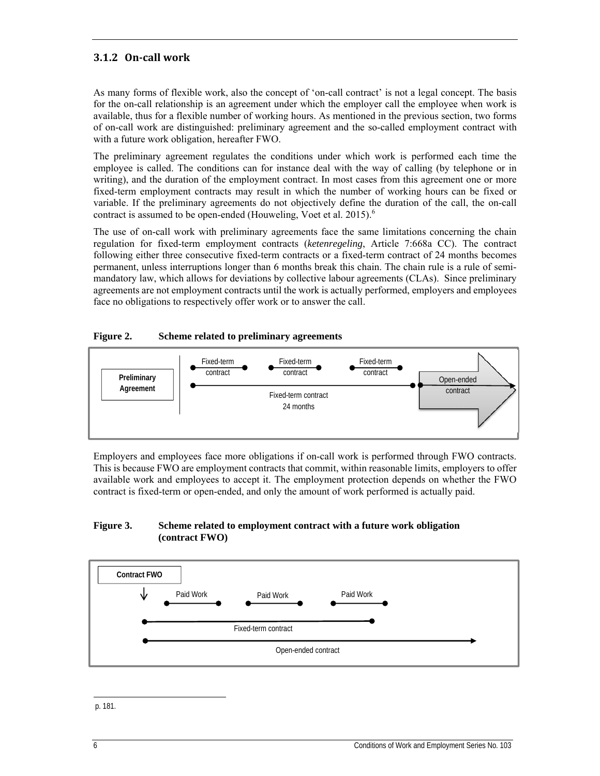### **3.1.2 On‐call work**

As many forms of flexible work, also the concept of 'on-call contract' is not a legal concept. The basis for the on-call relationship is an agreement under which the employer call the employee when work is available, thus for a flexible number of working hours. As mentioned in the previous section, two forms of on-call work are distinguished: preliminary agreement and the so-called employment contract with with a future work obligation, hereafter FWO.

The preliminary agreement regulates the conditions under which work is performed each time the employee is called. The conditions can for instance deal with the way of calling (by telephone or in writing), and the duration of the employment contract. In most cases from this agreement one or more fixed-term employment contracts may result in which the number of working hours can be fixed or variable. If the preliminary agreements do not objectively define the duration of the call, the on-call contract is assumed to be open-ended (Houweling, Voet et al. 2015).<sup>6</sup>

The use of on-call work with preliminary agreements face the same limitations concerning the chain regulation for fixed-term employment contracts (*ketenregeling*, Article 7:668a CC). The contract following either three consecutive fixed-term contracts or a fixed-term contract of 24 months becomes permanent, unless interruptions longer than 6 months break this chain. The chain rule is a rule of semimandatory law, which allows for deviations by collective labour agreements (CLAs). Since preliminary agreements are not employment contracts until the work is actually performed, employers and employees face no obligations to respectively offer work or to answer the call.

### **Figure 2. Scheme related to preliminary agreements**



Employers and employees face more obligations if on-call work is performed through FWO contracts. This is because FWO are employment contracts that commit, within reasonable limits, employers to offer available work and employees to accept it. The employment protection depends on whether the FWO contract is fixed-term or open-ended, and only the amount of work performed is actually paid.

#### **Figure 3. Scheme related to employment contract with a future work obligation (contract FWO)**



ł p. 181.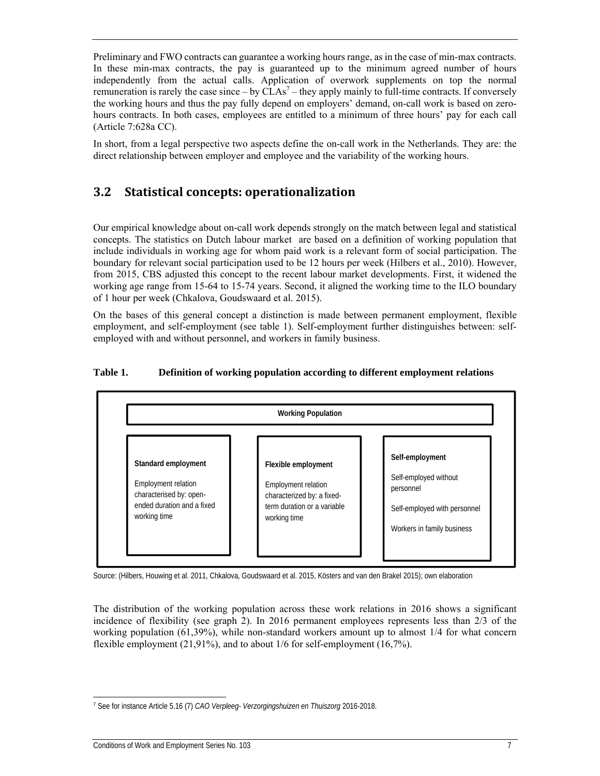Preliminary and FWO contracts can guarantee a working hours range, as in the case of min-max contracts. In these min-max contracts, the pay is guaranteed up to the minimum agreed number of hours independently from the actual calls. Application of overwork supplements on top the normal remuneration is rarely the case since  $-$  by CLAs<sup>7</sup>  $-$  they apply mainly to full-time contracts. If conversely the working hours and thus the pay fully depend on employers' demand, on-call work is based on zerohours contracts. In both cases, employees are entitled to a minimum of three hours' pay for each call (Article 7:628a CC).

In short, from a legal perspective two aspects define the on-call work in the Netherlands. They are: the direct relationship between employer and employee and the variability of the working hours.

### **3.2 Statistical concepts: operationalization**

Our empirical knowledge about on-call work depends strongly on the match between legal and statistical concepts. The statistics on Dutch labour market are based on a definition of working population that include individuals in working age for whom paid work is a relevant form of social participation. The boundary for relevant social participation used to be 12 hours per week (Hilbers et al., 2010). However, from 2015, CBS adjusted this concept to the recent labour market developments. First, it widened the working age range from 15-64 to 15-74 years. Second, it aligned the working time to the ILO boundary of 1 hour per week (Chkalova, Goudswaard et al. 2015).

On the bases of this general concept a distinction is made between permanent employment, flexible employment, and self-employment (see table 1). Self-employment further distinguishes between: selfemployed with and without personnel, and workers in family business.

### **Table 1. Definition of working population according to different employment relations**



Source: (Hilbers, Houwing et al. 2011, Chkalova, Goudswaard et al. 2015, Kösters and van den Brakel 2015); own elaboration

The distribution of the working population across these work relations in 2016 shows a significant incidence of flexibility (see graph 2). In 2016 permanent employees represents less than 2/3 of the working population (61,39%), while non-standard workers amount up to almost 1/4 for what concern flexible employment (21,91%), and to about 1/6 for self-employment (16,7%).

<sup>7</sup> See for instance Article 5.16 (7) *CAO Verpleeg- Verzorgingshuizen en Thuiszorg* 2016-2018.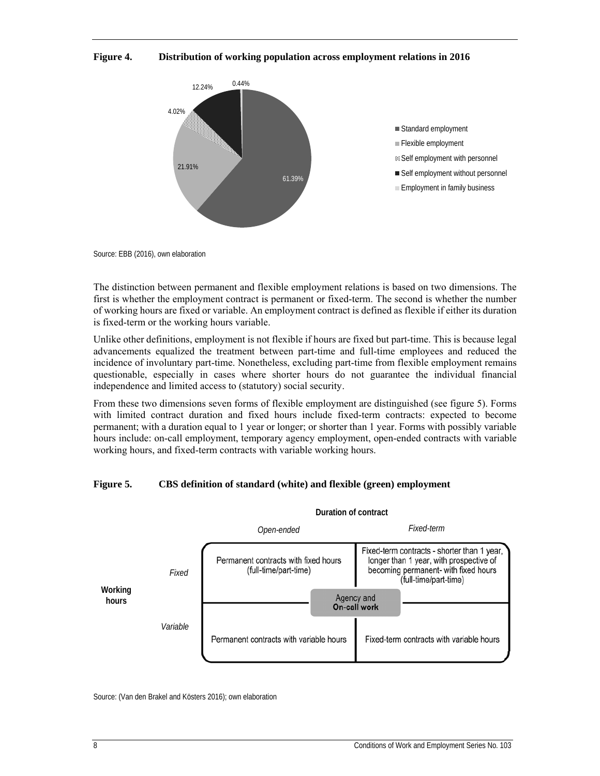### **Figure 4. Distribution of working population across employment relations in 2016**



Source: EBB (2016), own elaboration

The distinction between permanent and flexible employment relations is based on two dimensions. The first is whether the employment contract is permanent or fixed-term. The second is whether the number of working hours are fixed or variable. An employment contract is defined as flexible if either its duration is fixed-term or the working hours variable.

Unlike other definitions, employment is not flexible if hours are fixed but part-time. This is because legal advancements equalized the treatment between part-time and full-time employees and reduced the incidence of involuntary part-time. Nonetheless, excluding part-time from flexible employment remains questionable, especially in cases where shorter hours do not guarantee the individual financial independence and limited access to (statutory) social security.

From these two dimensions seven forms of flexible employment are distinguished (see figure 5). Forms with limited contract duration and fixed hours include fixed-term contracts: expected to become permanent; with a duration equal to 1 year or longer; or shorter than 1 year. Forms with possibly variable hours include: on-call employment, temporary agency employment, open-ended contracts with variable working hours, and fixed-term contracts with variable working hours.

### **Figure 5. CBS definition of standard (white) and flexible (green) employment**



Source: (Van den Brakel and Kösters 2016); own elaboration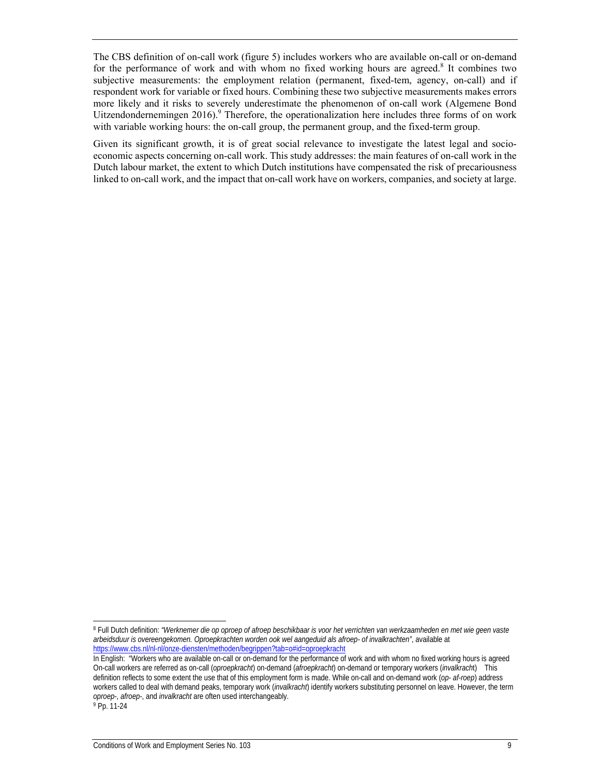The CBS definition of on-call work (figure 5) includes workers who are available on-call or on-demand for the performance of work and with whom no fixed working hours are agreed.<sup>8</sup> It combines two subjective measurements: the employment relation (permanent, fixed-tem, agency, on-call) and if respondent work for variable or fixed hours. Combining these two subjective measurements makes errors more likely and it risks to severely underestimate the phenomenon of on-call work (Algemene Bond Uitzendondernemingen 2016).<sup>9</sup> Therefore, the operationalization here includes three forms of on work with variable working hours: the on-call group, the permanent group, and the fixed-term group.

Given its significant growth, it is of great social relevance to investigate the latest legal and socioeconomic aspects concerning on-call work. This study addresses: the main features of on-call work in the Dutch labour market, the extent to which Dutch institutions have compensated the risk of precariousness linked to on-call work, and the impact that on-call work have on workers, companies, and society at large.

-

<sup>8</sup> Full Dutch definition: *"Werknemer die op oproep of afroep beschikbaar is voor het verrichten van werkzaamheden en met wie geen vaste arbeidsduur is overeengekomen. Oproepkrachten worden ook wel aangeduid als afroep- of invalkrachten"*, available at https://www.cbs.nl/nl-nl/onze-diensten/methoden/begrippen?tab=o#id=oproepkracht

In English: "Workers who are available on-call or on-demand for the performance of work and with whom no fixed working hours is agreed On-call workers are referred as on-call (*oproepkracht*) on-demand (*afroepkracht*) on-demand or temporary workers (*invalkrach*t) This definition reflects to some extent the use that of this employment form is made. While on-call and on-demand work (*op- af-roep*) address workers called to deal with demand peaks, temporary work (*invalkracht*) identify workers substituting personnel on leave. However, the term *oproep-*, *afroep-*, and *invalkracht* are often used interchangeably. 9 Pp. 11-24

Conditions of Work and Employment Series No. 103 9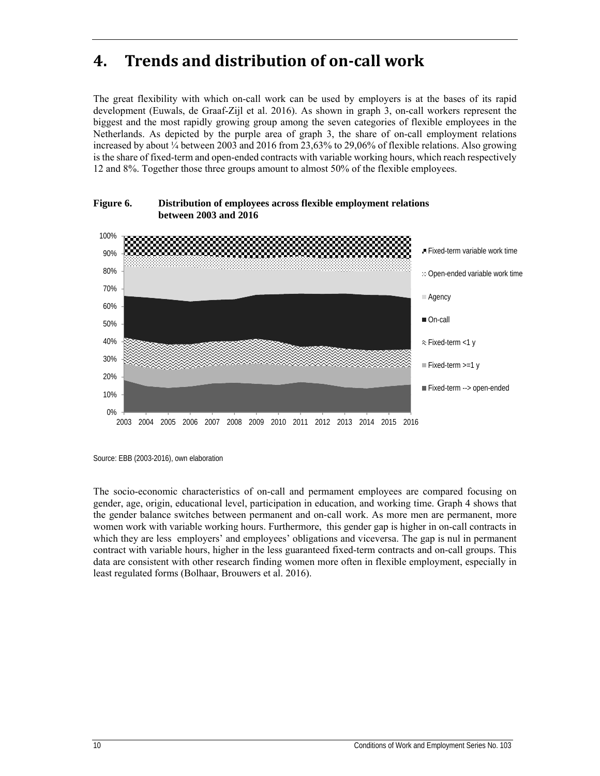## **4. Trends and distribution of on‐call work**

The great flexibility with which on-call work can be used by employers is at the bases of its rapid development (Euwals, de Graaf-Zijl et al. 2016). As shown in graph 3, on-call workers represent the biggest and the most rapidly growing group among the seven categories of flexible employees in the Netherlands. As depicted by the purple area of graph 3, the share of on-call employment relations increased by about ¼ between 2003 and 2016 from 23,63% to 29,06% of flexible relations. Also growing is the share of fixed-term and open-ended contracts with variable working hours, which reach respectively 12 and 8%. Together those three groups amount to almost 50% of the flexible employees.



**Figure 6. Distribution of employees across flexible employment relations between 2003 and 2016** 

The socio-economic characteristics of on-call and permament employees are compared focusing on gender, age, origin, educational level, participation in education, and working time. Graph 4 shows that the gender balance switches between permanent and on-call work. As more men are permanent, more women work with variable working hours. Furthermore, this gender gap is higher in on-call contracts in which they are less employers' and employees' obligations and viceversa. The gap is nul in permanent contract with variable hours, higher in the less guaranteed fixed-term contracts and on-call groups. This data are consistent with other research finding women more often in flexible employment, especially in least regulated forms (Bolhaar, Brouwers et al. 2016).

Source: EBB (2003-2016), own elaboration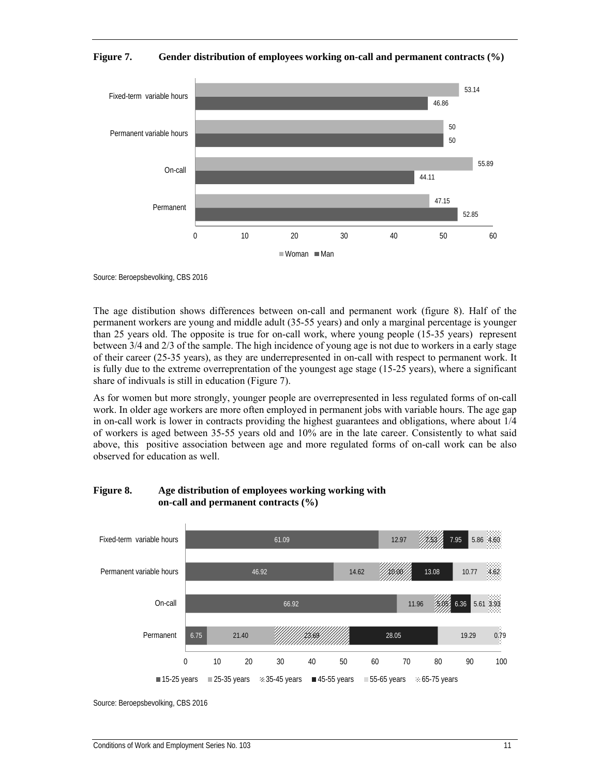



Source: Beroepsbevolking, CBS 2016

The age distibution shows differences between on-call and permanent work (figure 8). Half of the permanent workers are young and middle adult (35-55 years) and only a marginal percentage is younger than 25 years old. The opposite is true for on-call work, where young people (15-35 years) represent between 3/4 and 2/3 of the sample. The high incidence of young age is not due to workers in a early stage of their career (25-35 years), as they are underrepresented in on-call with respect to permanent work. It is fully due to the extreme overreprentation of the youngest age stage (15-25 years), where a significant share of indivuals is still in education (Figure 7).

As for women but more strongly, younger people are overrepresented in less regulated forms of on-call work. In older age workers are more often employed in permanent jobs with variable hours. The age gap in on-call work is lower in contracts providing the highest guarantees and obligations, where about 1/4 of workers is aged between 35-55 years old and 10% are in the late career. Consistently to what said above, this positive association between age and more regulated forms of on-call work can be also observed for education as well.

#### 66.92 46.92 61.09 11.96 14.62 12.97 5.05 10.00 7.53 6.36 13.08 7.95 On-call Permanent variable hours Fixed-term variable hours

#### **Figure 8. Age distribution of employees working working with on-call and permanent contracts (%)**

6.75 21.40 23.69 28.05 19.29 5.61 10.77 5.86 4.60 0.79 3.93 4.62 0 10 20 30 40 50 60 70 80 90 100 Permanent  $15-25$  years 25-35 years  $\approx 35-45$  years  $45-55$  years 55-65 years  $\approx 65-75$  years

Source: Beroepsbevolking, CBS 2016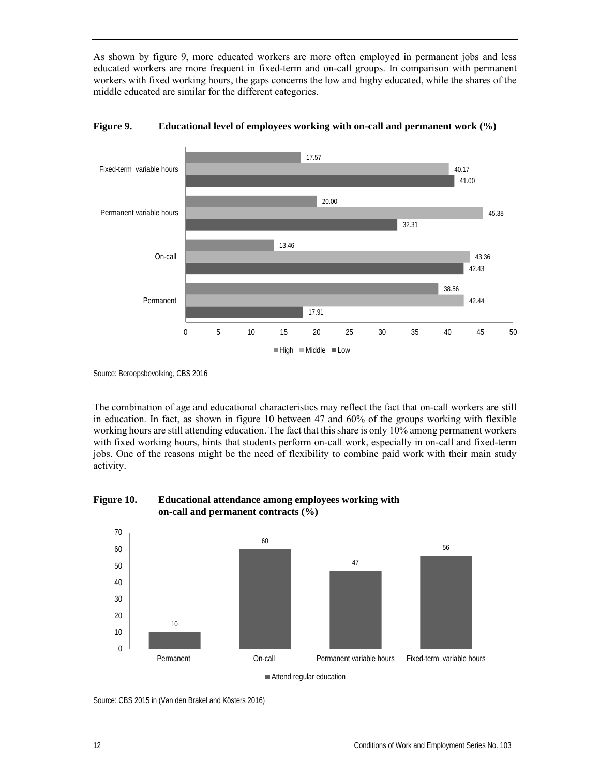As shown by figure 9, more educated workers are more often employed in permanent jobs and less educated workers are more frequent in fixed-term and on-call groups. In comparison with permanent workers with fixed working hours, the gaps concerns the low and highy educated, while the shares of the middle educated are similar for the different categories.





Source: Beroepsbevolking, CBS 2016

The combination of age and educational characteristics may reflect the fact that on-call workers are still in education. In fact, as shown in figure 10 between 47 and 60% of the groups working with flexible working hours are still attending education. The fact that this share is only 10% among permanent workers with fixed working hours, hints that students perform on-call work, especially in on-call and fixed-term jobs. One of the reasons might be the need of flexibility to combine paid work with their main study activity.





Attend regular education

Source: CBS 2015 in (Van den Brakel and Kösters 2016)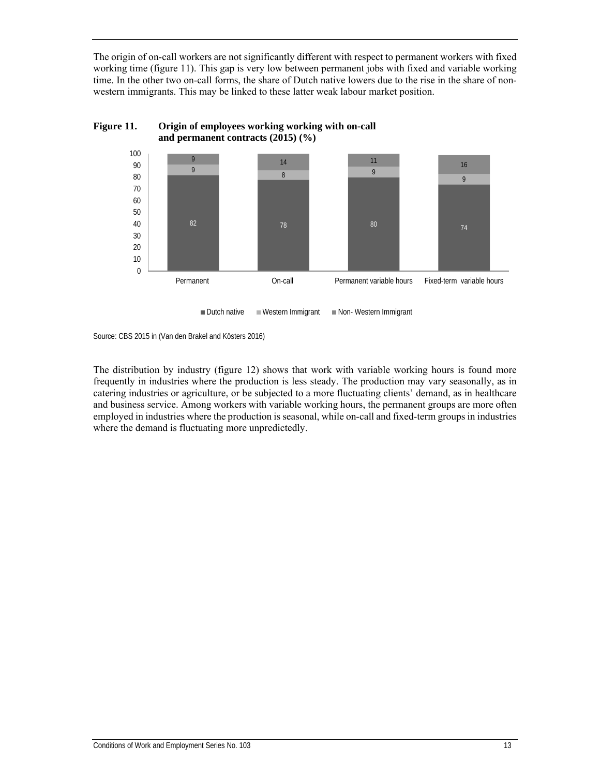The origin of on-call workers are not significantly different with respect to permanent workers with fixed working time (figure 11). This gap is very low between permanent jobs with fixed and variable working time. In the other two on-call forms, the share of Dutch native lowers due to the rise in the share of nonwestern immigrants. This may be linked to these latter weak labour market position.



#### **Figure 11. Origin of employees working working with on-call and permanent contracts (2015) (%)**

■ Dutch native Western Immigrant Non-Western Immigrant

The distribution by industry (figure 12) shows that work with variable working hours is found more frequently in industries where the production is less steady. The production may vary seasonally, as in catering industries or agriculture, or be subjected to a more fluctuating clients' demand, as in healthcare and business service. Among workers with variable working hours, the permanent groups are more often employed in industries where the production is seasonal, while on-call and fixed-term groups in industries where the demand is fluctuating more unpredictedly.

Source: CBS 2015 in (Van den Brakel and Kösters 2016)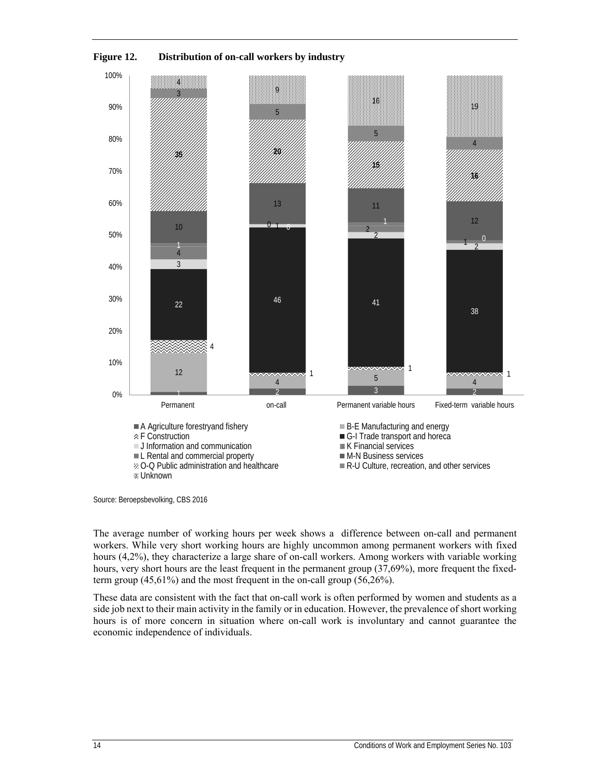

**Figure 12. Distribution of on-call workers by industry** 

The average number of working hours per week shows a difference between on-call and permanent workers. While very short working hours are highly uncommon among permanent workers with fixed hours (4,2%), they characterize a large share of on-call workers. Among workers with variable working hours, very short hours are the least frequent in the permanent group (37,69%), more frequent the fixedterm group (45,61%) and the most frequent in the on-call group (56,26%).

These data are consistent with the fact that on-call work is often performed by women and students as a side job next to their main activity in the family or in education. However, the prevalence of short working hours is of more concern in situation where on-call work is involuntary and cannot guarantee the economic independence of individuals.

Source: Beroepsbevolking, CBS 2016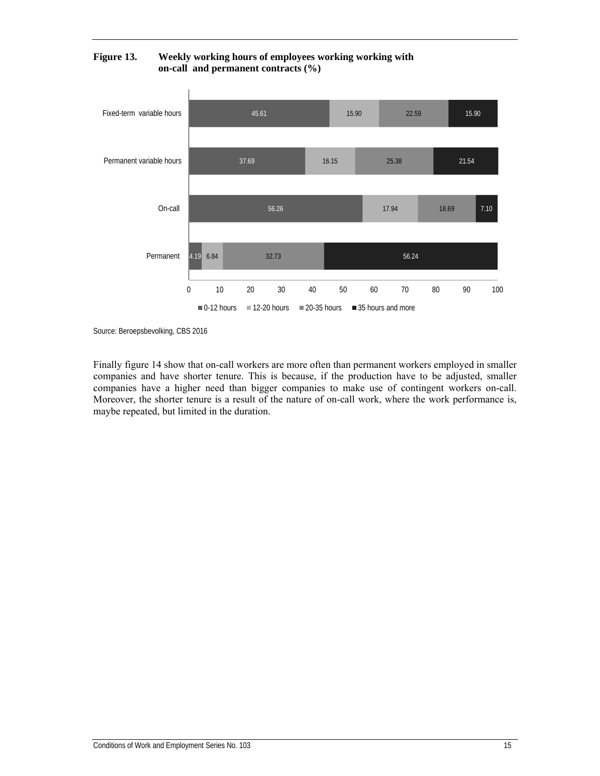

**Figure 13. Weekly working hours of employees working working with on-call and permanent contracts (%)** 

Source: Beroepsbevolking, CBS 2016

Finally figure 14 show that on-call workers are more often than permanent workers employed in smaller companies and have shorter tenure. This is because, if the production have to be adjusted, smaller companies have a higher need than bigger companies to make use of contingent workers on-call. Moreover, the shorter tenure is a result of the nature of on-call work, where the work performance is, maybe repeated, but limited in the duration.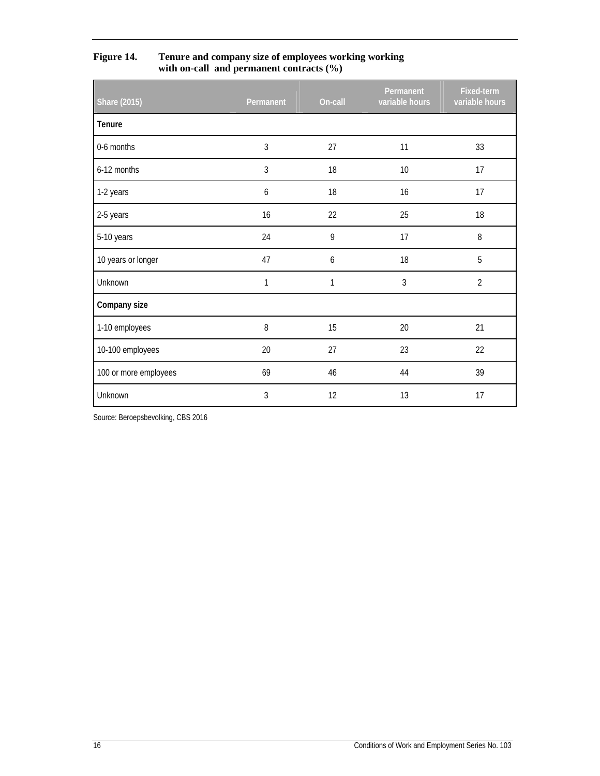| <b>Share (2015)</b>   | Permanent | On-call | Permanent<br>variable hours | Fixed-term<br>variable hours |
|-----------------------|-----------|---------|-----------------------------|------------------------------|
| Tenure                |           |         |                             |                              |
| 0-6 months            | 3         | 27      | 11                          | 33                           |
| 6-12 months           | 3         | 18      | 10                          | 17                           |
| 1-2 years             | 6         | 18      | 16                          | 17                           |
| 2-5 years             | 16        | 22      | 25                          | 18                           |
| 5-10 years            | 24        | 9       | 17                          | 8                            |
| 10 years or longer    | 47        | 6       | 18                          | 5                            |
| Unknown               | 1         | 1       | 3                           | $\overline{2}$               |
| Company size          |           |         |                             |                              |
| 1-10 employees        | 8         | 15      | 20                          | 21                           |
| 10-100 employees      | 20        | 27      | 23                          | 22                           |
| 100 or more employees | 69        | 46      | 44                          | 39                           |
| Unknown               | 3         | 12      | 13                          | 17                           |

**Figure 14. Tenure and company size of employees working working with on-call and permanent contracts (%)** 

Source: Beroepsbevolking, CBS 2016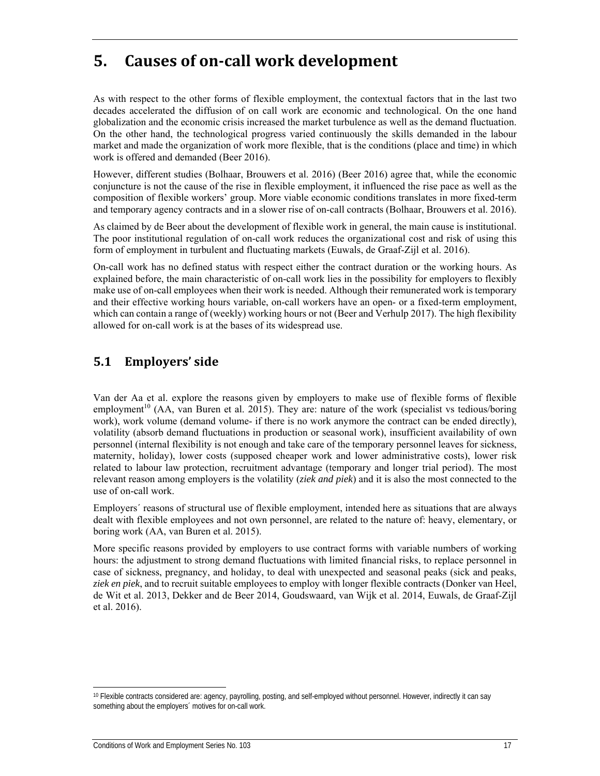## **5. Causes of on‐call work development**

As with respect to the other forms of flexible employment, the contextual factors that in the last two decades accelerated the diffusion of on call work are economic and technological. On the one hand globalization and the economic crisis increased the market turbulence as well as the demand fluctuation. On the other hand, the technological progress varied continuously the skills demanded in the labour market and made the organization of work more flexible, that is the conditions (place and time) in which work is offered and demanded (Beer 2016).

However, different studies (Bolhaar, Brouwers et al. 2016) (Beer 2016) agree that, while the economic conjuncture is not the cause of the rise in flexible employment, it influenced the rise pace as well as the composition of flexible workers' group. More viable economic conditions translates in more fixed-term and temporary agency contracts and in a slower rise of on-call contracts (Bolhaar, Brouwers et al. 2016).

As claimed by de Beer about the development of flexible work in general, the main cause is institutional. The poor institutional regulation of on-call work reduces the organizational cost and risk of using this form of employment in turbulent and fluctuating markets (Euwals, de Graaf-Zijl et al. 2016).

On-call work has no defined status with respect either the contract duration or the working hours. As explained before, the main characteristic of on-call work lies in the possibility for employers to flexibly make use of on-call employees when their work is needed. Although their remunerated work is temporary and their effective working hours variable, on-call workers have an open- or a fixed-term employment, which can contain a range of (weekly) working hours or not (Beer and Verhulp 2017). The high flexibility allowed for on-call work is at the bases of its widespread use.

## **5.1 Employers' side**

Van der Aa et al. explore the reasons given by employers to make use of flexible forms of flexible employment<sup>10</sup> (AA, van Buren et al. 2015). They are: nature of the work (specialist vs tedious/boring work), work volume (demand volume- if there is no work anymore the contract can be ended directly), volatility (absorb demand fluctuations in production or seasonal work), insufficient availability of own personnel (internal flexibility is not enough and take care of the temporary personnel leaves for sickness, maternity, holiday), lower costs (supposed cheaper work and lower administrative costs), lower risk related to labour law protection, recruitment advantage (temporary and longer trial period). The most relevant reason among employers is the volatility (*ziek and piek*) and it is also the most connected to the use of on-call work.

Employers´ reasons of structural use of flexible employment, intended here as situations that are always dealt with flexible employees and not own personnel, are related to the nature of: heavy, elementary, or boring work (AA, van Buren et al. 2015).

More specific reasons provided by employers to use contract forms with variable numbers of working hours: the adjustment to strong demand fluctuations with limited financial risks, to replace personnel in case of sickness, pregnancy, and holiday, to deal with unexpected and seasonal peaks (sick and peaks, *ziek en piek*, and to recruit suitable employees to employ with longer flexible contracts (Donker van Heel, de Wit et al. 2013, Dekker and de Beer 2014, Goudswaard, van Wijk et al. 2014, Euwals, de Graaf-Zijl et al. 2016).

<sup>10</sup> Flexible contracts considered are: agency, payrolling, posting, and self-employed without personnel. However, indirectly it can say something about the employers´ motives for on-call work.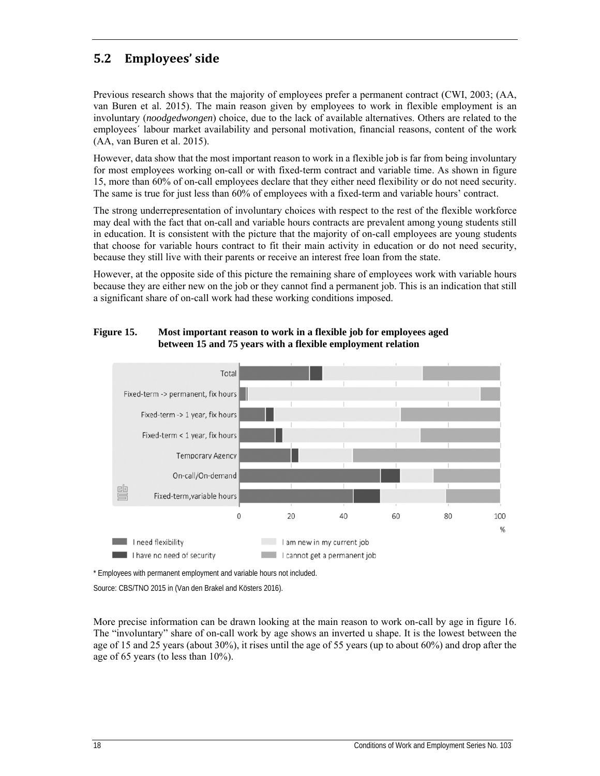## **5.2 Employees' side**

Previous research shows that the majority of employees prefer a permanent contract (CWI, 2003; (AA, van Buren et al. 2015). The main reason given by employees to work in flexible employment is an involuntary (*noodgedwongen*) choice, due to the lack of available alternatives. Others are related to the employees´ labour market availability and personal motivation, financial reasons, content of the work (AA, van Buren et al. 2015).

However, data show that the most important reason to work in a flexible job is far from being involuntary for most employees working on-call or with fixed-term contract and variable time. As shown in figure 15, more than 60% of on-call employees declare that they either need flexibility or do not need security. The same is true for just less than 60% of employees with a fixed-term and variable hours' contract.

The strong underrepresentation of involuntary choices with respect to the rest of the flexible workforce may deal with the fact that on-call and variable hours contracts are prevalent among young students still in education. It is consistent with the picture that the majority of on-call employees are young students that choose for variable hours contract to fit their main activity in education or do not need security, because they still live with their parents or receive an interest free loan from the state.

However, at the opposite side of this picture the remaining share of employees work with variable hours because they are either new on the job or they cannot find a permanent job. This is an indication that still a significant share of on-call work had these working conditions imposed.

#### **Figure 15. Most important reason to work in a flexible job for employees aged between 15 and 75 years with a flexible employment relation**



\* Employees with permanent employment and variable hours not included.

Source: CBS/TNO 2015 in (Van den Brakel and Kösters 2016).

More precise information can be drawn looking at the main reason to work on-call by age in figure 16. The "involuntary" share of on-call work by age shows an inverted u shape. It is the lowest between the age of 15 and 25 years (about 30%), it rises until the age of 55 years (up to about 60%) and drop after the age of 65 years (to less than 10%).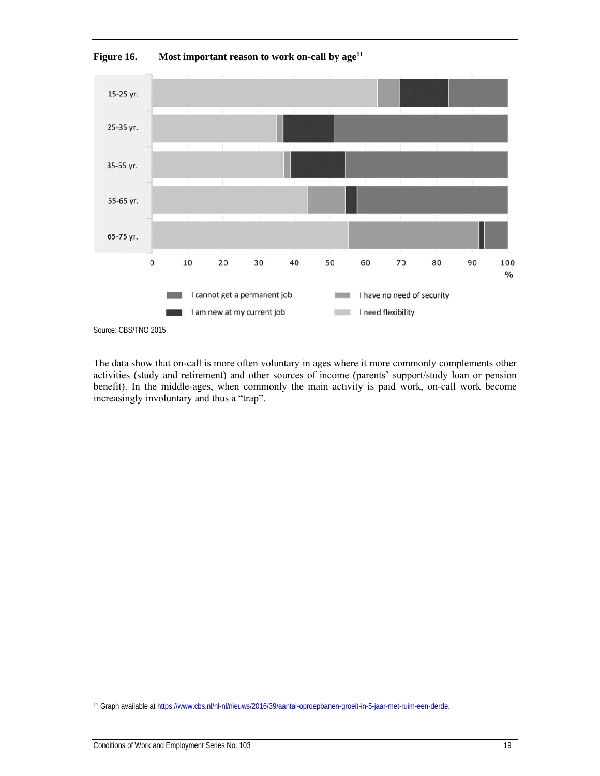

Figure 16. Most important reason to work on-call by age<sup>11</sup>

Source: CBS/TNO 2015.

The data show that on-call is more often voluntary in ages where it more commonly complements other activities (study and retirement) and other sources of income (parents' support/study loan or pension benefit). In the middle-ages, when commonly the main activity is paid work, on-call work become increasingly involuntary and thus a "trap".

<sup>11</sup> Graph available at https://www.cbs.nl/nl-nl/nieuws/2016/39/aantal-oproepbanen-groeit-in-5-jaar-met-ruim-een-derde.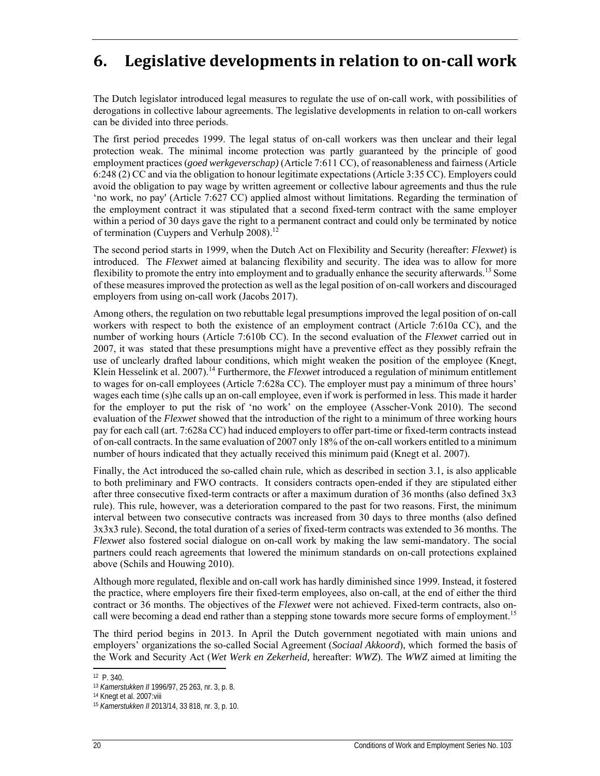## **6. Legislative developments in relation to on‐call work**

The Dutch legislator introduced legal measures to regulate the use of on-call work, with possibilities of derogations in collective labour agreements. The legislative developments in relation to on-call workers can be divided into three periods.

The first period precedes 1999. The legal status of on-call workers was then unclear and their legal protection weak. The minimal income protection was partly guaranteed by the principle of good employment practices (*goed werkgeverschap)* (Article 7:611 CC), of reasonableness and fairness (Article 6:248 (2) CC and via the obligation to honour legitimate expectations (Article 3:35 CC). Employers could avoid the obligation to pay wage by written agreement or collective labour agreements and thus the rule 'no work, no pay' (Article 7:627 CC) applied almost without limitations. Regarding the termination of the employment contract it was stipulated that a second fixed-term contract with the same employer within a period of 30 days gave the right to a permanent contract and could only be terminated by notice of termination (Cuypers and Verhulp 2008).<sup>12</sup>

The second period starts in 1999, when the Dutch Act on Flexibility and Security (hereafter: *Flexwet*) is introduced. The *Flexwet* aimed at balancing flexibility and security. The idea was to allow for more flexibility to promote the entry into employment and to gradually enhance the security afterwards.<sup>13</sup> Some of these measures improved the protection as well as the legal position of on-call workers and discouraged employers from using on-call work (Jacobs 2017).

Among others, the regulation on two rebuttable legal presumptions improved the legal position of on-call workers with respect to both the existence of an employment contract (Article 7:610a CC), and the number of working hours (Article 7:610b CC). In the second evaluation of the *Flexwet* carried out in 2007, it was stated that these presumptions might have a preventive effect as they possibly refrain the use of unclearly drafted labour conditions, which might weaken the position of the employee (Knegt, Klein Hesselink et al. 2007).<sup>14</sup> Furthermore, the *Flexwet* introduced a regulation of minimum entitlement to wages for on-call employees (Article 7:628a CC). The employer must pay a minimum of three hours' wages each time (s)he calls up an on-call employee, even if work is performed in less. This made it harder for the employer to put the risk of 'no work' on the employee (Asscher-Vonk 2010). The second evaluation of the *Flexwet* showed that the introduction of the right to a minimum of three working hours pay for each call (art. 7:628a CC) had induced employers to offer part-time or fixed-term contracts instead of on-call contracts. In the same evaluation of 2007 only 18% of the on-call workers entitled to a minimum number of hours indicated that they actually received this minimum paid (Knegt et al. 2007).

Finally, the Act introduced the so-called chain rule, which as described in section 3.1, is also applicable to both preliminary and FWO contracts. It considers contracts open-ended if they are stipulated either after three consecutive fixed-term contracts or after a maximum duration of 36 months (also defined 3x3 rule). This rule, however, was a deterioration compared to the past for two reasons. First, the minimum interval between two consecutive contracts was increased from 30 days to three months (also defined 3x3x3 rule). Second, the total duration of a series of fixed-term contracts was extended to 36 months. The *Flexwet* also fostered social dialogue on on-call work by making the law semi-mandatory. The social partners could reach agreements that lowered the minimum standards on on-call protections explained above (Schils and Houwing 2010).

Although more regulated, flexible and on-call work has hardly diminished since 1999. Instead, it fostered the practice, where employers fire their fixed-term employees, also on-call, at the end of either the third contract or 36 months. The objectives of the *Flexwet* were not achieved. Fixed-term contracts, also oncall were becoming a dead end rather than a stepping stone towards more secure forms of employment.<sup>15</sup>

The third period begins in 2013. In April the Dutch government negotiated with main unions and employers' organizations the so-called Social Agreement (*Sociaal Akkoord*), which formed the basis of the Work and Security Act (*Wet Werk en Zekerheid,* hereafter: *WWZ*). The *WWZ* aimed at limiting the

ł 12 P. 340.

<sup>&</sup>lt;sup>13</sup> *Kamerstukken II* 1996/97, 25 263, nr. 3, p. 8<br><sup>14</sup> Knegt et al. 2007:viii

<sup>15</sup> *Kamerstukken II* 2013/14, 33 818, nr. 3, p. 10.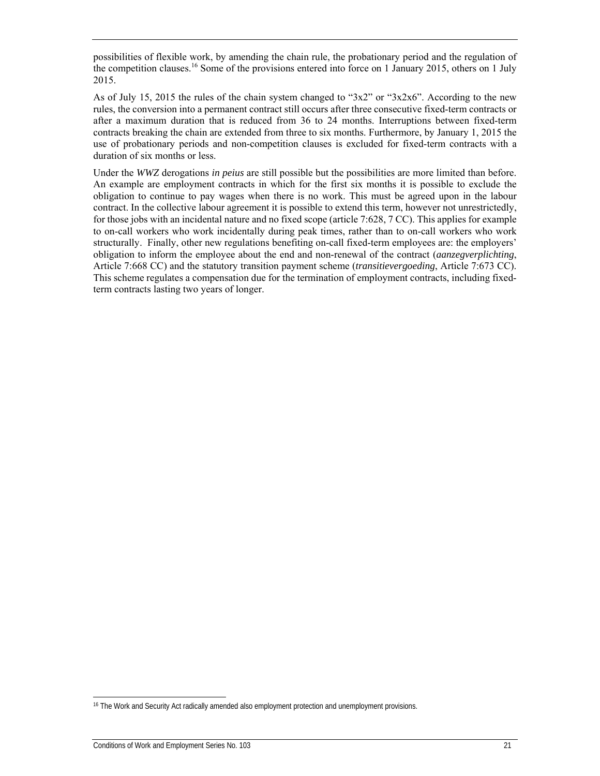possibilities of flexible work, by amending the chain rule, the probationary period and the regulation of the competition clauses.16 Some of the provisions entered into force on 1 January 2015, others on 1 July 2015.

As of July 15, 2015 the rules of the chain system changed to "3x2" or "3x2x6". According to the new rules, the conversion into a permanent contract still occurs after three consecutive fixed-term contracts or after a maximum duration that is reduced from 36 to 24 months. Interruptions between fixed-term contracts breaking the chain are extended from three to six months. Furthermore, by January 1, 2015 the use of probationary periods and non-competition clauses is excluded for fixed-term contracts with a duration of six months or less.

Under the *WWZ* derogations *in peius* are still possible but the possibilities are more limited than before. An example are employment contracts in which for the first six months it is possible to exclude the obligation to continue to pay wages when there is no work. This must be agreed upon in the labour contract. In the collective labour agreement it is possible to extend this term, however not unrestrictedly, for those jobs with an incidental nature and no fixed scope (article 7:628, 7 CC). This applies for example to on-call workers who work incidentally during peak times, rather than to on-call workers who work structurally. Finally, other new regulations benefiting on-call fixed-term employees are: the employers' obligation to inform the employee about the end and non-renewal of the contract (*aanzegverplichting*, Article 7:668 CC) and the statutory transition payment scheme (*transitievergoeding*, Article 7:673 CC). This scheme regulates a compensation due for the termination of employment contracts, including fixedterm contracts lasting two years of longer.

<sup>16</sup> The Work and Security Act radically amended also employment protection and unemployment provisions.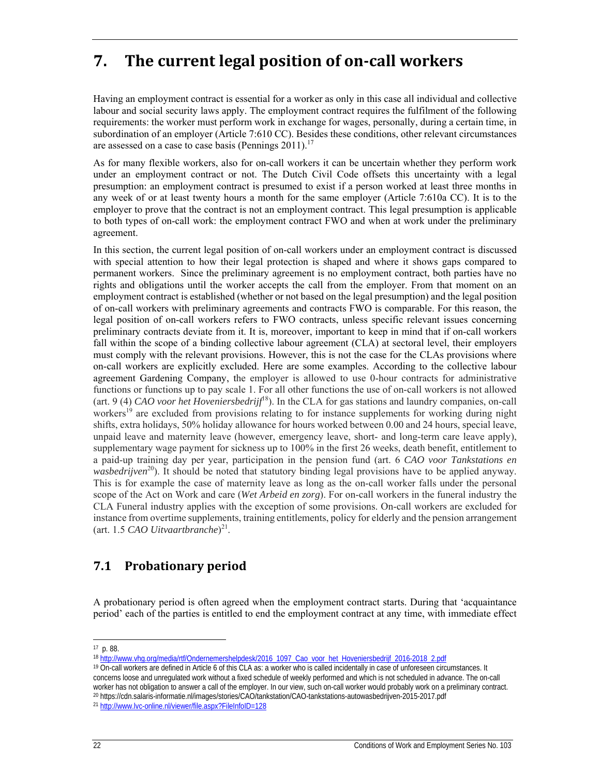## **7. The current legal position of on‐call workers**

Having an employment contract is essential for a worker as only in this case all individual and collective labour and social security laws apply. The employment contract requires the fulfilment of the following requirements: the worker must perform work in exchange for wages, personally, during a certain time, in subordination of an employer (Article 7:610 CC). Besides these conditions, other relevant circumstances are assessed on a case to case basis (Pennings  $2011$ ).<sup>17</sup>

As for many flexible workers, also for on-call workers it can be uncertain whether they perform work under an employment contract or not. The Dutch Civil Code offsets this uncertainty with a legal presumption: an employment contract is presumed to exist if a person worked at least three months in any week of or at least twenty hours a month for the same employer (Article 7:610a CC). It is to the employer to prove that the contract is not an employment contract. This legal presumption is applicable to both types of on-call work: the employment contract FWO and when at work under the preliminary agreement.

In this section, the current legal position of on-call workers under an employment contract is discussed with special attention to how their legal protection is shaped and where it shows gaps compared to permanent workers. Since the preliminary agreement is no employment contract, both parties have no rights and obligations until the worker accepts the call from the employer. From that moment on an employment contract is established (whether or not based on the legal presumption) and the legal position of on-call workers with preliminary agreements and contracts FWO is comparable. For this reason, the legal position of on-call workers refers to FWO contracts, unless specific relevant issues concerning preliminary contracts deviate from it. It is, moreover, important to keep in mind that if on-call workers fall within the scope of a binding collective labour agreement (CLA) at sectoral level, their employers must comply with the relevant provisions. However, this is not the case for the CLAs provisions where on-call workers are explicitly excluded. Here are some examples. According to the collective labour agreement Gardening Company, the employer is allowed to use 0-hour contracts for administrative functions or functions up to pay scale 1. For all other functions the use of on-call workers is not allowed (art. 9 (4) *CAO voor het Hoveniersbedrijf*18). In the CLA for gas stations and laundry companies, on-call workers<sup>19</sup> are excluded from provisions relating to for instance supplements for working during night shifts, extra holidays, 50% holiday allowance for hours worked between 0.00 and 24 hours, special leave, unpaid leave and maternity leave (however, emergency leave, short- and long-term care leave apply), supplementary wage payment for sickness up to 100% in the first 26 weeks, death benefit, entitlement to a paid-up training day per year, participation in the pension fund (art. 6 *CAO voor Tankstations en wasbedrijven*<sup>20</sup>). It should be noted that statutory binding legal provisions have to be applied anyway. This is for example the case of maternity leave as long as the on-call worker falls under the personal scope of the Act on Work and care (*Wet Arbeid en zorg*). For on-call workers in the funeral industry the CLA Funeral industry applies with the exception of some provisions. On-call workers are excluded for instance from overtime supplements, training entitlements, policy for elderly and the pension arrangement (art. 1.5 *CAO Uitvaartbranche*) 21.

## **7.1 Probationary period**

A probationary period is often agreed when the employment contract starts. During that 'acquaintance period' each of the parties is entitled to end the employment contract at any time, with immediate effect

1

<sup>17</sup> p. 88.<br><sup>18</sup> http://www.yhg.org/media/rtf/Ondernemershelpdesk/2016\_1097\_Cao\_voor\_het\_Hoveniersbedrijf\_2016-2018\_2.pdf

<sup>&</sup>lt;sup>19</sup> On-call workers are defined in Article 6 of this CLA as: a worker who is called incidentally in case of unforeseen circumstances. It concerns loose and unregulated work without a fixed schedule of weekly performed and which is not scheduled in advance. The on-call worker has not obligation to answer a call of the employer. In our view, such on-call worker would probably work on a preliminary contract.<br><sup>20</sup> https://cdn.salaris-informatie.nl/images/stories/CAO/tankstation/CAO-tankstat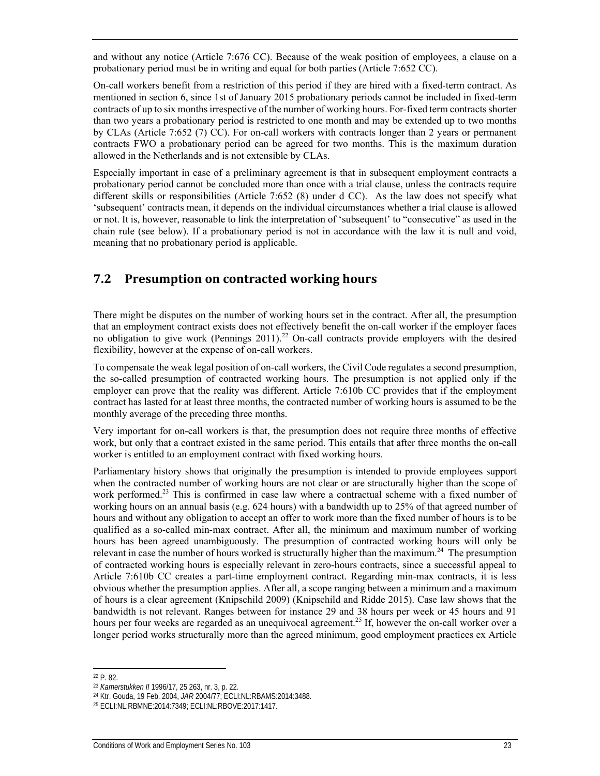and without any notice (Article 7:676 CC). Because of the weak position of employees, a clause on a probationary period must be in writing and equal for both parties (Article 7:652 CC).

On-call workers benefit from a restriction of this period if they are hired with a fixed-term contract. As mentioned in section 6, since 1st of January 2015 probationary periods cannot be included in fixed-term contracts of up to six months irrespective of the number of working hours. For-fixed term contracts shorter than two years a probationary period is restricted to one month and may be extended up to two months by CLAs (Article 7:652 (7) CC). For on-call workers with contracts longer than 2 years or permanent contracts FWO a probationary period can be agreed for two months. This is the maximum duration allowed in the Netherlands and is not extensible by CLAs.

Especially important in case of a preliminary agreement is that in subsequent employment contracts a probationary period cannot be concluded more than once with a trial clause, unless the contracts require different skills or responsibilities (Article 7:652 (8) under d CC). As the law does not specify what 'subsequent' contracts mean, it depends on the individual circumstances whether a trial clause is allowed or not. It is, however, reasonable to link the interpretation of 'subsequent' to "consecutive" as used in the chain rule (see below). If a probationary period is not in accordance with the law it is null and void, meaning that no probationary period is applicable.

### **7.2 Presumption on contracted working hours**

There might be disputes on the number of working hours set in the contract. After all, the presumption that an employment contract exists does not effectively benefit the on-call worker if the employer faces no obligation to give work (Pennings 2011).<sup>22</sup> On-call contracts provide employers with the desired flexibility, however at the expense of on-call workers.

To compensate the weak legal position of on-call workers, the Civil Code regulates a second presumption, the so-called presumption of contracted working hours. The presumption is not applied only if the employer can prove that the reality was different. Article 7:610b CC provides that if the employment contract has lasted for at least three months, the contracted number of working hours is assumed to be the monthly average of the preceding three months.

Very important for on-call workers is that, the presumption does not require three months of effective work, but only that a contract existed in the same period. This entails that after three months the on-call worker is entitled to an employment contract with fixed working hours.

Parliamentary history shows that originally the presumption is intended to provide employees support when the contracted number of working hours are not clear or are structurally higher than the scope of work performed.<sup>23</sup> This is confirmed in case law where a contractual scheme with a fixed number of working hours on an annual basis (e.g. 624 hours) with a bandwidth up to 25% of that agreed number of hours and without any obligation to accept an offer to work more than the fixed number of hours is to be qualified as a so-called min-max contract. After all, the minimum and maximum number of working hours has been agreed unambiguously. The presumption of contracted working hours will only be relevant in case the number of hours worked is structurally higher than the maximum.<sup>24</sup> The presumption of contracted working hours is especially relevant in zero-hours contracts, since a successful appeal to Article 7:610b CC creates a part-time employment contract. Regarding min-max contracts, it is less obvious whether the presumption applies. After all, a scope ranging between a minimum and a maximum of hours is a clear agreement (Knipschild 2009) (Knipschild and Ridde 2015). Case law shows that the bandwidth is not relevant. Ranges between for instance 29 and 38 hours per week or 45 hours and 91 hours per four weeks are regarded as an unequivocal agreement.<sup>25</sup> If, however the on-call worker over a longer period works structurally more than the agreed minimum, good employment practices ex Article

<sup>22</sup> P. 82.

<sup>&</sup>lt;sup>23</sup> *Kamerstukken II* 1996/17, 25 263, nr. 3, p. 22.<br><sup>24</sup> Ktr. Gouda, 19 Feb. 2004, *JAR* 2004/77; ECLI:NL:RBAMS:2014:3488.<br><sup>25</sup> ECLI:NL:RBMNE:2014:7349; ECLI:NL:RBOVE:2017:1417.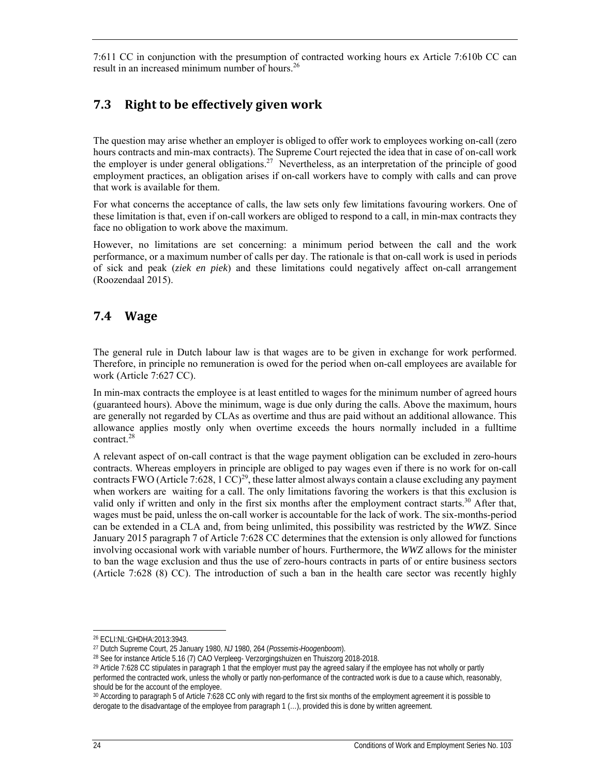7:611 CC in conjunction with the presumption of contracted working hours ex Article 7:610b CC can result in an increased minimum number of hours.<sup>26</sup>

## **7.3 Right to be effectively given work**

The question may arise whether an employer is obliged to offer work to employees working on-call (zero hours contracts and min-max contracts). The Supreme Court rejected the idea that in case of on-call work the employer is under general obligations.<sup>27</sup> Nevertheless, as an interpretation of the principle of good employment practices, an obligation arises if on-call workers have to comply with calls and can prove that work is available for them.

For what concerns the acceptance of calls, the law sets only few limitations favouring workers. One of these limitation is that, even if on-call workers are obliged to respond to a call, in min-max contracts they face no obligation to work above the maximum.

However, no limitations are set concerning: a minimum period between the call and the work performance, or a maximum number of calls per day. The rationale is that on-call work is used in periods of sick and peak (*ziek en piek*) and these limitations could negatively affect on-call arrangement (Roozendaal 2015).

### **7.4 Wage**

The general rule in Dutch labour law is that wages are to be given in exchange for work performed. Therefore, in principle no remuneration is owed for the period when on-call employees are available for work (Article 7:627 CC).

In min-max contracts the employee is at least entitled to wages for the minimum number of agreed hours (guaranteed hours). Above the minimum, wage is due only during the calls. Above the maximum, hours are generally not regarded by CLAs as overtime and thus are paid without an additional allowance. This allowance applies mostly only when overtime exceeds the hours normally included in a fulltime contract.<sup>28</sup>

A relevant aspect of on-call contract is that the wage payment obligation can be excluded in zero-hours contracts. Whereas employers in principle are obliged to pay wages even if there is no work for on-call contracts FWO (Article 7:628, 1  $\text{CC}$ )<sup>29</sup>, these latter almost always contain a clause excluding any payment when workers are waiting for a call. The only limitations favoring the workers is that this exclusion is valid only if written and only in the first six months after the employment contract starts.<sup>30</sup> After that, wages must be paid, unless the on-call worker is accountable for the lack of work. The six-months-period can be extended in a CLA and, from being unlimited, this possibility was restricted by the *WWZ*. Since January 2015 paragraph 7 of Article 7:628 CC determines that the extension is only allowed for functions involving occasional work with variable number of hours. Furthermore, the *WWZ* allows for the minister to ban the wage exclusion and thus the use of zero-hours contracts in parts of or entire business sectors (Article 7:628 (8) CC). The introduction of such a ban in the health care sector was recently highly

-

<sup>26</sup> ECLI:NL:GHDHA:2013:3943.

<sup>&</sup>lt;sup>27</sup> Dutch Supreme Court, 25 January 1980, *NJ* 1980, 264 (*Possemis-Hoogenboom*).<br><sup>28</sup> See for instance Article 5.16 (7) CAO Verpleeg- Verzorgingshuizen en Thuiszorg 2018-2018.<br><sup>29</sup> Article 7:628 CC stipulates in paragrap performed the contracted work, unless the wholly or partly non-performance of the contracted work is due to a cause which, reasonably, should be for the account of the employee.

<sup>30</sup> According to paragraph 5 of Article 7:628 CC only with regard to the first six months of the employment agreement it is possible to derogate to the disadvantage of the employee from paragraph 1 (…), provided this is done by written agreement.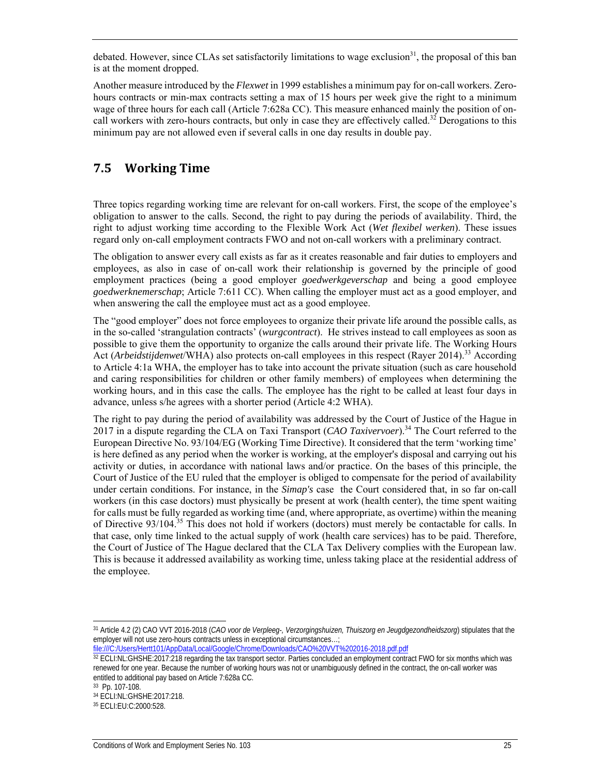debated. However, since CLAs set satisfactorily limitations to wage exclusion<sup>31</sup>, the proposal of this ban is at the moment dropped.

Another measure introduced by the *Flexwet* in 1999 establishes a minimum pay for on-call workers. Zerohours contracts or min-max contracts setting a max of 15 hours per week give the right to a minimum wage of three hours for each call (Article 7:628a CC). This measure enhanced mainly the position of oncall workers with zero-hours contracts, but only in case they are effectively called.<sup>32</sup> Derogations to this minimum pay are not allowed even if several calls in one day results in double pay.

## **7.5 Working Time**

Three topics regarding working time are relevant for on-call workers. First, the scope of the employee's obligation to answer to the calls. Second, the right to pay during the periods of availability. Third, the right to adjust working time according to the Flexible Work Act (*Wet flexibel werken*). These issues regard only on-call employment contracts FWO and not on-call workers with a preliminary contract.

The obligation to answer every call exists as far as it creates reasonable and fair duties to employers and employees, as also in case of on-call work their relationship is governed by the principle of good employment practices (being a good employer *goedwerkgeverschap* and being a good employee *goedwerknemerschap*; Article 7:611 CC). When calling the employer must act as a good employer, and when answering the call the employee must act as a good employee.

The "good employer" does not force employees to organize their private life around the possible calls, as in the so-called 'strangulation contracts' (*wurgcontract*). He strives instead to call employees as soon as possible to give them the opportunity to organize the calls around their private life. The Working Hours Act (*Arbeidstijdenwet*/WHA) also protects on-call employees in this respect (Rayer 2014).33 According to Article 4:1a WHA, the employer has to take into account the private situation (such as care household and caring responsibilities for children or other family members) of employees when determining the working hours, and in this case the calls. The employee has the right to be called at least four days in advance, unless s/he agrees with a shorter period (Article 4:2 WHA).

The right to pay during the period of availability was addressed by the Court of Justice of the Hague in 2017 in a dispute regarding the CLA on Taxi Transport (*CAO Taxivervoer*).34 The Court referred to the European Directive No. 93/104/EG (Working Time Directive). It considered that the term 'working time' is here defined as any period when the worker is working, at the employer's disposal and carrying out his activity or duties, in accordance with national laws and/or practice. On the bases of this principle, the Court of Justice of the EU ruled that the employer is obliged to compensate for the period of availability under certain conditions. For instance, in the *Simap's* case the Court considered that, in so far on-call workers (in this case doctors) must physically be present at work (health center), the time spent waiting for calls must be fully regarded as working time (and, where appropriate, as overtime) within the meaning of Directive 93/104.35 This does not hold if workers (doctors) must merely be contactable for calls. In that case, only time linked to the actual supply of work (health care services) has to be paid. Therefore, the Court of Justice of The Hague declared that the CLA Tax Delivery complies with the European law. This is because it addressed availability as working time, unless taking place at the residential address of the employee.

<sup>-</sup>31 Article 4.2 (2) CAO VVT 2016-2018 (*CAO voor de Verpleeg-, Verzorgingshuizen, Thuiszorg en Jeugdgezondheidszorg*) stipulates that the employer will not use zero-hours contracts unless in exceptional circumstances...;

file:///C://Users/Hertt101/AppData/Local/Google/Chrome/Downloads/CAO%20VVT%202016-2018.pdf.pdf<br><sup>32</sup> ECLI:NL:GHSHE:2017:218 regarding the tax transport sector. Parties concluded an employment contract FWO for six months whi renewed for one year. Because the number of working hours was not or unambiguously defined in the contract, the on-call worker was entitled to additional pay based on Article 7:628a CC.

<sup>33</sup> Pp. 107-108.

<sup>34</sup> ECLI:NL:GHSHE:2017:218.

<sup>35</sup> ECLI:EU:C:2000:528.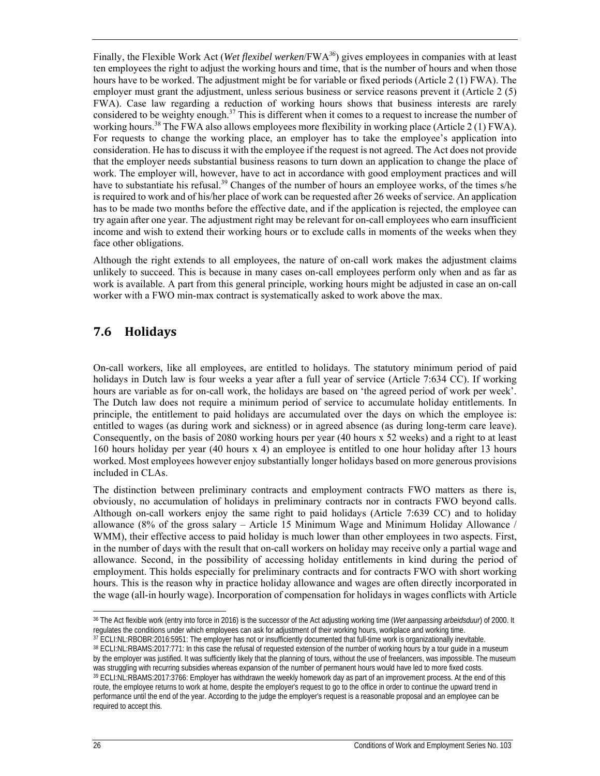Finally, the Flexible Work Act (*Wet flexibel werken*/FWA*<sup>36</sup>*) gives employees in companies with at least ten employees the right to adjust the working hours and time, that is the number of hours and when those hours have to be worked. The adjustment might be for variable or fixed periods (Article 2 (1) FWA). The employer must grant the adjustment, unless serious business or service reasons prevent it (Article 2 (5) FWA). Case law regarding a reduction of working hours shows that business interests are rarely considered to be weighty enough.<sup>37</sup> This is different when it comes to a request to increase the number of working hours.<sup>38</sup> The FWA also allows employees more flexibility in working place (Article 2 (1) FWA). For requests to change the working place, an employer has to take the employee's application into consideration. He has to discuss it with the employee if the request is not agreed. The Act does not provide that the employer needs substantial business reasons to turn down an application to change the place of work. The employer will, however, have to act in accordance with good employment practices and will have to substantiate his refusal.<sup>39</sup> Changes of the number of hours an employee works, of the times s/he is required to work and of his/her place of work can be requested after 26 weeks of service. An application has to be made two months before the effective date, and if the application is rejected, the employee can try again after one year. The adjustment right may be relevant for on-call employees who earn insufficient income and wish to extend their working hours or to exclude calls in moments of the weeks when they face other obligations.

Although the right extends to all employees, the nature of on-call work makes the adjustment claims unlikely to succeed. This is because in many cases on-call employees perform only when and as far as work is available. A part from this general principle, working hours might be adjusted in case an on-call worker with a FWO min-max contract is systematically asked to work above the max.

## **7.6 Holidays**

On-call workers, like all employees, are entitled to holidays. The statutory minimum period of paid holidays in Dutch law is four weeks a year after a full year of service (Article 7:634 CC). If working hours are variable as for on-call work, the holidays are based on 'the agreed period of work per week'. The Dutch law does not require a minimum period of service to accumulate holiday entitlements. In principle, the entitlement to paid holidays are accumulated over the days on which the employee is: entitled to wages (as during work and sickness) or in agreed absence (as during long-term care leave). Consequently, on the basis of 2080 working hours per year (40 hours x 52 weeks) and a right to at least 160 hours holiday per year (40 hours x 4) an employee is entitled to one hour holiday after 13 hours worked. Most employees however enjoy substantially longer holidays based on more generous provisions included in CLAs.

The distinction between preliminary contracts and employment contracts FWO matters as there is, obviously, no accumulation of holidays in preliminary contracts nor in contracts FWO beyond calls. Although on-call workers enjoy the same right to paid holidays (Article 7:639 CC) and to holiday allowance (8% of the gross salary – Article 15 Minimum Wage and Minimum Holiday Allowance / WMM), their effective access to paid holiday is much lower than other employees in two aspects. First, in the number of days with the result that on-call workers on holiday may receive only a partial wage and allowance. Second, in the possibility of accessing holiday entitlements in kind during the period of employment. This holds especially for preliminary contracts and for contracts FWO with short working hours. This is the reason why in practice holiday allowance and wages are often directly incorporated in the wage (all-in hourly wage). Incorporation of compensation for holidays in wages conflicts with Article

<sup>-</sup><sup>36</sup> The Act flexible work (entry into force in 2016) is the successor of the Act adjusting working time (*Wet aanpassing arbeidsduur*) of 2000. It regulates the conditions under which employees can ask for adjustment of t

<sup>37</sup> ECLI:NL:RBOBR:2016:5951: The employer has not or insufficiently documented that full-time work is organizationally inevitable. 38 ECLI:NL:RBAMS:2017:771: In this case the refusal of requested extension of the number of working hours by a tour guide in a museum by the employer was justified. It was sufficiently likely that the planning of tours, without the use of freelancers, was impossible. The museum was struggling with recurring subsidies whereas expansion of the number of permanent hours would have led to more fixed costs.<br><sup>39</sup> ECLI:NL:RBAMS:2017:3766: Employer has withdrawn the weekly homework day as part of an impr route, the employee returns to work at home, despite the employer's request to go to the office in order to continue the upward trend in performance until the end of the year. According to the judge the employer's request is a reasonable proposal and an employee can be required to accept this.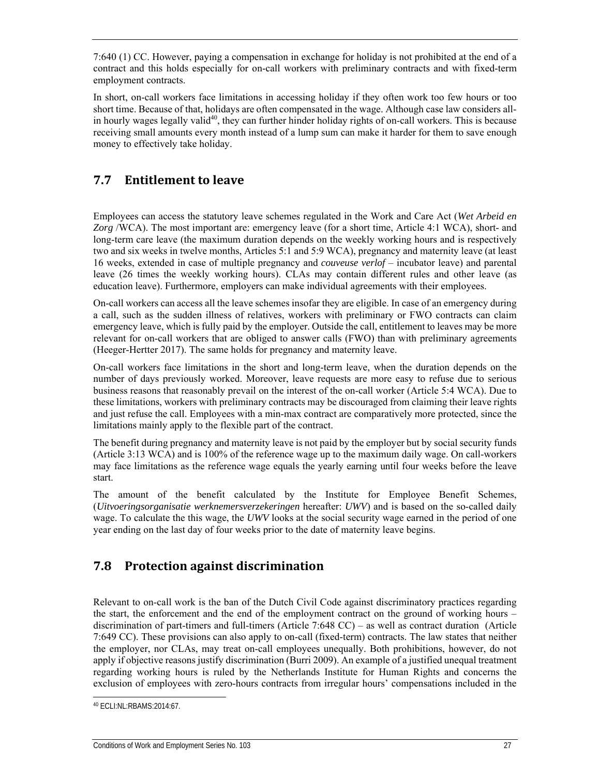7:640 (1) CC. However, paying a compensation in exchange for holiday is not prohibited at the end of a contract and this holds especially for on-call workers with preliminary contracts and with fixed-term employment contracts.

In short, on-call workers face limitations in accessing holiday if they often work too few hours or too short time. Because of that, holidays are often compensated in the wage. Although case law considers allin hourly wages legally valid<sup>40</sup>, they can further hinder holiday rights of on-call workers. This is because receiving small amounts every month instead of a lump sum can make it harder for them to save enough money to effectively take holiday.

## **7.7 Entitlement to leave**

Employees can access the statutory leave schemes regulated in the Work and Care Act (*Wet Arbeid en Zorg* /WCA). The most important are: emergency leave (for a short time, Article 4:1 WCA), short- and long-term care leave (the maximum duration depends on the weekly working hours and is respectively two and six weeks in twelve months, Articles 5:1 and 5:9 WCA), pregnancy and maternity leave (at least 16 weeks, extended in case of multiple pregnancy and *couveuse verlof* – incubator leave) and parental leave (26 times the weekly working hours). CLAs may contain different rules and other leave (as education leave). Furthermore, employers can make individual agreements with their employees.

On-call workers can access all the leave schemes insofar they are eligible. In case of an emergency during a call, such as the sudden illness of relatives, workers with preliminary or FWO contracts can claim emergency leave, which is fully paid by the employer. Outside the call, entitlement to leaves may be more relevant for on-call workers that are obliged to answer calls (FWO) than with preliminary agreements (Heeger-Hertter 2017). The same holds for pregnancy and maternity leave.

On-call workers face limitations in the short and long-term leave, when the duration depends on the number of days previously worked. Moreover, leave requests are more easy to refuse due to serious business reasons that reasonably prevail on the interest of the on-call worker (Article 5:4 WCA). Due to these limitations, workers with preliminary contracts may be discouraged from claiming their leave rights and just refuse the call. Employees with a min-max contract are comparatively more protected, since the limitations mainly apply to the flexible part of the contract.

The benefit during pregnancy and maternity leave is not paid by the employer but by social security funds (Article 3:13 WCA) and is 100% of the reference wage up to the maximum daily wage. On call-workers may face limitations as the reference wage equals the yearly earning until four weeks before the leave start.

The amount of the benefit calculated by the Institute for Employee Benefit Schemes, (*Uitvoeringsorganisatie werknemersverzekeringen* hereafter: *UWV*) and is based on the so-called daily wage. To calculate the this wage, the *UWV* looks at the social security wage earned in the period of one year ending on the last day of four weeks prior to the date of maternity leave begins.

## **7.8 Protection against discrimination**

Relevant to on-call work is the ban of the Dutch Civil Code against discriminatory practices regarding the start, the enforcement and the end of the employment contract on the ground of working hours – discrimination of part-timers and full-timers (Article 7:648 CC) – as well as contract duration (Article 7:649 CC). These provisions can also apply to on-call (fixed-term) contracts. The law states that neither the employer, nor CLAs, may treat on-call employees unequally. Both prohibitions, however, do not apply if objective reasons justify discrimination (Burri 2009). An example of a justified unequal treatment regarding working hours is ruled by the Netherlands Institute for Human Rights and concerns the exclusion of employees with zero-hours contracts from irregular hours' compensations included in the

ł 40 ECLI:NL:RBAMS:2014:67.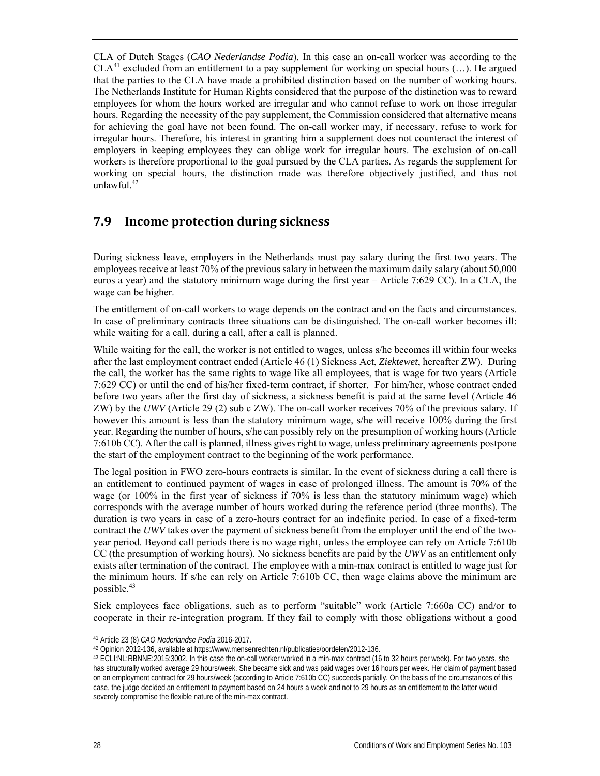CLA of Dutch Stages (*CAO Nederlandse Podia*). In this case an on-call worker was according to the  $CLA<sup>41</sup>$  excluded from an entitlement to a pay supplement for working on special hours (...). He argued that the parties to the CLA have made a prohibited distinction based on the number of working hours. The Netherlands Institute for Human Rights considered that the purpose of the distinction was to reward employees for whom the hours worked are irregular and who cannot refuse to work on those irregular hours. Regarding the necessity of the pay supplement, the Commission considered that alternative means for achieving the goal have not been found. The on-call worker may, if necessary, refuse to work for irregular hours. Therefore, his interest in granting him a supplement does not counteract the interest of employers in keeping employees they can oblige work for irregular hours. The exclusion of on-call workers is therefore proportional to the goal pursued by the CLA parties. As regards the supplement for working on special hours, the distinction made was therefore objectively justified, and thus not unlawful. $42$ 

### **7.9 Income protection during sickness**

During sickness leave, employers in the Netherlands must pay salary during the first two years. The employees receive at least 70% of the previous salary in between the maximum daily salary (about 50,000 euros a year) and the statutory minimum wage during the first year – Article 7:629 CC). In a CLA, the wage can be higher.

The entitlement of on-call workers to wage depends on the contract and on the facts and circumstances. In case of preliminary contracts three situations can be distinguished. The on-call worker becomes ill: while waiting for a call, during a call, after a call is planned.

While waiting for the call, the worker is not entitled to wages, unless s/he becomes ill within four weeks after the last employment contract ended (Article 46 (1) Sickness Act, *Ziektewet*, hereafter ZW). During the call, the worker has the same rights to wage like all employees, that is wage for two years (Article 7:629 CC) or until the end of his/her fixed-term contract, if shorter. For him/her, whose contract ended before two years after the first day of sickness, a sickness benefit is paid at the same level (Article 46 ZW) by the *UWV* (Article 29 (2) sub c ZW). The on-call worker receives 70% of the previous salary. If however this amount is less than the statutory minimum wage, s/he will receive 100% during the first year. Regarding the number of hours, s/he can possibly rely on the presumption of working hours (Article 7:610b CC). After the call is planned, illness gives right to wage, unless preliminary agreements postpone the start of the employment contract to the beginning of the work performance.

The legal position in FWO zero-hours contracts is similar. In the event of sickness during a call there is an entitlement to continued payment of wages in case of prolonged illness. The amount is 70% of the wage (or 100% in the first year of sickness if 70% is less than the statutory minimum wage) which corresponds with the average number of hours worked during the reference period (three months). The duration is two years in case of a zero-hours contract for an indefinite period. In case of a fixed-term contract the *UWV* takes over the payment of sickness benefit from the employer until the end of the twoyear period. Beyond call periods there is no wage right, unless the employee can rely on Article 7:610b CC (the presumption of working hours). No sickness benefits are paid by the *UWV* as an entitlement only exists after termination of the contract. The employee with a min-max contract is entitled to wage just for the minimum hours. If s/he can rely on Article 7:610b CC, then wage claims above the minimum are possible.<sup>43</sup>

Sick employees face obligations, such as to perform "suitable" work (Article 7:660a CC) and/or to cooperate in their re-integration program. If they fail to comply with those obligations without a good

<sup>1</sup> 

<sup>41</sup> Article 23 (8) *CAO Nederlandse Podia* 2016-2017. 42 Opinion 2012-136, available at https://www.mensenrechten.nl/publicaties/oordelen/2012-136.

<sup>43</sup> ECLI:NL:RBNNE:2015:3002. In this case the on-call worker worked in a min-max contract (16 to 32 hours per week). For two years, she has structurally worked average 29 hours/week. She became sick and was paid wages over 16 hours per week. Her claim of payment based on an employment contract for 29 hours/week (according to Article 7:610b CC) succeeds partially. On the basis of the circumstances of this case, the judge decided an entitlement to payment based on 24 hours a week and not to 29 hours as an entitlement to the latter would severely compromise the flexible nature of the min-max contract.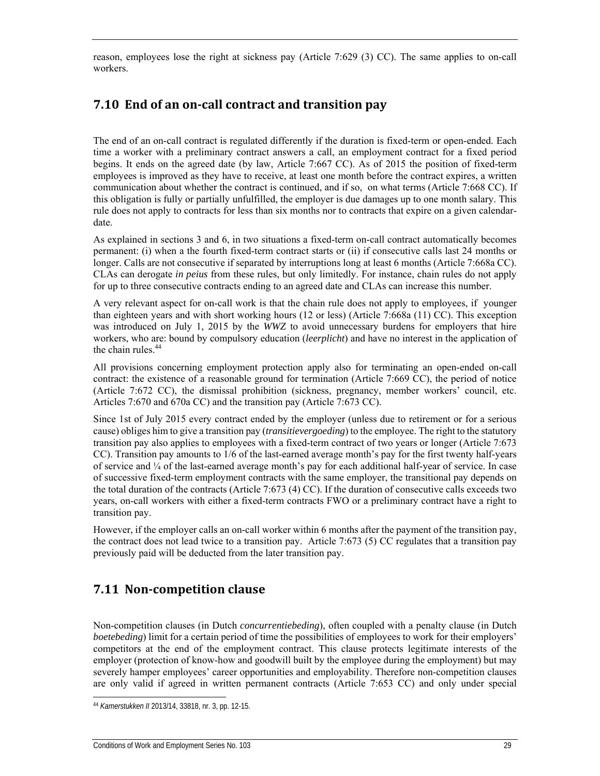reason, employees lose the right at sickness pay (Article 7:629 (3) CC). The same applies to on-call workers.

## **7.10 End of an on‐call contract and transition pay**

The end of an on-call contract is regulated differently if the duration is fixed-term or open-ended. Each time a worker with a preliminary contract answers a call, an employment contract for a fixed period begins. It ends on the agreed date (by law, Article 7:667 CC). As of 2015 the position of fixed-term employees is improved as they have to receive, at least one month before the contract expires, a written communication about whether the contract is continued, and if so, on what terms (Article 7:668 CC). If this obligation is fully or partially unfulfilled, the employer is due damages up to one month salary. This rule does not apply to contracts for less than six months nor to contracts that expire on a given calendardate.

As explained in sections 3 and 6, in two situations a fixed-term on-call contract automatically becomes permanent: (i) when a the fourth fixed-term contract starts or (ii) if consecutive calls last 24 months or longer. Calls are not consecutive if separated by interruptions long at least 6 months (Article 7:668a CC). CLAs can derogate *in peius* from these rules, but only limitedly. For instance, chain rules do not apply for up to three consecutive contracts ending to an agreed date and CLAs can increase this number.

A very relevant aspect for on-call work is that the chain rule does not apply to employees, if younger than eighteen years and with short working hours (12 or less) (Article 7:668a (11) CC). This exception was introduced on July 1, 2015 by the *WWZ* to avoid unnecessary burdens for employers that hire workers, who are: bound by compulsory education (*leerplicht*) and have no interest in the application of the chain rules.<sup>44</sup>

All provisions concerning employment protection apply also for terminating an open-ended on-call contract: the existence of a reasonable ground for termination (Article 7:669 CC), the period of notice (Article 7:672 CC), the dismissal prohibition (sickness, pregnancy, member workers' council, etc. Articles 7:670 and 670a CC) and the transition pay (Article 7:673 CC).

Since 1st of July 2015 every contract ended by the employer (unless due to retirement or for a serious cause) obliges him to give a transition pay (*transitievergoeding*) to the employee. The right to the statutory transition pay also applies to employees with a fixed-term contract of two years or longer (Article 7:673 CC). Transition pay amounts to 1/6 of the last-earned average month's pay for the first twenty half-years of service and ¼ of the last-earned average month's pay for each additional half-year of service. In case of successive fixed-term employment contracts with the same employer, the transitional pay depends on the total duration of the contracts (Article 7:673 (4) CC). If the duration of consecutive calls exceeds two years, on-call workers with either a fixed-term contracts FWO or a preliminary contract have a right to transition pay.

However, if the employer calls an on-call worker within 6 months after the payment of the transition pay, the contract does not lead twice to a transition pay. Article 7:673 (5) CC regulates that a transition pay previously paid will be deducted from the later transition pay.

## **7.11 Non‐competition clause**

Non-competition clauses (in Dutch *concurrentiebeding*), often coupled with a penalty clause (in Dutch *boetebeding*) limit for a certain period of time the possibilities of employees to work for their employers' competitors at the end of the employment contract. This clause protects legitimate interests of the employer (protection of know-how and goodwill built by the employee during the employment) but may severely hamper employees' career opportunities and employability. Therefore non-competition clauses are only valid if agreed in written permanent contracts (Article 7:653 CC) and only under special

<sup>44</sup> *Kamerstukken II* 2013/14, 33818, nr. 3, pp. 12-15.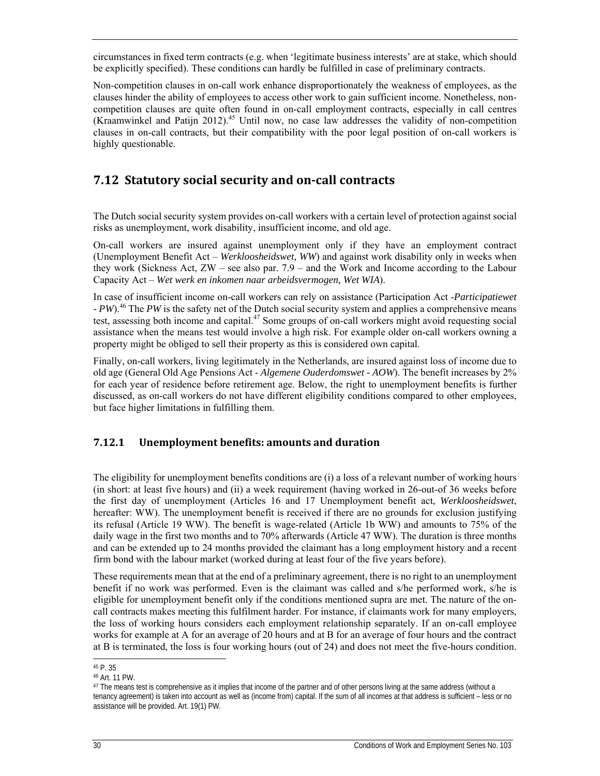circumstances in fixed term contracts (e.g. when 'legitimate business interests' are at stake, which should be explicitly specified). These conditions can hardly be fulfilled in case of preliminary contracts.

Non-competition clauses in on-call work enhance disproportionately the weakness of employees, as the clauses hinder the ability of employees to access other work to gain sufficient income. Nonetheless, noncompetition clauses are quite often found in on-call employment contracts, especially in call centres (Kraamwinkel and Patijn 2012).45 Until now, no case law addresses the validity of non-competition clauses in on-call contracts, but their compatibility with the poor legal position of on-call workers is highly questionable.

## **7.12 Statutory social security and on‐call contracts**

The Dutch social security system provides on-call workers with a certain level of protection against social risks as unemployment, work disability, insufficient income, and old age.

On-call workers are insured against unemployment only if they have an employment contract (Unemployment Benefit Act – *Werkloosheidswet, WW*) and against work disability only in weeks when they work (Sickness Act, ZW – see also par. 7.9 – and the Work and Income according to the Labour Capacity Act – *Wet werk en inkomen naar arbeidsvermogen, Wet WIA*).

In case of insufficient income on-call workers can rely on assistance (Participation Act -*Participatiewet - PW*).46 The *PW* is the safety net of the Dutch social security system and applies a comprehensive means test, assessing both income and capital.<sup>47</sup> Some groups of on-call workers might avoid requesting social assistance when the means test would involve a high risk. For example older on-call workers owning a property might be obliged to sell their property as this is considered own capital.

Finally, on-call workers, living legitimately in the Netherlands, are insured against loss of income due to old age (General Old Age Pensions Act - *Algemene Ouderdomswet - AOW*). The benefit increases by 2% for each year of residence before retirement age. Below, the right to unemployment benefits is further discussed, as on-call workers do not have different eligibility conditions compared to other employees, but face higher limitations in fulfilling them.

### **7.12.1 Unemployment benefits: amounts and duration**

The eligibility for unemployment benefits conditions are (i) a loss of a relevant number of working hours (in short: at least five hours) and (ii) a week requirement (having worked in 26-out-of 36 weeks before the first day of unemployment (Articles 16 and 17 Unemployment benefit act, *Werkloosheidswet*, hereafter: WW). The unemployment benefit is received if there are no grounds for exclusion justifying its refusal (Article 19 WW). The benefit is wage-related (Article 1b WW) and amounts to 75% of the daily wage in the first two months and to 70% afterwards (Article 47 WW). The duration is three months and can be extended up to 24 months provided the claimant has a long employment history and a recent firm bond with the labour market (worked during at least four of the five years before).

These requirements mean that at the end of a preliminary agreement, there is no right to an unemployment benefit if no work was performed. Even is the claimant was called and s/he performed work, s/he is eligible for unemployment benefit only if the conditions mentioned supra are met. The nature of the oncall contracts makes meeting this fulfilment harder. For instance, if claimants work for many employers, the loss of working hours considers each employment relationship separately. If an on-call employee works for example at A for an average of 20 hours and at B for an average of four hours and the contract at B is terminated, the loss is four working hours (out of 24) and does not meet the five-hours condition.

1

<sup>45</sup> P. 35

<sup>46</sup> Art. 11 PW.

<sup>&</sup>lt;sup>47</sup> The means test is comprehensive as it implies that income of the partner and of other persons living at the same address (without a tenancy agreement) is taken into account as well as (income from) capital. If the sum of all incomes at that address is sufficient – less or no assistance will be provided. Art. 19(1) PW.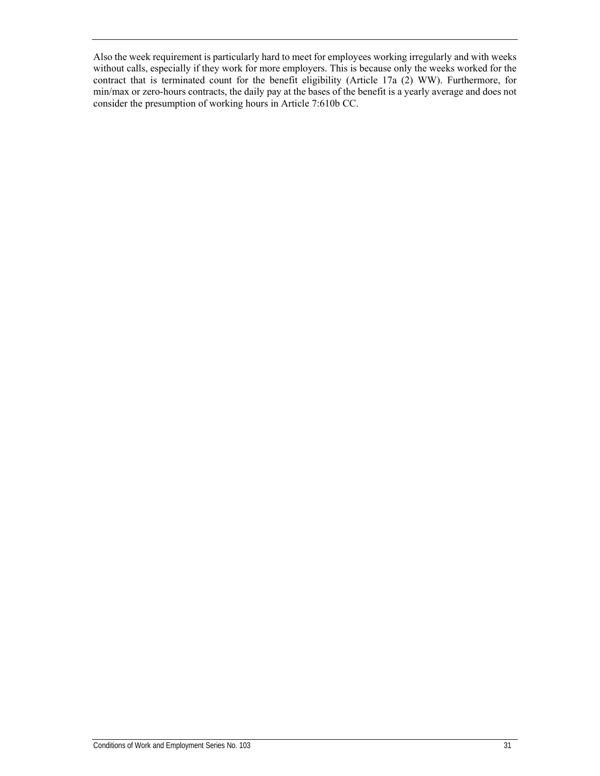Also the week requirement is particularly hard to meet for employees working irregularly and with weeks without calls, especially if they work for more employers. This is because only the weeks worked for the contract that is terminated count for the benefit eligibility (Article 17a (2) WW). Furthermore, for min/max or zero-hours contracts, the daily pay at the bases of the benefit is a yearly average and does not consider the presumption of working hours in Article 7:610b CC.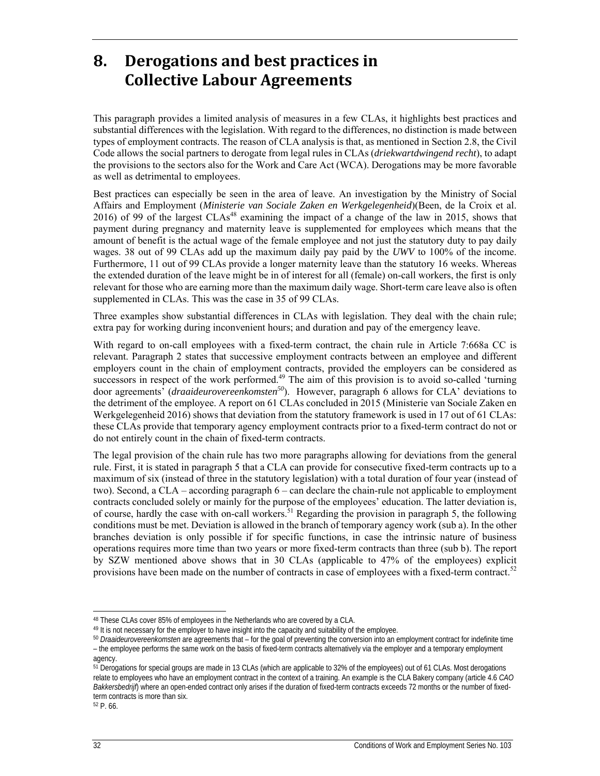# **8. Derogations and best practices in Collective Labour Agreements**

This paragraph provides a limited analysis of measures in a few CLAs, it highlights best practices and substantial differences with the legislation. With regard to the differences, no distinction is made between types of employment contracts. The reason of CLA analysis is that, as mentioned in Section 2.8, the Civil Code allows the social partners to derogate from legal rules in CLAs (*driekwartdwingend recht*), to adapt the provisions to the sectors also for the Work and Care Act (WCA). Derogations may be more favorable as well as detrimental to employees.

Best practices can especially be seen in the area of leave. An investigation by the Ministry of Social Affairs and Employment (*Ministerie van Sociale Zaken en Werkgelegenheid*)(Been, de la Croix et al. 2016) of 99 of the largest CLAs<sup>48</sup> examining the impact of a change of the law in 2015, shows that payment during pregnancy and maternity leave is supplemented for employees which means that the amount of benefit is the actual wage of the female employee and not just the statutory duty to pay daily wages. 38 out of 99 CLAs add up the maximum daily pay paid by the *UWV* to 100% of the income. Furthermore, 11 out of 99 CLAs provide a longer maternity leave than the statutory 16 weeks. Whereas the extended duration of the leave might be in of interest for all (female) on-call workers, the first is only relevant for those who are earning more than the maximum daily wage. Short-term care leave also is often supplemented in CLAs. This was the case in 35 of 99 CLAs.

Three examples show substantial differences in CLAs with legislation. They deal with the chain rule; extra pay for working during inconvenient hours; and duration and pay of the emergency leave.

With regard to on-call employees with a fixed-term contract, the chain rule in Article 7:668a CC is relevant. Paragraph 2 states that successive employment contracts between an employee and different employers count in the chain of employment contracts, provided the employers can be considered as successors in respect of the work performed.<sup>49</sup> The aim of this provision is to avoid so-called 'turning door agreements' (*draaideurovereenkomsten50*). However, paragraph 6 allows for CLA' deviations to the detriment of the employee. A report on 61 CLAs concluded in 2015 (Ministerie van Sociale Zaken en Werkgelegenheid 2016) shows that deviation from the statutory framework is used in 17 out of 61 CLAs: these CLAs provide that temporary agency employment contracts prior to a fixed-term contract do not or do not entirely count in the chain of fixed-term contracts.

The legal provision of the chain rule has two more paragraphs allowing for deviations from the general rule. First, it is stated in paragraph 5 that a CLA can provide for consecutive fixed-term contracts up to a maximum of six (instead of three in the statutory legislation) with a total duration of four year (instead of two). Second, a CLA – according paragraph 6 – can declare the chain-rule not applicable to employment contracts concluded solely or mainly for the purpose of the employees' education. The latter deviation is, of course, hardly the case with on-call workers.51 Regarding the provision in paragraph 5, the following conditions must be met. Deviation is allowed in the branch of temporary agency work (sub a). In the other branches deviation is only possible if for specific functions, in case the intrinsic nature of business operations requires more time than two years or more fixed-term contracts than three (sub b). The report by SZW mentioned above shows that in 30 CLAs (applicable to 47% of the employees) explicit provisions have been made on the number of contracts in case of employees with a fixed-term contract. $5<sup>2</sup>$ 

52 P. 66.

-

<sup>48</sup> These CLAs cover 85% of employees in the Netherlands who are covered by a CLA.

<sup>49</sup> It is not necessary for the employer to have insight into the capacity and suitability of the employee.

<sup>50</sup> *Draaideurovereenkomsten* are agreements that – for the goal of preventing the conversion into an employment contract for indefinite time – the employee performs the same work on the basis of fixed-term contracts alternatively via the employer and a temporary employment agency.

<sup>&</sup>lt;sup>51</sup> Derogations for special groups are made in 13 CLAs (which are applicable to 32% of the employees) out of 61 CLAs. Most derogations relate to employees who have an employment contract in the context of a training. An example is the CLA Bakery company (article 4.6 *CAO Bakkersbedrijf*) where an open-ended contract only arises if the duration of fixed-term contracts exceeds 72 months or the number of fixedterm contracts is more than six.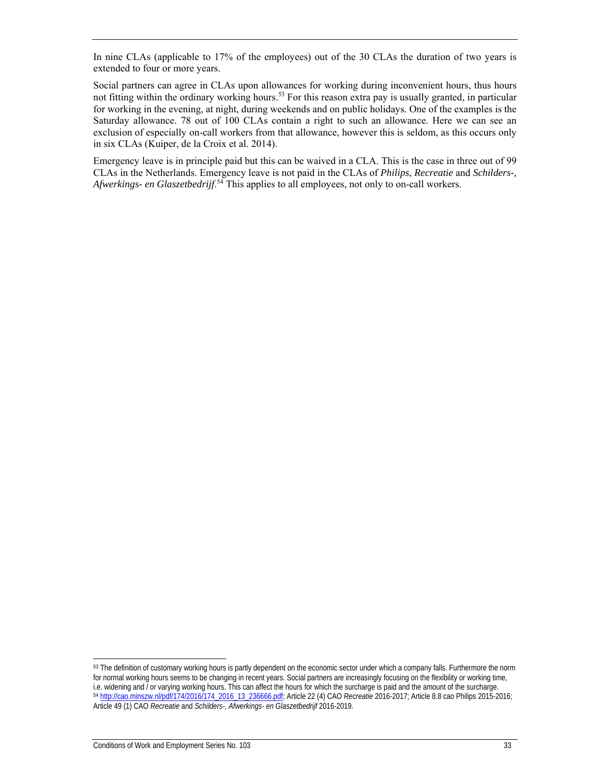In nine CLAs (applicable to 17% of the employees) out of the 30 CLAs the duration of two years is extended to four or more years.

Social partners can agree in CLAs upon allowances for working during inconvenient hours, thus hours not fitting within the ordinary working hours.<sup>53</sup> For this reason extra pay is usually granted, in particular for working in the evening, at night, during weekends and on public holidays. One of the examples is the Saturday allowance. 78 out of 100 CLAs contain a right to such an allowance. Here we can see an exclusion of especially on-call workers from that allowance, however this is seldom, as this occurs only in six CLAs (Kuiper, de la Croix et al. 2014).

Emergency leave is in principle paid but this can be waived in a CLA. This is the case in three out of 99 CLAs in the Netherlands. Emergency leave is not paid in the CLAs of *Philips*, *Recreatie* and *Schilders-,*  Afwerkings- en Glaszetbedrijf.<sup>54</sup> This applies to all employees, not only to on-call workers.

1

<sup>&</sup>lt;sup>53</sup> The definition of customary working hours is partly dependent on the economic sector under which a company falls. Furthermore the norm for normal working hours seems to be changing in recent years. Social partners are increasingly focusing on the flexibility or working time, i.e. widening and *I* or varying working hours. This can affect the hours for which the surcharge is paid and the amount of the surcharge.<br><sup>54</sup> http://cao.minszw.nl/pdf/174/2016/174 2016 13 236666.pdf; Article 22 (4) CAO Article 49 (1) CAO *Recreatie* and *Schilders-, Afwerkings- en Glaszetbedrijf* 2016-2019.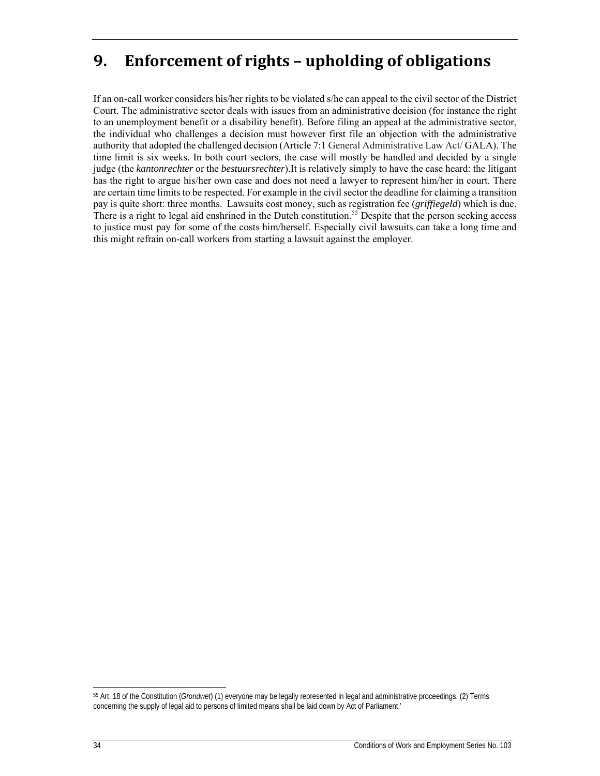# **9. Enforcement of rights – upholding of obligations**

If an on-call worker considers his/her rights to be violated s/he can appeal to the civil sector of the District Court. The administrative sector deals with issues from an administrative decision (for instance the right to an unemployment benefit or a disability benefit). Before filing an appeal at the administrative sector, the individual who challenges a decision must however first file an objection with the administrative authority that adopted the challenged decision (Article 7:1 General Administrative Law Act/ GALA). The time limit is six weeks. In both court sectors, the case will mostly be handled and decided by a single judge (the *kantonrechter* or the *bestuursrechter*).It is relatively simply to have the case heard: the litigant has the right to argue his/her own case and does not need a lawyer to represent him/her in court. There are certain time limits to be respected. For example in the civil sector the deadline for claiming a transition pay is quite short: three months. Lawsuits cost money, such as registration fee (*griffiegeld*) which is due. There is a right to legal aid enshrined in the Dutch constitution.<sup>55</sup> Despite that the person seeking access to justice must pay for some of the costs him/herself. Especially civil lawsuits can take a long time and this might refrain on-call workers from starting a lawsuit against the employer.

ł

<sup>55</sup> Art. 18 of the Constitution (*Grondwet*) (1) everyone may be legally represented in legal and administrative proceedings. (2) Terms concerning the supply of legal aid to persons of limited means shall be laid down by Act of Parliament.'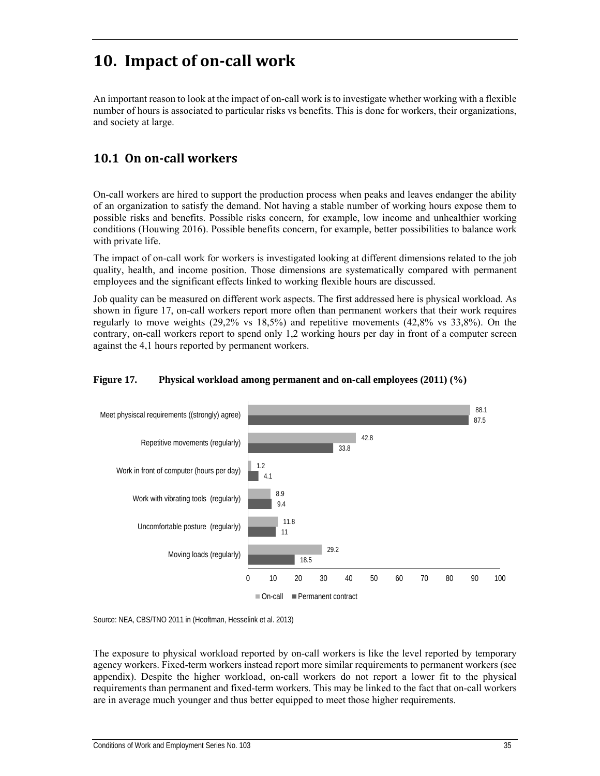# **10. Impact of on‐call work**

An important reason to look at the impact of on-call work is to investigate whether working with a flexible number of hours is associated to particular risks vs benefits. This is done for workers, their organizations, and society at large.

## **10.1 On on‐call workers**

On-call workers are hired to support the production process when peaks and leaves endanger the ability of an organization to satisfy the demand. Not having a stable number of working hours expose them to possible risks and benefits. Possible risks concern, for example, low income and unhealthier working conditions (Houwing 2016). Possible benefits concern, for example, better possibilities to balance work with private life.

The impact of on-call work for workers is investigated looking at different dimensions related to the job quality, health, and income position. Those dimensions are systematically compared with permanent employees and the significant effects linked to working flexible hours are discussed.

Job quality can be measured on different work aspects. The first addressed here is physical workload. As shown in figure 17, on-call workers report more often than permanent workers that their work requires regularly to move weights (29,2% vs 18,5%) and repetitive movements (42,8% vs 33,8%). On the contrary, on-call workers report to spend only 1,2 working hours per day in front of a computer screen against the 4,1 hours reported by permanent workers.

#### **Figure 17. Physical workload among permanent and on-call employees (2011) (%)**



Source: NEA, CBS/TNO 2011 in (Hooftman, Hesselink et al. 2013)

The exposure to physical workload reported by on-call workers is like the level reported by temporary agency workers. Fixed-term workers instead report more similar requirements to permanent workers (see appendix). Despite the higher workload, on-call workers do not report a lower fit to the physical requirements than permanent and fixed-term workers. This may be linked to the fact that on-call workers are in average much younger and thus better equipped to meet those higher requirements.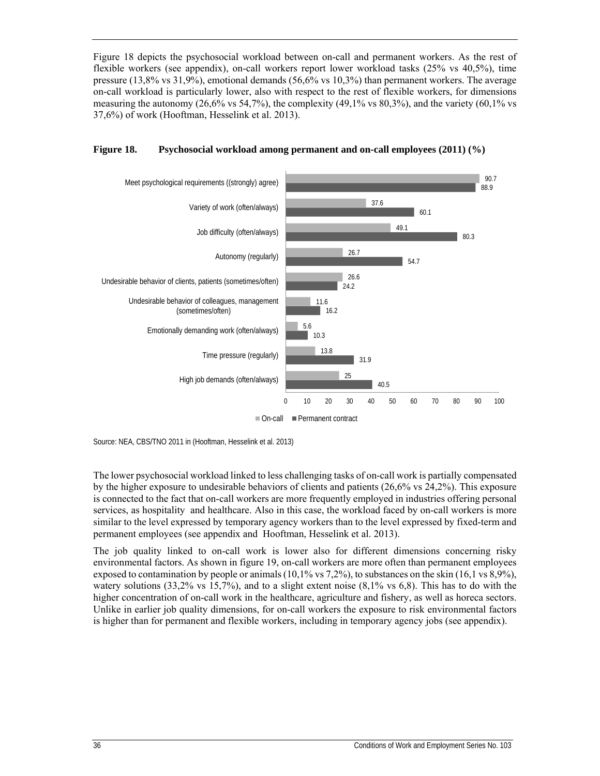Figure 18 depicts the psychosocial workload between on-call and permanent workers. As the rest of flexible workers (see appendix), on-call workers report lower workload tasks (25% vs 40,5%), time pressure (13,8% vs 31,9%), emotional demands (56,6% vs 10,3%) than permanent workers. The average on-call workload is particularly lower, also with respect to the rest of flexible workers, for dimensions measuring the autonomy  $(26.6\% \text{ vs } 54.7\%)$ , the complexity  $(49.1\% \text{ vs } 80.3\%)$ , and the variety  $(60.1\% \text{ vs } 54.7\%)$ 37,6%) of work (Hooftman, Hesselink et al. 2013).



#### **Figure 18. Psychosocial workload among permanent and on-call employees (2011) (%)**

Source: NEA, CBS/TNO 2011 in (Hooftman, Hesselink et al. 2013)

The lower psychosocial workload linked to less challenging tasks of on-call work is partially compensated by the higher exposure to undesirable behaviors of clients and patients (26,6% vs 24,2%). This exposure is connected to the fact that on-call workers are more frequently employed in industries offering personal services, as hospitality and healthcare. Also in this case, the workload faced by on-call workers is more similar to the level expressed by temporary agency workers than to the level expressed by fixed-term and permanent employees (see appendix and Hooftman, Hesselink et al. 2013).

The job quality linked to on-call work is lower also for different dimensions concerning risky environmental factors. As shown in figure 19, on-call workers are more often than permanent employees exposed to contamination by people or animals  $(10,1\%$  vs 7,2%), to substances on the skin  $(16,1 \text{ vs } 8,9\%),$ watery solutions  $(33,2\% \text{ vs } 15,7\%)$ , and to a slight extent noise  $(8,1\% \text{ vs } 6,8)$ . This has to do with the higher concentration of on-call work in the healthcare, agriculture and fishery, as well as horeca sectors. Unlike in earlier job quality dimensions, for on-call workers the exposure to risk environmental factors is higher than for permanent and flexible workers, including in temporary agency jobs (see appendix).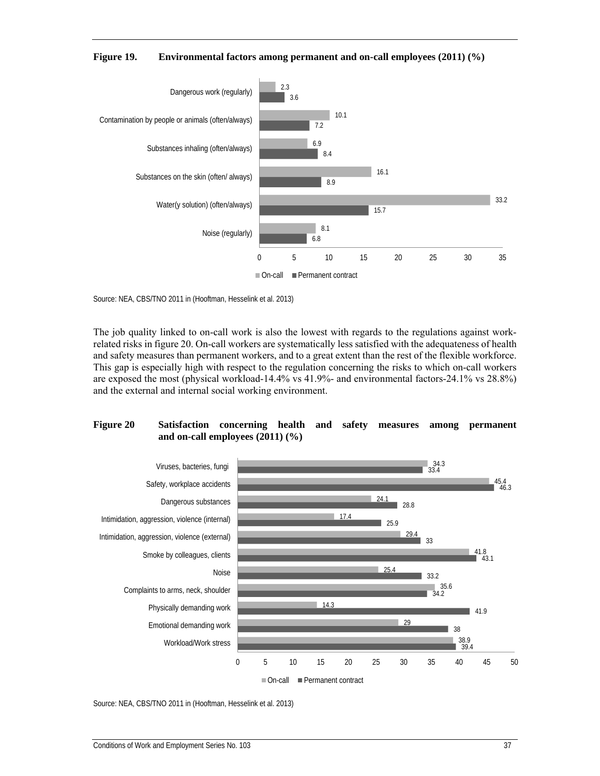



Source: NEA, CBS/TNO 2011 in (Hooftman, Hesselink et al. 2013)

The job quality linked to on-call work is also the lowest with regards to the regulations against workrelated risks in figure 20. On-call workers are systematically less satisfied with the adequateness of health and safety measures than permanent workers, and to a great extent than the rest of the flexible workforce. This gap is especially high with respect to the regulation concerning the risks to which on-call workers are exposed the most (physical workload-14.4% vs 41.9%- and environmental factors-24.1% vs 28.8%) and the external and internal social working environment.

#### **Figure 20 Satisfaction concerning health and safety measures among permanent and on-call employees (2011) (%)**

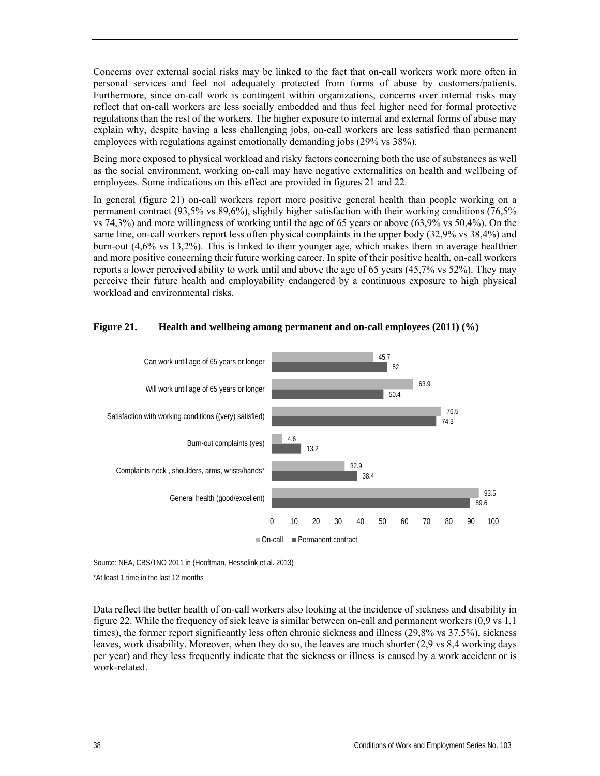Concerns over external social risks may be linked to the fact that on-call workers work more often in personal services and feel not adequately protected from forms of abuse by customers/patients. Furthermore, since on-call work is contingent within organizations, concerns over internal risks may reflect that on-call workers are less socially embedded and thus feel higher need for formal protective regulations than the rest of the workers. The higher exposure to internal and external forms of abuse may explain why, despite having a less challenging jobs, on-call workers are less satisfied than permanent employees with regulations against emotionally demanding jobs (29% vs 38%).

Being more exposed to physical workload and risky factors concerning both the use of substances as well as the social environment, working on-call may have negative externalities on health and wellbeing of employees. Some indications on this effect are provided in figures 21 and 22.

In general (figure 21) on-call workers report more positive general health than people working on a permanent contract (93,5% vs 89,6%), slightly higher satisfaction with their working conditions (76,5% vs 74,3%) and more willingness of working until the age of 65 years or above (63,9% vs 50,4%). On the same line, on-call workers report less often physical complaints in the upper body (32,9% vs 38,4%) and burn-out (4,6% vs 13,2%). This is linked to their younger age, which makes them in average healthier and more positive concerning their future working career. In spite of their positive health, on-call workers reports a lower perceived ability to work until and above the age of 65 years (45,7% vs 52%). They may perceive their future health and employability endangered by a continuous exposure to high physical workload and environmental risks.



#### **Figure 21. Health and wellbeing among permanent and on-call employees (2011) (%)**

Source: NEA, CBS/TNO 2011 in (Hooftman, Hesselink et al. 2013)

\*At least 1 time in the last 12 months

Data reflect the better health of on-call workers also looking at the incidence of sickness and disability in figure 22. While the frequency of sick leave is similar between on-call and permanent workers (0,9 vs 1,1 times), the former report significantly less often chronic sickness and illness (29,8% vs 37,5%), sickness leaves, work disability. Moreover, when they do so, the leaves are much shorter (2,9 vs 8,4 working days per year) and they less frequently indicate that the sickness or illness is caused by a work accident or is work-related.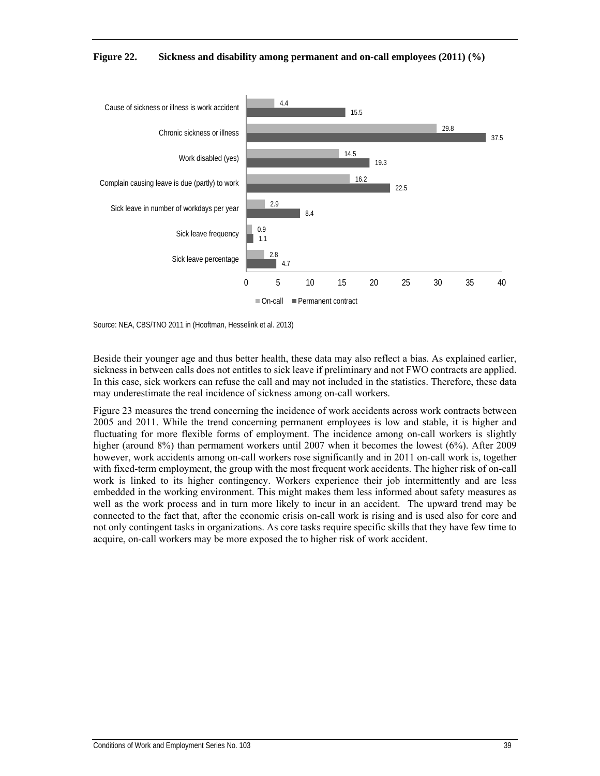



Source: NEA, CBS/TNO 2011 in (Hooftman, Hesselink et al. 2013)

Beside their younger age and thus better health, these data may also reflect a bias. As explained earlier, sickness in between calls does not entitles to sick leave if preliminary and not FWO contracts are applied. In this case, sick workers can refuse the call and may not included in the statistics. Therefore, these data may underestimate the real incidence of sickness among on-call workers.

Figure 23 measures the trend concerning the incidence of work accidents across work contracts between 2005 and 2011. While the trend concerning permanent employees is low and stable, it is higher and fluctuating for more flexible forms of employment. The incidence among on-call workers is slightly higher (around 8%) than permament workers until 2007 when it becomes the lowest (6%). After 2009 however, work accidents among on-call workers rose significantly and in 2011 on-call work is, together with fixed-term employment, the group with the most frequent work accidents. The higher risk of on-call work is linked to its higher contingency. Workers experience their job intermittently and are less embedded in the working environment. This might makes them less informed about safety measures as well as the work process and in turn more likely to incur in an accident. The upward trend may be connected to the fact that, after the economic crisis on-call work is rising and is used also for core and not only contingent tasks in organizations. As core tasks require specific skills that they have few time to acquire, on-call workers may be more exposed the to higher risk of work accident.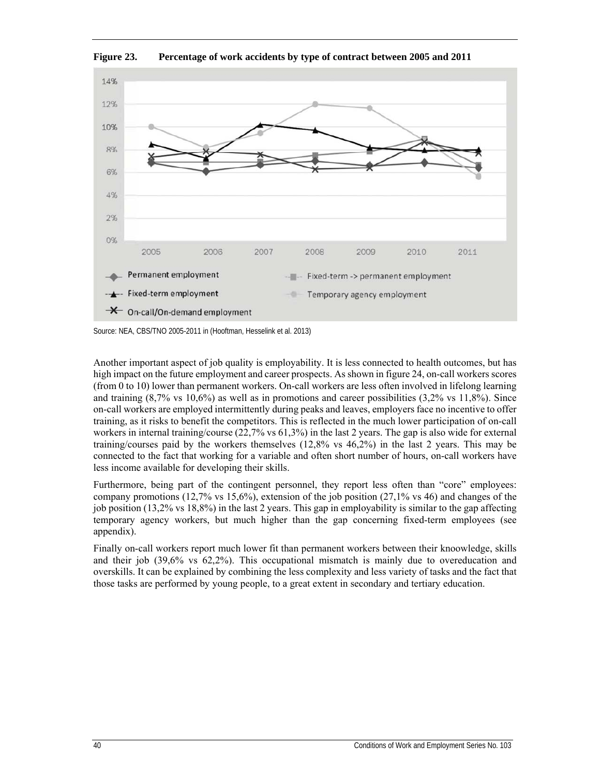

**Figure 23. Percentage of work accidents by type of contract between 2005 and 2011** 

Source: NEA, CBS/TNO 2005-2011 in (Hooftman, Hesselink et al. 2013)

Another important aspect of job quality is employability. It is less connected to health outcomes, but has high impact on the future employment and career prospects. As shown in figure 24, on-call workers scores (from 0 to 10) lower than permanent workers. On-call workers are less often involved in lifelong learning and training (8,7% vs 10,6%) as well as in promotions and career possibilities (3,2% vs 11,8%). Since on-call workers are employed intermittently during peaks and leaves, employers face no incentive to offer training, as it risks to benefit the competitors. This is reflected in the much lower participation of on-call workers in internal training/course (22,7% vs 61,3%) in the last 2 years. The gap is also wide for external training/courses paid by the workers themselves (12,8% vs 46,2%) in the last 2 years. This may be connected to the fact that working for a variable and often short number of hours, on-call workers have less income available for developing their skills.

Furthermore, being part of the contingent personnel, they report less often than "core" employees: company promotions (12,7% vs 15,6%), extension of the job position (27,1% vs 46) and changes of the job position (13,2% vs 18,8%) in the last 2 years. This gap in employability is similar to the gap affecting temporary agency workers, but much higher than the gap concerning fixed-term employees (see appendix).

Finally on-call workers report much lower fit than permanent workers between their knoowledge, skills and their job (39,6% vs 62,2%). This occupational mismatch is mainly due to overeducation and overskills. It can be explained by combining the less complexity and less variety of tasks and the fact that those tasks are performed by young people, to a great extent in secondary and tertiary education.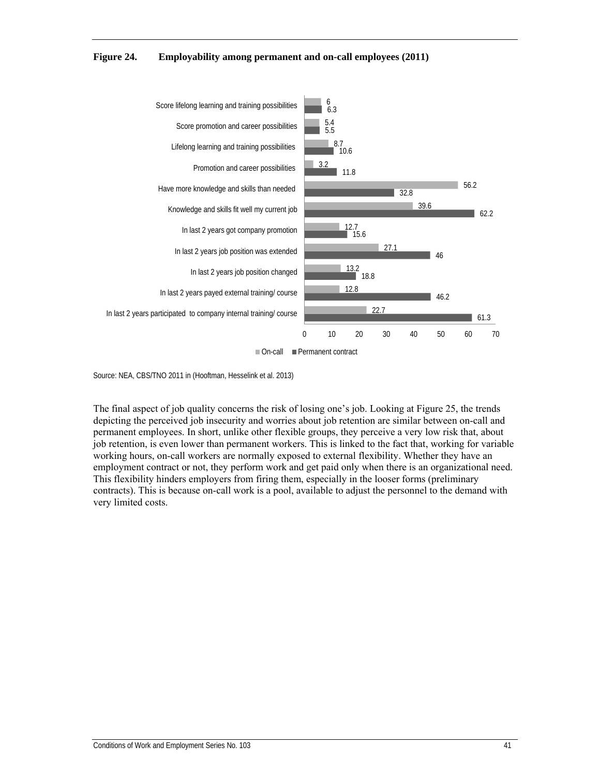**Figure 24. Employability among permanent and on-call employees (2011)** 



Source: NEA, CBS/TNO 2011 in (Hooftman, Hesselink et al. 2013)

The final aspect of job quality concerns the risk of losing one's job. Looking at Figure 25, the trends depicting the perceived job insecurity and worries about job retention are similar between on-call and permanent employees. In short, unlike other flexible groups, they perceive a very low risk that, about job retention, is even lower than permanent workers. This is linked to the fact that, working for variable working hours, on-call workers are normally exposed to external flexibility. Whether they have an employment contract or not, they perform work and get paid only when there is an organizational need. This flexibility hinders employers from firing them, especially in the looser forms (preliminary contracts). This is because on-call work is a pool, available to adjust the personnel to the demand with very limited costs.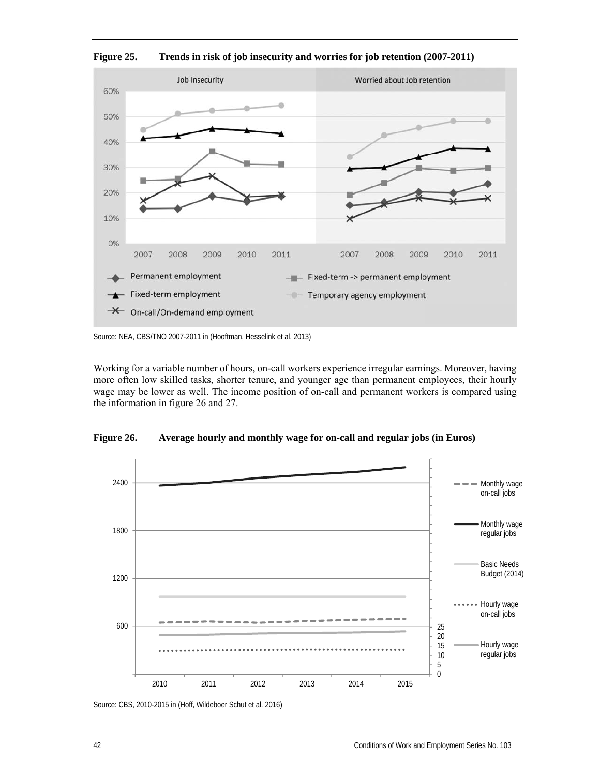

**Figure 25. Trends in risk of job insecurity and worries for job retention (2007-2011)** 

Source: NEA, CBS/TNO 2007-2011 in (Hooftman, Hesselink et al. 2013)

Working for a variable number of hours, on-call workers experience irregular earnings. Moreover, having more often low skilled tasks, shorter tenure, and younger age than permanent employees, their hourly wage may be lower as well. The income position of on-call and permanent workers is compared using the information in figure 26 and 27.



**Figure 26. Average hourly and monthly wage for on-call and regular jobs (in Euros)** 

Source: CBS, 2010-2015 in (Hoff, Wildeboer Schut et al. 2016)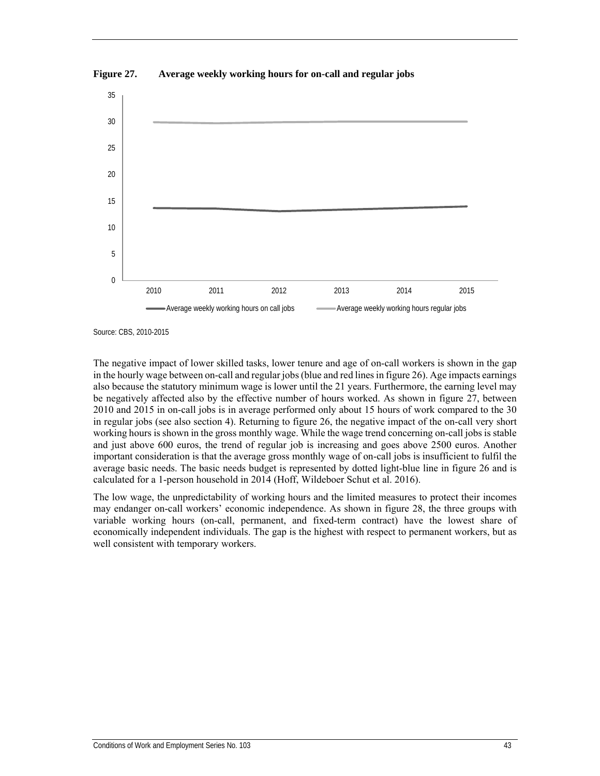

**Figure 27. Average weekly working hours for on-call and regular jobs** 

Source: CBS, 2010-2015

The negative impact of lower skilled tasks, lower tenure and age of on-call workers is shown in the gap in the hourly wage between on-call and regular jobs (blue and red lines in figure 26). Age impacts earnings also because the statutory minimum wage is lower until the 21 years. Furthermore, the earning level may be negatively affected also by the effective number of hours worked. As shown in figure 27, between 2010 and 2015 in on-call jobs is in average performed only about 15 hours of work compared to the 30 in regular jobs (see also section 4). Returning to figure 26, the negative impact of the on-call very short working hours is shown in the gross monthly wage. While the wage trend concerning on-call jobs is stable and just above 600 euros, the trend of regular job is increasing and goes above 2500 euros. Another important consideration is that the average gross monthly wage of on-call jobs is insufficient to fulfil the average basic needs. The basic needs budget is represented by dotted light-blue line in figure 26 and is calculated for a 1-person household in 2014 (Hoff, Wildeboer Schut et al. 2016).

The low wage, the unpredictability of working hours and the limited measures to protect their incomes may endanger on-call workers' economic independence. As shown in figure 28, the three groups with variable working hours (on-call, permanent, and fixed-term contract) have the lowest share of economically independent individuals. The gap is the highest with respect to permanent workers, but as well consistent with temporary workers.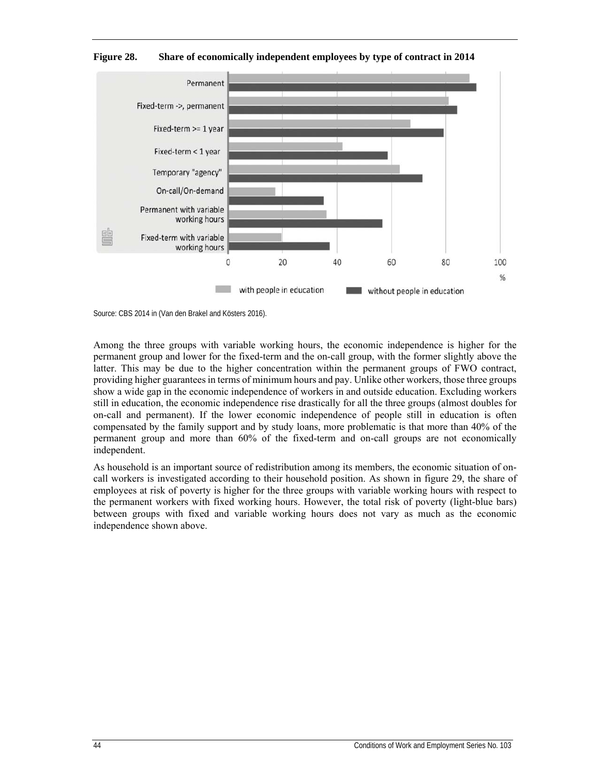

**Figure 28. Share of economically independent employees by type of contract in 2014** 

Among the three groups with variable working hours, the economic independence is higher for the permanent group and lower for the fixed-term and the on-call group, with the former slightly above the latter. This may be due to the higher concentration within the permanent groups of FWO contract, providing higher guarantees in terms of minimum hours and pay. Unlike other workers, those three groups show a wide gap in the economic independence of workers in and outside education. Excluding workers still in education, the economic independence rise drastically for all the three groups (almost doubles for on-call and permanent). If the lower economic independence of people still in education is often compensated by the family support and by study loans, more problematic is that more than 40% of the permanent group and more than 60% of the fixed-term and on-call groups are not economically independent.

As household is an important source of redistribution among its members, the economic situation of oncall workers is investigated according to their household position. As shown in figure 29, the share of employees at risk of poverty is higher for the three groups with variable working hours with respect to the permanent workers with fixed working hours. However, the total risk of poverty (light-blue bars) between groups with fixed and variable working hours does not vary as much as the economic independence shown above.

Source: CBS 2014 in (Van den Brakel and Kösters 2016).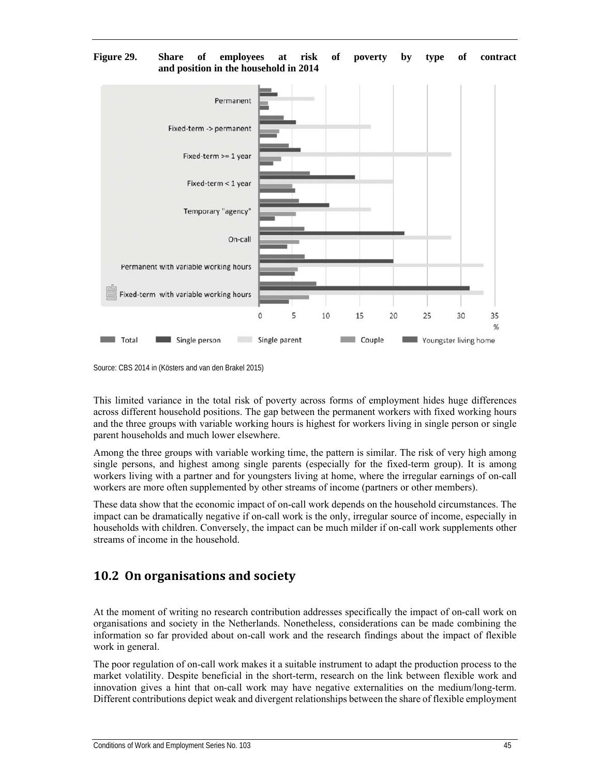#### **Figure 29. Share of employees at risk of poverty by type of contract and position in the household in 2014**



Source: CBS 2014 in (Kösters and van den Brakel 2015)

This limited variance in the total risk of poverty across forms of employment hides huge differences across different household positions. The gap between the permanent workers with fixed working hours and the three groups with variable working hours is highest for workers living in single person or single parent households and much lower elsewhere.

Among the three groups with variable working time, the pattern is similar. The risk of very high among single persons, and highest among single parents (especially for the fixed-term group). It is among workers living with a partner and for youngsters living at home, where the irregular earnings of on-call workers are more often supplemented by other streams of income (partners or other members).

These data show that the economic impact of on-call work depends on the household circumstances. The impact can be dramatically negative if on-call work is the only, irregular source of income, especially in households with children. Conversely, the impact can be much milder if on-call work supplements other streams of income in the household.

## **10.2 On organisations and society**

At the moment of writing no research contribution addresses specifically the impact of on-call work on organisations and society in the Netherlands. Nonetheless, considerations can be made combining the information so far provided about on-call work and the research findings about the impact of flexible work in general.

The poor regulation of on-call work makes it a suitable instrument to adapt the production process to the market volatility. Despite beneficial in the short-term, research on the link between flexible work and innovation gives a hint that on-call work may have negative externalities on the medium/long-term. Different contributions depict weak and divergent relationships between the share of flexible employment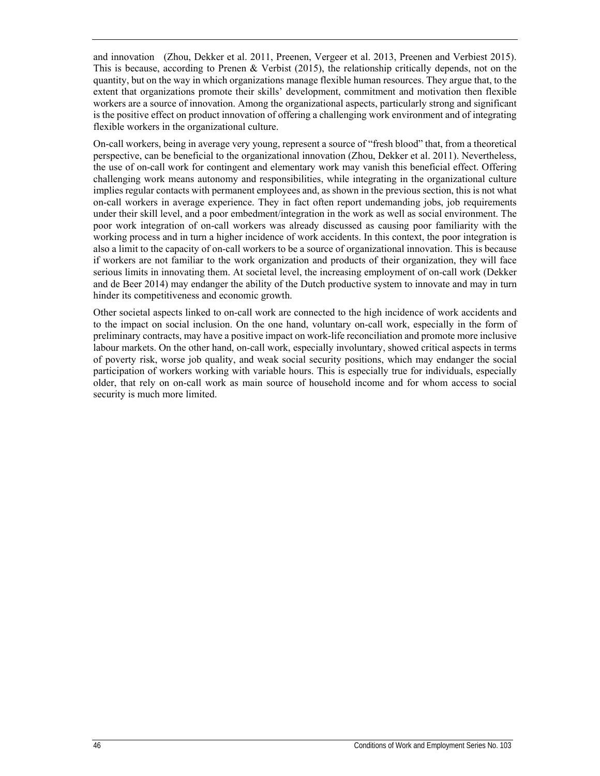and innovation (Zhou, Dekker et al. 2011, Preenen, Vergeer et al. 2013, Preenen and Verbiest 2015). This is because, according to Prenen & Verbist (2015), the relationship critically depends, not on the quantity, but on the way in which organizations manage flexible human resources. They argue that, to the extent that organizations promote their skills' development, commitment and motivation then flexible workers are a source of innovation. Among the organizational aspects, particularly strong and significant is the positive effect on product innovation of offering a challenging work environment and of integrating flexible workers in the organizational culture.

On-call workers, being in average very young, represent a source of "fresh blood" that, from a theoretical perspective, can be beneficial to the organizational innovation (Zhou, Dekker et al. 2011). Nevertheless, the use of on-call work for contingent and elementary work may vanish this beneficial effect. Offering challenging work means autonomy and responsibilities, while integrating in the organizational culture implies regular contacts with permanent employees and, as shown in the previous section, this is not what on-call workers in average experience. They in fact often report undemanding jobs, job requirements under their skill level, and a poor embedment/integration in the work as well as social environment. The poor work integration of on-call workers was already discussed as causing poor familiarity with the working process and in turn a higher incidence of work accidents. In this context, the poor integration is also a limit to the capacity of on-call workers to be a source of organizational innovation. This is because if workers are not familiar to the work organization and products of their organization, they will face serious limits in innovating them. At societal level, the increasing employment of on-call work (Dekker and de Beer 2014) may endanger the ability of the Dutch productive system to innovate and may in turn hinder its competitiveness and economic growth.

Other societal aspects linked to on-call work are connected to the high incidence of work accidents and to the impact on social inclusion. On the one hand, voluntary on-call work, especially in the form of preliminary contracts, may have a positive impact on work-life reconciliation and promote more inclusive labour markets. On the other hand, on-call work, especially involuntary, showed critical aspects in terms of poverty risk, worse job quality, and weak social security positions, which may endanger the social participation of workers working with variable hours. This is especially true for individuals, especially older, that rely on on-call work as main source of household income and for whom access to social security is much more limited.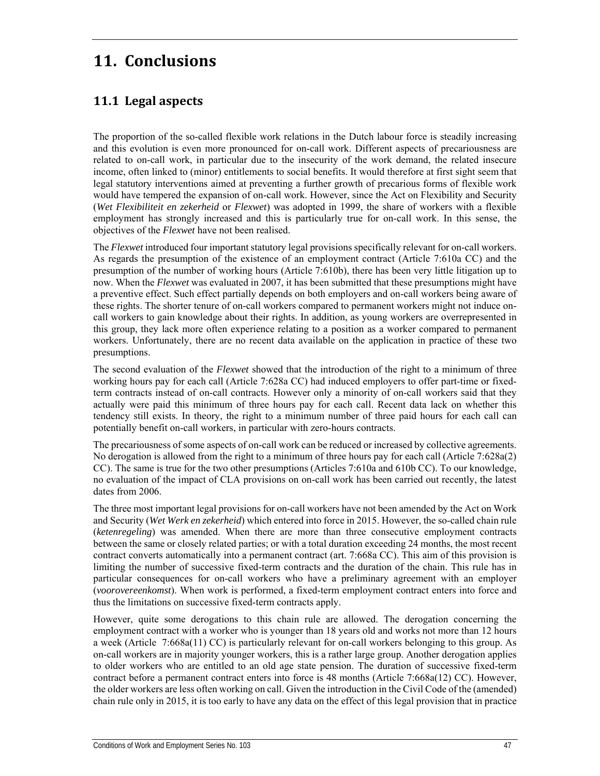# **11. Conclusions**

## **11.1 Legal aspects**

The proportion of the so-called flexible work relations in the Dutch labour force is steadily increasing and this evolution is even more pronounced for on-call work. Different aspects of precariousness are related to on-call work, in particular due to the insecurity of the work demand, the related insecure income, often linked to (minor) entitlements to social benefits. It would therefore at first sight seem that legal statutory interventions aimed at preventing a further growth of precarious forms of flexible work would have tempered the expansion of on-call work. However, since the Act on Flexibility and Security (*Wet Flexibiliteit en zekerheid* or *Flexwet*) was adopted in 1999, the share of workers with a flexible employment has strongly increased and this is particularly true for on-call work. In this sense, the objectives of the *Flexwet* have not been realised.

The *Flexwet* introduced four important statutory legal provisions specifically relevant for on-call workers. As regards the presumption of the existence of an employment contract (Article 7:610a CC) and the presumption of the number of working hours (Article 7:610b), there has been very little litigation up to now. When the *Flexwet* was evaluated in 2007, it has been submitted that these presumptions might have a preventive effect. Such effect partially depends on both employers and on-call workers being aware of these rights. The shorter tenure of on-call workers compared to permanent workers might not induce oncall workers to gain knowledge about their rights. In addition, as young workers are overrepresented in this group, they lack more often experience relating to a position as a worker compared to permanent workers. Unfortunately, there are no recent data available on the application in practice of these two presumptions.

The second evaluation of the *Flexwet* showed that the introduction of the right to a minimum of three working hours pay for each call (Article 7:628a CC) had induced employers to offer part-time or fixedterm contracts instead of on-call contracts. However only a minority of on-call workers said that they actually were paid this minimum of three hours pay for each call. Recent data lack on whether this tendency still exists. In theory, the right to a minimum number of three paid hours for each call can potentially benefit on-call workers, in particular with zero-hours contracts.

The precariousness of some aspects of on-call work can be reduced or increased by collective agreements. No derogation is allowed from the right to a minimum of three hours pay for each call (Article 7:628a(2) CC). The same is true for the two other presumptions (Articles 7:610a and 610b CC). To our knowledge, no evaluation of the impact of CLA provisions on on-call work has been carried out recently, the latest dates from 2006.

The three most important legal provisions for on-call workers have not been amended by the Act on Work and Security (*Wet Werk en zekerheid*) which entered into force in 2015. However, the so-called chain rule (*ketenregeling*) was amended. When there are more than three consecutive employment contracts between the same or closely related parties; or with a total duration exceeding 24 months, the most recent contract converts automatically into a permanent contract (art. 7:668a CC). This aim of this provision is limiting the number of successive fixed-term contracts and the duration of the chain. This rule has in particular consequences for on-call workers who have a preliminary agreement with an employer (*voorovereenkomst*). When work is performed, a fixed-term employment contract enters into force and thus the limitations on successive fixed-term contracts apply.

However, quite some derogations to this chain rule are allowed. The derogation concerning the employment contract with a worker who is younger than 18 years old and works not more than 12 hours a week (Article 7:668a(11) CC) is particularly relevant for on-call workers belonging to this group. As on-call workers are in majority younger workers, this is a rather large group. Another derogation applies to older workers who are entitled to an old age state pension. The duration of successive fixed-term contract before a permanent contract enters into force is 48 months (Article 7:668a(12) CC). However, the older workers are less often working on call. Given the introduction in the Civil Code of the (amended) chain rule only in 2015, it is too early to have any data on the effect of this legal provision that in practice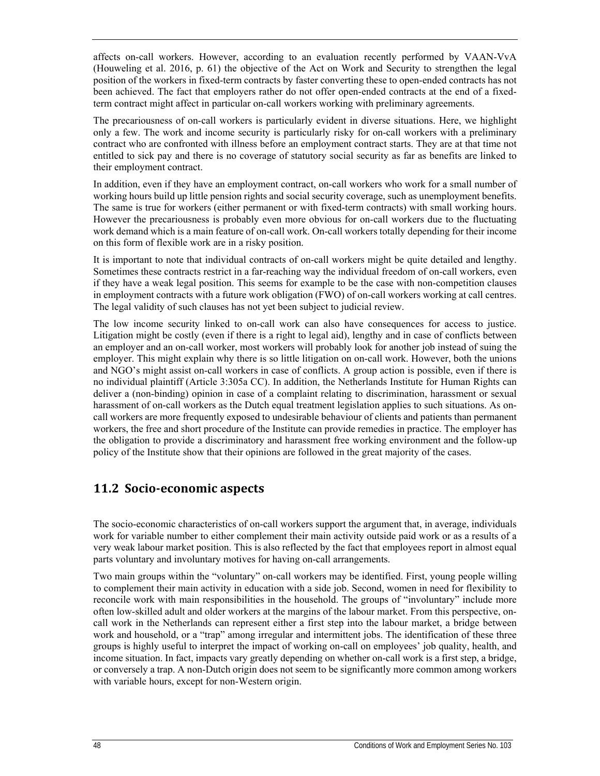affects on-call workers. However, according to an evaluation recently performed by VAAN-VvA (Houweling et al. 2016, p. 61) the objective of the Act on Work and Security to strengthen the legal position of the workers in fixed-term contracts by faster converting these to open-ended contracts has not been achieved. The fact that employers rather do not offer open-ended contracts at the end of a fixedterm contract might affect in particular on-call workers working with preliminary agreements.

The precariousness of on-call workers is particularly evident in diverse situations. Here, we highlight only a few. The work and income security is particularly risky for on-call workers with a preliminary contract who are confronted with illness before an employment contract starts. They are at that time not entitled to sick pay and there is no coverage of statutory social security as far as benefits are linked to their employment contract.

In addition, even if they have an employment contract, on-call workers who work for a small number of working hours build up little pension rights and social security coverage, such as unemployment benefits. The same is true for workers (either permanent or with fixed-term contracts) with small working hours. However the precariousness is probably even more obvious for on-call workers due to the fluctuating work demand which is a main feature of on-call work. On-call workers totally depending for their income on this form of flexible work are in a risky position.

It is important to note that individual contracts of on-call workers might be quite detailed and lengthy. Sometimes these contracts restrict in a far-reaching way the individual freedom of on-call workers, even if they have a weak legal position. This seems for example to be the case with non-competition clauses in employment contracts with a future work obligation (FWO) of on-call workers working at call centres. The legal validity of such clauses has not yet been subject to judicial review.

The low income security linked to on-call work can also have consequences for access to justice. Litigation might be costly (even if there is a right to legal aid), lengthy and in case of conflicts between an employer and an on-call worker, most workers will probably look for another job instead of suing the employer. This might explain why there is so little litigation on on-call work. However, both the unions and NGO's might assist on-call workers in case of conflicts. A group action is possible, even if there is no individual plaintiff (Article 3:305a CC). In addition, the Netherlands Institute for Human Rights can deliver a (non-binding) opinion in case of a complaint relating to discrimination, harassment or sexual harassment of on-call workers as the Dutch equal treatment legislation applies to such situations. As oncall workers are more frequently exposed to undesirable behaviour of clients and patients than permanent workers, the free and short procedure of the Institute can provide remedies in practice. The employer has the obligation to provide a discriminatory and harassment free working environment and the follow-up policy of the Institute show that their opinions are followed in the great majority of the cases.

## **11.2 Socio‐economic aspects**

The socio-economic characteristics of on-call workers support the argument that, in average, individuals work for variable number to either complement their main activity outside paid work or as a results of a very weak labour market position. This is also reflected by the fact that employees report in almost equal parts voluntary and involuntary motives for having on-call arrangements.

Two main groups within the "voluntary" on-call workers may be identified. First, young people willing to complement their main activity in education with a side job. Second, women in need for flexibility to reconcile work with main responsibilities in the household. The groups of "involuntary" include more often low-skilled adult and older workers at the margins of the labour market. From this perspective, oncall work in the Netherlands can represent either a first step into the labour market, a bridge between work and household, or a "trap" among irregular and intermittent jobs. The identification of these three groups is highly useful to interpret the impact of working on-call on employees' job quality, health, and income situation. In fact, impacts vary greatly depending on whether on-call work is a first step, a bridge, or conversely a trap. A non-Dutch origin does not seem to be significantly more common among workers with variable hours, except for non-Western origin.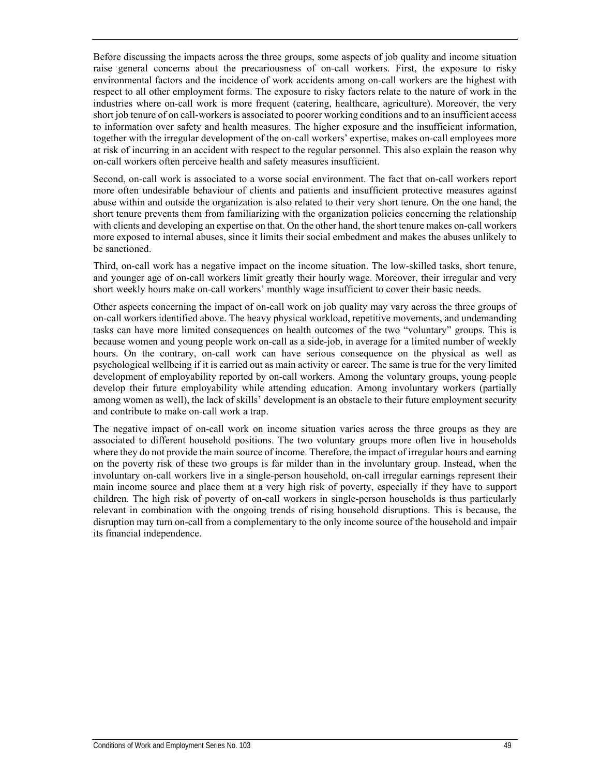Before discussing the impacts across the three groups, some aspects of job quality and income situation raise general concerns about the precariousness of on-call workers. First, the exposure to risky environmental factors and the incidence of work accidents among on-call workers are the highest with respect to all other employment forms. The exposure to risky factors relate to the nature of work in the industries where on-call work is more frequent (catering, healthcare, agriculture). Moreover, the very short job tenure of on call-workers is associated to poorer working conditions and to an insufficient access to information over safety and health measures. The higher exposure and the insufficient information, together with the irregular development of the on-call workers' expertise, makes on-call employees more at risk of incurring in an accident with respect to the regular personnel. This also explain the reason why on-call workers often perceive health and safety measures insufficient.

Second, on-call work is associated to a worse social environment. The fact that on-call workers report more often undesirable behaviour of clients and patients and insufficient protective measures against abuse within and outside the organization is also related to their very short tenure. On the one hand, the short tenure prevents them from familiarizing with the organization policies concerning the relationship with clients and developing an expertise on that. On the other hand, the short tenure makes on-call workers more exposed to internal abuses, since it limits their social embedment and makes the abuses unlikely to be sanctioned.

Third, on-call work has a negative impact on the income situation. The low-skilled tasks, short tenure, and younger age of on-call workers limit greatly their hourly wage. Moreover, their irregular and very short weekly hours make on-call workers' monthly wage insufficient to cover their basic needs.

Other aspects concerning the impact of on-call work on job quality may vary across the three groups of on-call workers identified above. The heavy physical workload, repetitive movements, and undemanding tasks can have more limited consequences on health outcomes of the two "voluntary" groups. This is because women and young people work on-call as a side-job, in average for a limited number of weekly hours. On the contrary, on-call work can have serious consequence on the physical as well as psychological wellbeing if it is carried out as main activity or career. The same is true for the very limited development of employability reported by on-call workers. Among the voluntary groups, young people develop their future employability while attending education. Among involuntary workers (partially among women as well), the lack of skills' development is an obstacle to their future employment security and contribute to make on-call work a trap.

The negative impact of on-call work on income situation varies across the three groups as they are associated to different household positions. The two voluntary groups more often live in households where they do not provide the main source of income. Therefore, the impact of irregular hours and earning on the poverty risk of these two groups is far milder than in the involuntary group. Instead, when the involuntary on-call workers live in a single-person household, on-call irregular earnings represent their main income source and place them at a very high risk of poverty, especially if they have to support children. The high risk of poverty of on-call workers in single-person households is thus particularly relevant in combination with the ongoing trends of rising household disruptions. This is because, the disruption may turn on-call from a complementary to the only income source of the household and impair its financial independence.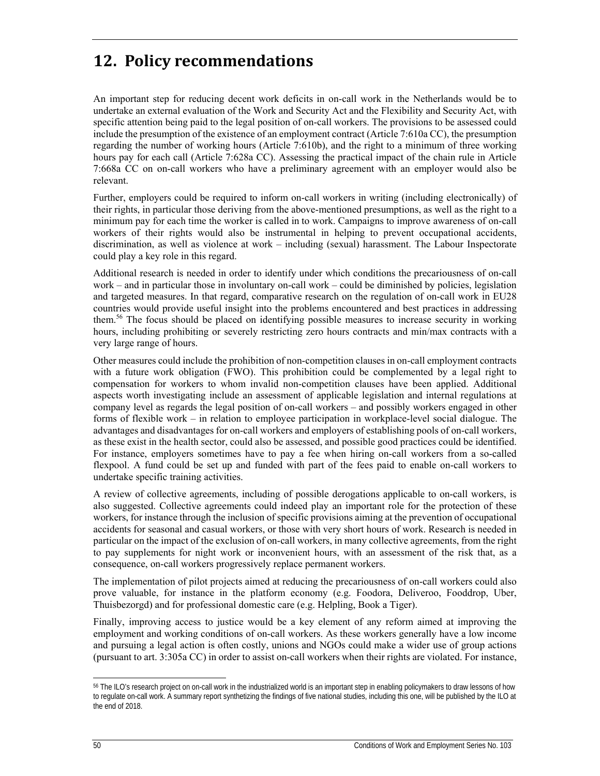# **12. Policy recommendations**

An important step for reducing decent work deficits in on-call work in the Netherlands would be to undertake an external evaluation of the Work and Security Act and the Flexibility and Security Act, with specific attention being paid to the legal position of on-call workers. The provisions to be assessed could include the presumption of the existence of an employment contract (Article 7:610a CC), the presumption regarding the number of working hours (Article 7:610b), and the right to a minimum of three working hours pay for each call (Article 7:628a CC). Assessing the practical impact of the chain rule in Article 7:668a CC on on-call workers who have a preliminary agreement with an employer would also be relevant.

Further, employers could be required to inform on-call workers in writing (including electronically) of their rights, in particular those deriving from the above-mentioned presumptions, as well as the right to a minimum pay for each time the worker is called in to work. Campaigns to improve awareness of on-call workers of their rights would also be instrumental in helping to prevent occupational accidents, discrimination, as well as violence at work – including (sexual) harassment. The Labour Inspectorate could play a key role in this regard.

Additional research is needed in order to identify under which conditions the precariousness of on-call work – and in particular those in involuntary on-call work – could be diminished by policies, legislation and targeted measures. In that regard, comparative research on the regulation of on-call work in EU28 countries would provide useful insight into the problems encountered and best practices in addressing them.<sup>56</sup> The focus should be placed on identifying possible measures to increase security in working hours, including prohibiting or severely restricting zero hours contracts and min/max contracts with a very large range of hours.

Other measures could include the prohibition of non-competition clauses in on-call employment contracts with a future work obligation (FWO). This prohibition could be complemented by a legal right to compensation for workers to whom invalid non-competition clauses have been applied. Additional aspects worth investigating include an assessment of applicable legislation and internal regulations at company level as regards the legal position of on-call workers – and possibly workers engaged in other forms of flexible work – in relation to employee participation in workplace-level social dialogue. The advantages and disadvantages for on-call workers and employers of establishing pools of on-call workers, as these exist in the health sector, could also be assessed, and possible good practices could be identified. For instance, employers sometimes have to pay a fee when hiring on-call workers from a so-called flexpool. A fund could be set up and funded with part of the fees paid to enable on-call workers to undertake specific training activities.

A review of collective agreements, including of possible derogations applicable to on-call workers, is also suggested. Collective agreements could indeed play an important role for the protection of these workers, for instance through the inclusion of specific provisions aiming at the prevention of occupational accidents for seasonal and casual workers, or those with very short hours of work. Research is needed in particular on the impact of the exclusion of on-call workers, in many collective agreements, from the right to pay supplements for night work or inconvenient hours, with an assessment of the risk that, as a consequence, on-call workers progressively replace permanent workers.

The implementation of pilot projects aimed at reducing the precariousness of on-call workers could also prove valuable, for instance in the platform economy (e.g. Foodora, Deliveroo, Fooddrop, Uber, Thuisbezorgd) and for professional domestic care (e.g. Helpling, Book a Tiger).

Finally, improving access to justice would be a key element of any reform aimed at improving the employment and working conditions of on-call workers. As these workers generally have a low income and pursuing a legal action is often costly, unions and NGOs could make a wider use of group actions (pursuant to art. 3:305a CC) in order to assist on-call workers when their rights are violated. For instance,

ł <sup>56</sup> The ILO's research project on on-call work in the industrialized world is an important step in enabling policymakers to draw lessons of how to regulate on-call work. A summary report synthetizing the findings of five national studies, including this one, will be published by the ILO at the end of 2018.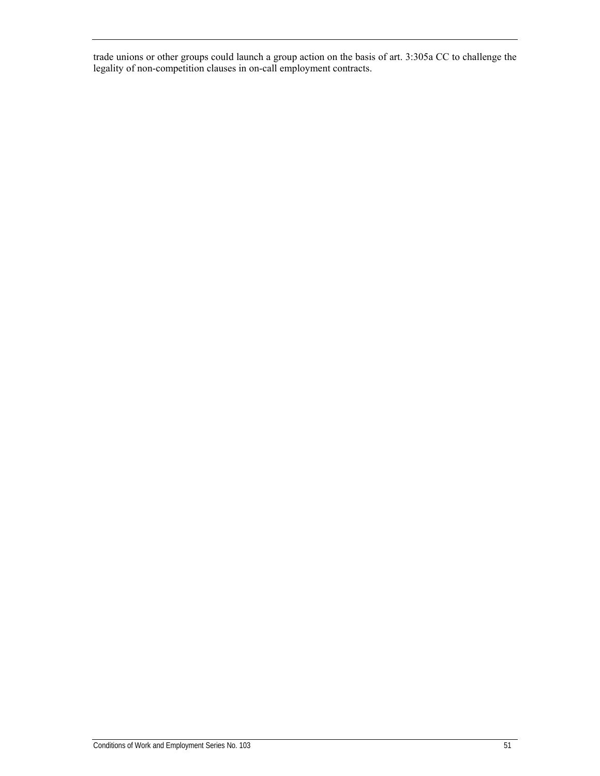trade unions or other groups could launch a group action on the basis of art. 3:305a CC to challenge the legality of non-competition clauses in on-call employment contracts.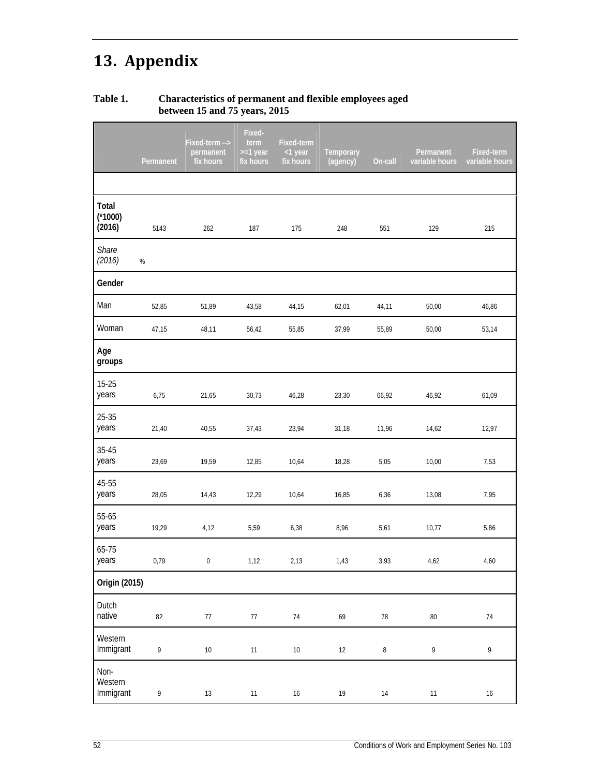# **13. Appendix**

### **Table 1. Characteristics of permanent and flexible employees aged between 15 and 75 years, 2015**

|                              | Permanent                         | Fixed-term --><br>permanent<br>fix hours | Fixed-<br>term<br>$>=1$ year<br>fix hours | Fixed-term<br><1 year<br>fix hours | Temporary<br>(agency) | On-call    | Permanent<br>variable hours                                                                              | Fixed-term<br>variable hours |
|------------------------------|-----------------------------------|------------------------------------------|-------------------------------------------|------------------------------------|-----------------------|------------|----------------------------------------------------------------------------------------------------------|------------------------------|
|                              |                                   |                                          |                                           |                                    |                       |            |                                                                                                          |                              |
| Total<br>$(*1000)$<br>(2016) | 5143                              | 262                                      | 187                                       | 175                                | 248                   | 551        | 129                                                                                                      | 215                          |
| Share<br>(2016)              | $\%$                              |                                          |                                           |                                    |                       |            |                                                                                                          |                              |
| Gender                       |                                   |                                          |                                           |                                    |                       |            |                                                                                                          |                              |
| Man                          | 52,85                             | 51,89                                    | 43,58                                     | 44,15                              | 62,01                 | 44,11      | 50,00                                                                                                    | 46,86                        |
| Woman                        | 47,15                             | 48,11                                    | 56,42                                     | 55,85                              | 37,99                 | 55,89      | 50,00                                                                                                    | 53,14                        |
| Age<br>groups                |                                   |                                          |                                           |                                    |                       |            |                                                                                                          |                              |
| $15 - 25$<br>years           | 6,75                              | 21,65                                    | 30,73                                     | 46,28                              | 23,30                 | 66,92      | 46,92                                                                                                    | 61,09                        |
| $25 - 35$<br>years           | 21,40                             | 40,55                                    | 37,43                                     | 23,94                              | 31,18                 | 11,96      | 14,62                                                                                                    | 12,97                        |
| $35 - 45$<br>years           | 23,69                             | 19,59                                    | 12,85                                     | 10,64                              | 18,28                 | 5,05       | 10,00                                                                                                    | 7,53                         |
| 45-55<br>years               | 28,05                             | 14,43                                    | 12,29                                     | 10,64                              | 16,85                 | 6,36       | 13,08                                                                                                    | 7,95                         |
| 55-65<br>years               | 19,29                             | 4,12                                     | 5,59                                      | 6,38                               | 8,96                  | 5,61       | 10,77                                                                                                    | 5,86                         |
| 65-75<br>years               | 0,79                              | 0                                        | 1,12                                      | 2,13                               | 1,43                  | 3,93       | 4,62                                                                                                     | 4,60                         |
| Origin (2015)                |                                   |                                          |                                           |                                    |                       |            |                                                                                                          |                              |
| Dutch<br>native              | 82                                | $77\,$                                   | $77\,$                                    | $74\,$                             | 69                    | ${\bf 78}$ | $80\,$                                                                                                   | $74\,$                       |
| Western<br>Immigrant         | $\mathsf{g}% _{T}=\mathsf{g}_{T}$ | $10\,$                                   | 11                                        | $10\,$                             | $12\,$                | $\, 8$     | $\mathsf{g}% _{T}=\mathsf{g}_{T}\!\left( a,b\right) ,\mathsf{g}_{T}=\mathsf{g}_{T}\!\left( a,b\right) ,$ | 9                            |
| Non-<br>Western<br>Immigrant | 9                                 | 13                                       | 11                                        | $16\,$                             | $19$                  | $14\,$     | $11\,$                                                                                                   | $16\,$                       |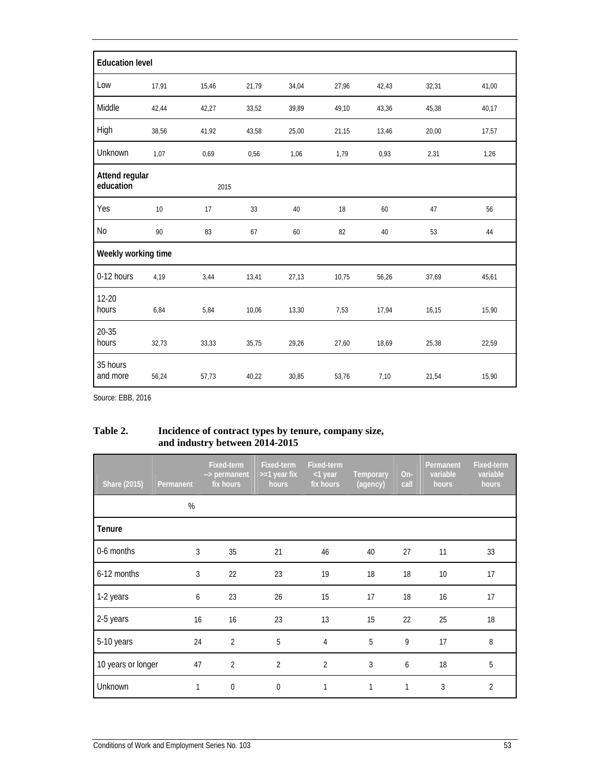|                             | <b>Education level</b> |       |       |       |       |       |       |       |  |  |
|-----------------------------|------------------------|-------|-------|-------|-------|-------|-------|-------|--|--|
| Low                         | 17,91                  | 15,46 | 21,79 | 34,04 | 27,96 | 42,43 | 32,31 | 41,00 |  |  |
| Middle                      | 42,44                  | 42,27 | 33,52 | 39,89 | 49,10 | 43,36 | 45,38 | 40,17 |  |  |
| High                        | 38,56                  | 41,92 | 43,58 | 25,00 | 21,15 | 13,46 | 20,00 | 17,57 |  |  |
| Unknown                     | 1,07                   | 0,69  | 0,56  | 1,06  | 1,79  | 0,93  | 2,31  | 1,26  |  |  |
| Attend regular<br>education |                        | 2015  |       |       |       |       |       |       |  |  |
| Yes                         | $10$                   | 17    | 33    | 40    | 18    | 60    | 47    | 56    |  |  |
| $\rm No$                    | 90                     | 83    | 67    | 60    | 82    | 40    | 53    | 44    |  |  |
| Weekly working time         |                        |       |       |       |       |       |       |       |  |  |
| 0-12 hours                  | 4,19                   | 3,44  | 13,41 | 27,13 | 10,75 | 56,26 | 37,69 | 45,61 |  |  |
| $12 - 20$<br>hours          | 6,84                   | 5,84  | 10,06 | 13,30 | 7,53  | 17,94 | 16,15 | 15,90 |  |  |
| $20 - 35$<br>hours          | 32,73                  | 33,33 | 35,75 | 29,26 | 27,60 | 18,69 | 25,38 | 22,59 |  |  |
| 35 hours<br>and more        | 56,24                  | 57,73 | 40,22 | 30,85 | 53,76 | 7,10  | 21,54 | 15,90 |  |  |

Source: EBB, 2016

#### **Table 2. Incidence of contract types by tenure, company size, and industry between 2014-2015**

| <b>Share (2015)</b> | Permanent | <b>Fixed-term</b><br>--> permanent<br>fix hours | Fixed-term<br>$>=1$ year fix<br>hours | <b>Fixed-term</b><br><1 year<br>fix hours | Temporary<br>(agency) | On-<br>call | Permanent<br>variable<br>hours | <b>Fixed-term</b><br>variable<br>hours |
|---------------------|-----------|-------------------------------------------------|---------------------------------------|-------------------------------------------|-----------------------|-------------|--------------------------------|----------------------------------------|
|                     | %         |                                                 |                                       |                                           |                       |             |                                |                                        |
| Tenure              |           |                                                 |                                       |                                           |                       |             |                                |                                        |
| 0-6 months          | 3         | 35                                              | 21                                    | 46                                        | 40                    | 27          | 11                             | 33                                     |
| 6-12 months         | 3         | 22                                              | 23                                    | 19                                        | 18                    | 18          | 10                             | 17                                     |
| 1-2 years           | 6         | 23                                              | 26                                    | 15                                        | 17                    | 18          | 16                             | 17                                     |
| 2-5 years           | 16        | 16                                              | 23                                    | 13                                        | 15                    | 22          | 25                             | 18                                     |
| 5-10 years          | 24        | $\overline{2}$                                  | 5                                     | 4                                         | 5                     | 9           | 17                             | 8                                      |
| 10 years or longer  | 47        | $\overline{2}$                                  | $\overline{2}$                        | $\overline{2}$                            | 3                     | 6           | 18                             | 5                                      |
| Unknown             | 1         | $\overline{0}$                                  | $\mathbf{0}$                          | 1                                         | 1                     | 1           | 3                              | $\overline{2}$                         |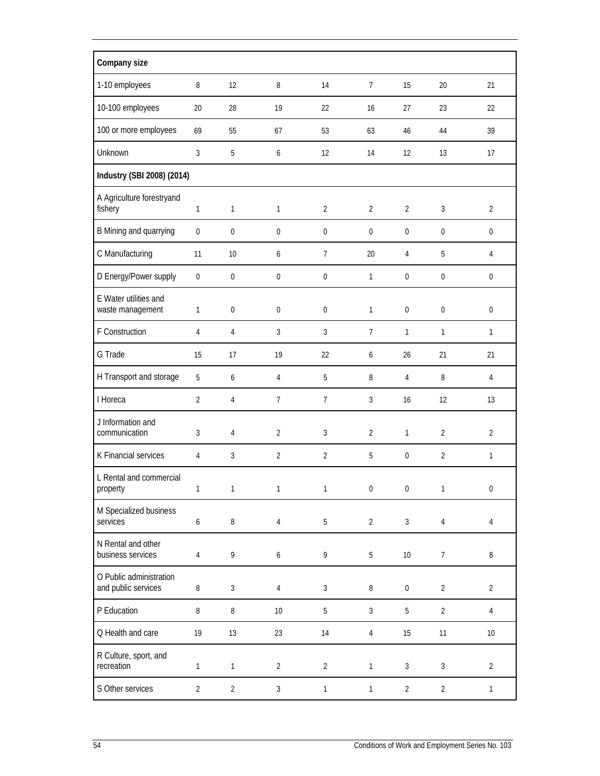| Company size                                   |                  |                  |                  |                |                  |                  |                  |                  |
|------------------------------------------------|------------------|------------------|------------------|----------------|------------------|------------------|------------------|------------------|
| 1-10 employees                                 | 8                | 12               | 8                | 14             | $\overline{7}$   | 15               | 20               | 21               |
| 10-100 employees                               | 20               | 28               | 19               | 22             | 16               | 27               | 23               | 22               |
| 100 or more employees                          | 69               | 55               | 67               | 53             | 63               | 46               | 44               | 39               |
| Unknown                                        | 3                | 5                | 6                | 12             | 14               | 12               | 13               | 17               |
| Industry (SBI 2008) (2014)                     |                  |                  |                  |                |                  |                  |                  |                  |
| A Agriculture forestryand<br>fishery           | 1                | $\mathbf{1}$     | $\mathbf{1}$     | $\overline{2}$ | $\overline{2}$   | $\overline{2}$   | 3                | $\overline{2}$   |
| B Mining and quarrying                         | $\boldsymbol{0}$ | $\boldsymbol{0}$ | $\boldsymbol{0}$ | 0              | $\boldsymbol{0}$ | $\boldsymbol{0}$ | $\boldsymbol{0}$ | $\boldsymbol{0}$ |
| C Manufacturing                                | 11               | 10               | 6                | $\overline{7}$ | 20               | 4                | 5                | 4                |
| D Energy/Power supply                          | $\boldsymbol{0}$ | $\boldsymbol{0}$ | $\boldsymbol{0}$ | $\bf{0}$       | 1                | $\boldsymbol{0}$ | $\boldsymbol{0}$ | $\boldsymbol{0}$ |
| E Water utilities and<br>waste management      | 1                | $\mathbf 0$      | $\mathbf 0$      | $\mathbf 0$    | $\mathbf{1}$     | $\boldsymbol{0}$ | $\mathbf 0$      | $\mathbf 0$      |
| F Construction                                 | 4                | $\overline{4}$   | 3                | 3              | $\overline{7}$   | $\mathbf{1}$     | $\mathbf{1}$     | $\mathbf{1}$     |
| G Trade                                        | 15               | 17               | 19               | 22             | 6                | 26               | 21               | 21               |
| H Transport and storage                        | 5                | 6                | $\overline{4}$   | 5              | 8                | 4                | 8                | $\overline{4}$   |
| I Horeca                                       | 2                | $\overline{4}$   | $\overline{7}$   | $\overline{7}$ | $\mathfrak{Z}$   | 16               | 12               | 13               |
| J Information and<br>communication             | 3                | $\sqrt{4}$       | $\overline{2}$   | 3              | $\overline{2}$   | $\mathbf{1}$     | $\overline{2}$   | $\overline{2}$   |
| K Financial services                           | 4                | $\sqrt{3}$       | $\overline{2}$   | $\overline{2}$ | $\overline{5}$   | $\boldsymbol{0}$ | $\overline{2}$   | $\mathbf{1}$     |
| L Rental and commercial<br>property            | 1                | $\mathbf{1}$     | $\mathbf{1}$     | 1              | $\boldsymbol{0}$ | $\boldsymbol{0}$ | 1                | $\boldsymbol{0}$ |
| M Specialized business<br>services             | 6                | $\, 8$           | $\sqrt{4}$       | $5\,$          | $\overline{2}$   | $\mathfrak{Z}$   | $\overline{4}$   | $\overline{4}$   |
| N Rental and other<br>business services        | 4                | 9                | $\boldsymbol{6}$ | 9              | $\overline{5}$   | $10\,$           | $\overline{7}$   | $\, 8$           |
| O Public administration<br>and public services | 8                | $\mathfrak{Z}$   | 4                | $\mathfrak{Z}$ | 8                | $\boldsymbol{0}$ | $\overline{a}$   | $\overline{2}$   |
| P Education                                    | 8                | 8                | 10               | 5              | $\mathfrak{Z}$   | 5                | $\overline{2}$   | 4                |
| Q Health and care                              | 19               | 13               | 23               | 14             | $\overline{4}$   | 15               | 11               | $10\,$           |
| R Culture, sport, and<br>recreation            | $\mathbf{1}$     | $\mathbf{1}$     | $\overline{2}$   | $\overline{2}$ | $\mathbf{1}$     | $\mathfrak{Z}$   | $\mathfrak{Z}$   | $\overline{2}$   |
| S Other services                               | $\overline{2}$   | $\overline{2}$   | $\mathfrak{Z}$   | $\mathbf{1}$   | $\mathbf{1}$     | $\overline{2}$   | $\overline{2}$   | $\mathbf{1}$     |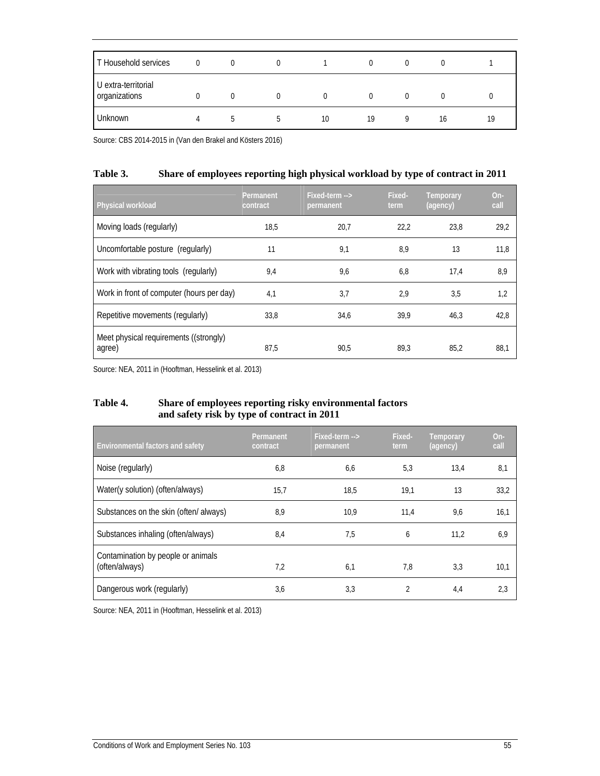| T Household services                 | 0 | $\Omega$ | $\Omega$ |          | $\Omega$ | $\Omega$         |    |    |
|--------------------------------------|---|----------|----------|----------|----------|------------------|----|----|
| U extra-territorial<br>organizations |   |          | $\Omega$ | $\Omega$ | $\Omega$ | $\left( \right)$ |    |    |
| Unknown                              | 4 | .5       |          | 10       | 19       | Q                | 16 | 19 |

Source: CBS 2014-2015 in (Van den Brakel and Kösters 2016)

| Table 3. | Share of employees reporting high physical workload by type of contract in 2011 |
|----------|---------------------------------------------------------------------------------|
|----------|---------------------------------------------------------------------------------|

| Physical workload                                | Permanent<br>contract | Fixed-term --><br>permanent | Fixed-<br>term | Temporary<br>(agency) | $On-$<br>call |
|--------------------------------------------------|-----------------------|-----------------------------|----------------|-----------------------|---------------|
| Moving loads (regularly)                         | 18.5                  | 20.7                        | 22.2           | 23.8                  | 29.2          |
| Uncomfortable posture (regularly)                | 11                    | 9,1                         | 8.9            | 13                    | 11,8          |
| Work with vibrating tools (regularly)            | 9,4                   | 9,6                         | 6,8            | 17.4                  | 8,9           |
| Work in front of computer (hours per day)        | 4,1                   | 3,7                         | 2,9            | 3,5                   | 1,2           |
| Repetitive movements (regularly)                 | 33,8                  | 34,6                        | 39,9           | 46,3                  | 42,8          |
| Meet physical requirements ((strongly)<br>agree) | 87,5                  | 90.5                        | 89.3           | 85.2                  | 88.1          |

Source: NEA, 2011 in (Hooftman, Hesselink et al. 2013)

### **Table 4. Share of employees reporting risky environmental factors and safety risk by type of contract in 2011**

| <b>Environmental factors and safety</b>              | Permanent<br>contract | Fixed-term --><br>permanent | Fixed-<br>term | Temporary<br>(agency) | $On-$<br>call |
|------------------------------------------------------|-----------------------|-----------------------------|----------------|-----------------------|---------------|
| Noise (regularly)                                    | 6,8                   | 6,6                         | 5,3            | 13,4                  | 8,1           |
| Water(y solution) (often/always)                     | 15.7                  | 18,5                        | 19,1           | 13                    | 33,2          |
| Substances on the skin (often/ always)               | 8,9                   | 10,9                        | 11,4           | 9,6                   | 16,1          |
| Substances inhaling (often/always)                   | 8,4                   | 7,5                         | 6              | 11,2                  | 6,9           |
| Contamination by people or animals<br>(often/always) | 7.2                   | 6,1                         | 7,8            | 3,3                   | 10,1          |
| Dangerous work (regularly)                           | 3,6                   | 3,3                         | 2              | 4,4                   | 2,3           |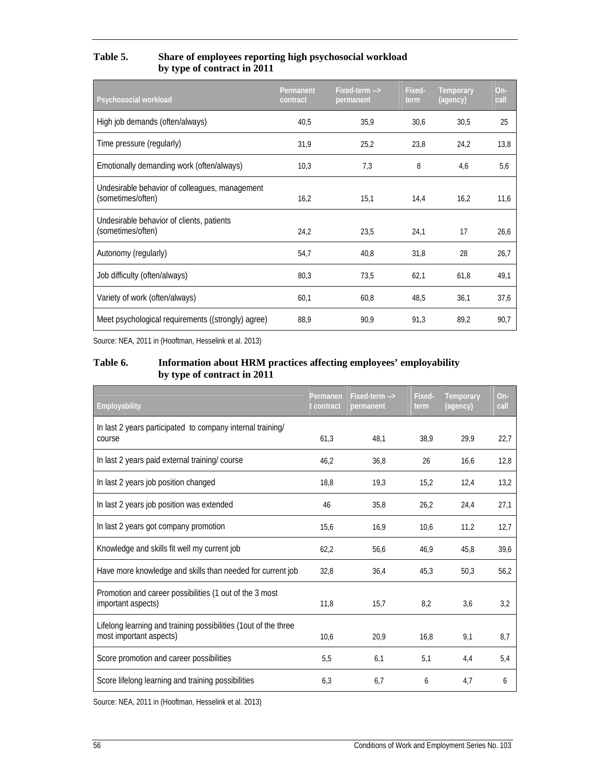| Table 5. | Share of employees reporting high psychosocial workload |
|----------|---------------------------------------------------------|
|          | by type of contract in 2011                             |

| Psychosocial workload                                               | Permanent<br>contract | Fixed-term --><br>permanent | Fixed-<br>term | <b>Temporary</b><br>(agency) | On-<br>call |
|---------------------------------------------------------------------|-----------------------|-----------------------------|----------------|------------------------------|-------------|
| High job demands (often/always)                                     | 40,5                  | 35,9                        | 30,6           | 30,5                         | 25          |
| Time pressure (regularly)                                           | 31,9                  | 25,2                        | 23,8           | 24,2                         | 13,8        |
| Emotionally demanding work (often/always)                           | 10,3                  | 7,3                         | 8              | 4,6                          | 5,6         |
| Undesirable behavior of colleagues, management<br>(sometimes/often) | 16,2                  | 15,1                        | 14,4           | 16,2                         | 11,6        |
| Undesirable behavior of clients, patients<br>(sometimes/often)      | 24,2                  | 23,5                        | 24.1           | 17                           | 26,6        |
| Autonomy (regularly)                                                | 54,7                  | 40,8                        | 31,8           | 28                           | 26,7        |
| Job difficulty (often/always)                                       | 80,3                  | 73,5                        | 62,1           | 61,8                         | 49,1        |
| Variety of work (often/always)                                      | 60,1                  | 60,8                        | 48,5           | 36,1                         | 37,6        |
| Meet psychological requirements ((strongly) agree)                  | 88,9                  | 90,9                        | 91,3           | 89,2                         | 90,7        |

Source: NEA, 2011 in (Hooftman, Hesselink et al. 2013)

### **Table 6. Information about HRM practices affecting employees' employability by type of contract in 2011**

| Employability                                                                              | Permanen<br>t contract | Fixed-term --><br>permanent | Fixed-<br>term | Temporary<br>(agency) | On-<br>call |
|--------------------------------------------------------------------------------------------|------------------------|-----------------------------|----------------|-----------------------|-------------|
| In last 2 years participated to company internal training/<br>course                       | 61,3                   | 48,1                        | 38,9           | 29,9                  | 22,7        |
| In last 2 years paid external training/course                                              | 46,2                   | 36,8                        | 26             | 16,6                  | 12,8        |
| In last 2 years job position changed                                                       | 18,8                   | 19,3                        | 15,2           | 12,4                  | 13,2        |
| In last 2 years job position was extended                                                  | 46                     | 35,8                        | 26,2           | 24,4                  | 27,1        |
| In last 2 years got company promotion                                                      | 15,6                   | 16,9                        | 10,6           | 11,2                  | 12,7        |
| Knowledge and skills fit well my current job                                               | 62,2                   | 56,6                        | 46,9           | 45,8                  | 39,6        |
| Have more knowledge and skills than needed for current job                                 | 32,8                   | 36,4                        | 45,3           | 50,3                  | 56,2        |
| Promotion and career possibilities (1 out of the 3 most<br>important aspects)              | 11,8                   | 15,7                        | 8,2            | 3,6                   | 3,2         |
| Lifelong learning and training possibilities (1out of the three<br>most important aspects) | 10,6                   | 20,9                        | 16.8           | 9,1                   | 8.7         |
| Score promotion and career possibilities                                                   | 5,5                    | 6,1                         | 5,1            | 4,4                   | 5,4         |
| Score lifelong learning and training possibilities                                         | 6,3                    | 6.7                         | 6              | 4,7                   | 6           |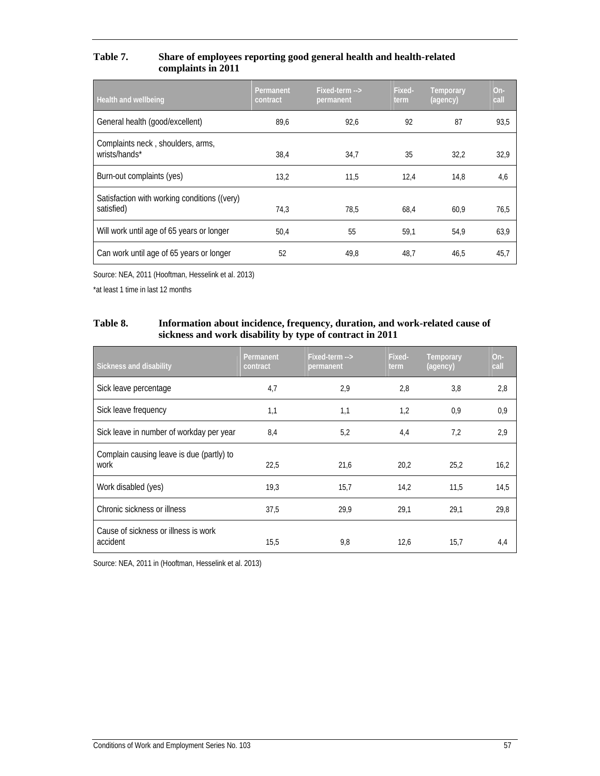#### **Table 7. Share of employees reporting good general health and health-related complaints in 2011**

| Health and wellbeing                                       | Permanent<br>contract | Fixed-term --><br>permanent | Fixed-<br>term | Temporary<br>(agency) | $On-$<br>call |
|------------------------------------------------------------|-----------------------|-----------------------------|----------------|-----------------------|---------------|
| General health (good/excellent)                            | 89,6                  | 92,6                        | 92             | 87                    | 93,5          |
| Complaints neck, shoulders, arms,<br>wrists/hands*         | 38,4                  | 34,7                        | 35             | 32,2                  | 32,9          |
| Burn-out complaints (yes)                                  | 13,2                  | 11.5                        | 12,4           | 14,8                  | 4,6           |
| Satisfaction with working conditions ((very)<br>satisfied) | 74,3                  | 78,5                        | 68,4           | 60,9                  | 76,5          |
| Will work until age of 65 years or longer                  | 50.4                  | 55                          | 59.1           | 54.9                  | 63,9          |
| Can work until age of 65 years or longer                   | 52                    | 49.8                        | 48.7           | 46.5                  | 45.7          |

Source: NEA, 2011 (Hooftman, Hesselink et al. 2013)

\*at least 1 time in last 12 months

#### **Table 8. Information about incidence, frequency, duration, and work-related cause of sickness and work disability by type of contract in 2011**

| Sickness and disability                           | Permanent<br>contract | Fixed-term --><br>permanent | Fixed-<br>term | <b>Temporary</b><br>(agency) | $On-$<br>call |
|---------------------------------------------------|-----------------------|-----------------------------|----------------|------------------------------|---------------|
| Sick leave percentage                             | 4,7                   | 2.9                         | 2,8            | 3,8                          | 2,8           |
| Sick leave frequency                              | 1,1                   | 1,1                         | 1,2            | 0,9                          | 0,9           |
| Sick leave in number of workday per year          | 8,4                   | 5,2                         | 4,4            | 7,2                          | 2,9           |
| Complain causing leave is due (partly) to<br>work | 22,5                  | 21,6                        | 20,2           | 25,2                         | 16,2          |
| Work disabled (yes)                               | 19,3                  | 15,7                        | 14,2           | 11,5                         | 14,5          |
| Chronic sickness or illness                       | 37,5                  | 29,9                        | 29,1           | 29,1                         | 29,8          |
| Cause of sickness or illness is work<br>accident  | 15,5                  | 9,8                         | 12,6           | 15,7                         | 4,4           |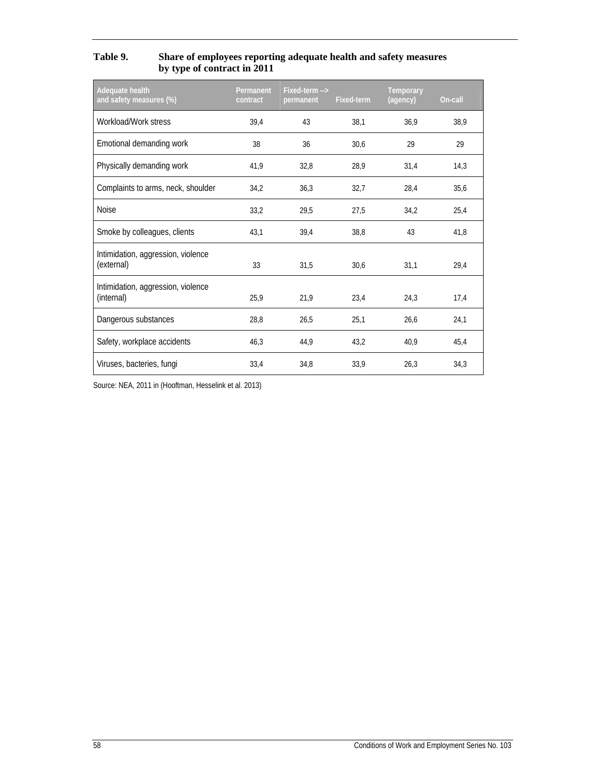| Table 9. | Share of employees reporting adequate health and safety measures |
|----------|------------------------------------------------------------------|
|          | by type of contract in 2011                                      |

| Adequate health<br>and safety measures (%)       | Permanent<br>contract | Fixed-term --><br>permanent | Fixed-term | Temporary<br>(agency) | On-call |
|--------------------------------------------------|-----------------------|-----------------------------|------------|-----------------------|---------|
| Workload/Work stress                             | 39,4                  | 43                          | 38,1       | 36,9                  | 38,9    |
| Emotional demanding work                         | 38                    | 36                          | 30,6       | 29                    | 29      |
| Physically demanding work                        | 41,9                  | 32,8                        | 28,9       | 31,4                  | 14,3    |
| Complaints to arms, neck, shoulder               | 34,2                  | 36,3                        | 32,7       | 28,4                  | 35,6    |
| <b>Noise</b>                                     | 33,2                  | 29,5                        | 27,5       | 34,2                  | 25,4    |
| Smoke by colleagues, clients                     | 43,1                  | 39,4                        | 38,8       | 43                    | 41,8    |
| Intimidation, aggression, violence<br>(external) | 33                    | 31,5                        | 30,6       | 31,1                  | 29,4    |
| Intimidation, aggression, violence<br>(internal) | 25,9                  | 21,9                        | 23,4       | 24,3                  | 17,4    |
| Dangerous substances                             | 28,8                  | 26,5                        | 25,1       | 26,6                  | 24,1    |
| Safety, workplace accidents                      | 46,3                  | 44,9                        | 43,2       | 40,9                  | 45,4    |
| Viruses, bacteries, fungi                        | 33,4                  | 34,8                        | 33,9       | 26,3                  | 34,3    |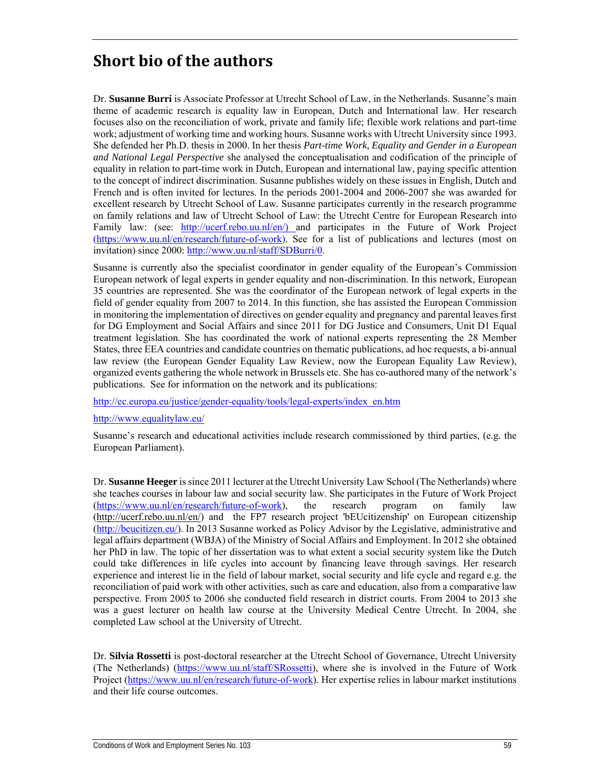# **Short bio of the authors**

Dr. **Susanne Burri** is Associate Professor at Utrecht School of Law, in the Netherlands. Susanne's main theme of academic research is equality law in European, Dutch and International law. Her research focuses also on the reconciliation of work, private and family life; flexible work relations and part-time work; adjustment of working time and working hours. Susanne works with Utrecht University since 1993. She defended her Ph.D. thesis in 2000. In her thesis *Part-time Work, Equality and Gender in a European and National Legal Perspective* she analysed the conceptualisation and codification of the principle of equality in relation to part-time work in Dutch, European and international law, paying specific attention to the concept of indirect discrimination. Susanne publishes widely on these issues in English, Dutch and French and is often invited for lectures. In the periods 2001-2004 and 2006-2007 she was awarded for excellent research by Utrecht School of Law. Susanne participates currently in the research programme on family relations and law of Utrecht School of Law: the Utrecht Centre for European Research into Family law: (see: http://ucerf.rebo.uu.nl/en/) and participates in the Future of Work Project (https://www.uu.nl/en/research/future-of-work). See for a list of publications and lectures (most on invitation) since 2000: http://www.uu.nl/staff/SDBurri/0.

Susanne is currently also the specialist coordinator in gender equality of the European's Commission European network of legal experts in gender equality and non-discrimination. In this network, European 35 countries are represented. She was the coordinator of the European network of legal experts in the field of gender equality from 2007 to 2014. In this function, she has assisted the European Commission in monitoring the implementation of directives on gender equality and pregnancy and parental leaves first for DG Employment and Social Affairs and since 2011 for DG Justice and Consumers, Unit D1 Equal treatment legislation. She has coordinated the work of national experts representing the 28 Member States, three EEA countries and candidate countries on thematic publications, ad hoc requests, a bi-annual law review (the European Gender Equality Law Review, now the European Equality Law Review), organized events gathering the whole network in Brussels etc. She has co-authored many of the network's publications. See for information on the network and its publications:

http://ec.europa.eu/justice/gender-equality/tools/legal-experts/index\_en.htm

http://www.equalitylaw.eu/

Susanne's research and educational activities include research commissioned by third parties, (e.g. the European Parliament).

Dr. **Susanne Heeger** is since 2011 lecturer at the Utrecht University Law School (The Netherlands) where she teaches courses in labour law and social security law. She participates in the Future of Work Project (https://www.uu.nl/en/research/future-of-work), the research program on family law (http://ucerf.rebo.uu.nl/en/) and the FP7 research project 'bEUcitizenship' on European citizenship (http://beucitizen.eu/). In 2013 Susanne worked as Policy Advisor by the Legislative, administrative and legal affairs department (WBJA) of the Ministry of Social Affairs and Employment. In 2012 she obtained her PhD in law. The topic of her dissertation was to what extent a social security system like the Dutch could take differences in life cycles into account by financing leave through savings. Her research experience and interest lie in the field of labour market, social security and life cycle and regard e.g. the reconciliation of paid work with other activities, such as care and education, also from a comparative law perspective. From 2005 to 2006 she conducted field research in district courts. From 2004 to 2013 she was a guest lecturer on health law course at the University Medical Centre Utrecht. In 2004, she completed Law school at the University of Utrecht.

Dr. **Silvia Rossetti** is post-doctoral researcher at the Utrecht School of Governance, Utrecht University (The Netherlands) (https://www.uu.nl/staff/SRossetti), where she is involved in the Future of Work Project (https://www.uu.nl/en/research/future-of-work). Her expertise relies in labour market institutions and their life course outcomes.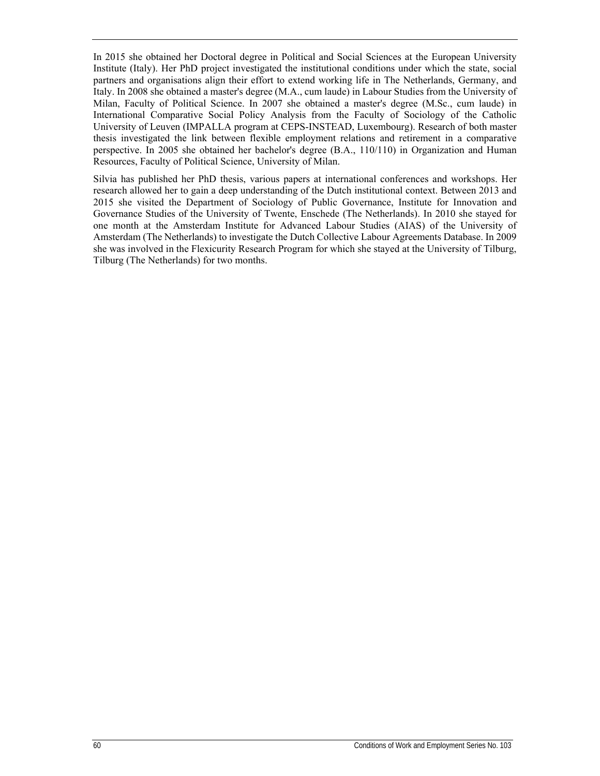In 2015 she obtained her Doctoral degree in Political and Social Sciences at the European University Institute (Italy). Her PhD project investigated the institutional conditions under which the state, social partners and organisations align their effort to extend working life in The Netherlands, Germany, and Italy. In 2008 she obtained a master's degree (M.A., cum laude) in Labour Studies from the University of Milan, Faculty of Political Science. In 2007 she obtained a master's degree (M.Sc., cum laude) in International Comparative Social Policy Analysis from the Faculty of Sociology of the Catholic University of Leuven (IMPALLA program at CEPS-INSTEAD, Luxembourg). Research of both master thesis investigated the link between flexible employment relations and retirement in a comparative perspective. In 2005 she obtained her bachelor's degree (B.A., 110/110) in Organization and Human Resources, Faculty of Political Science, University of Milan.

Silvia has published her PhD thesis, various papers at international conferences and workshops. Her research allowed her to gain a deep understanding of the Dutch institutional context. Between 2013 and 2015 she visited the Department of Sociology of Public Governance, Institute for Innovation and Governance Studies of the University of Twente, Enschede (The Netherlands). In 2010 she stayed for one month at the Amsterdam Institute for Advanced Labour Studies (AIAS) of the University of Amsterdam (The Netherlands) to investigate the Dutch Collective Labour Agreements Database. In 2009 she was involved in the Flexicurity Research Program for which she stayed at the University of Tilburg, Tilburg (The Netherlands) for two months.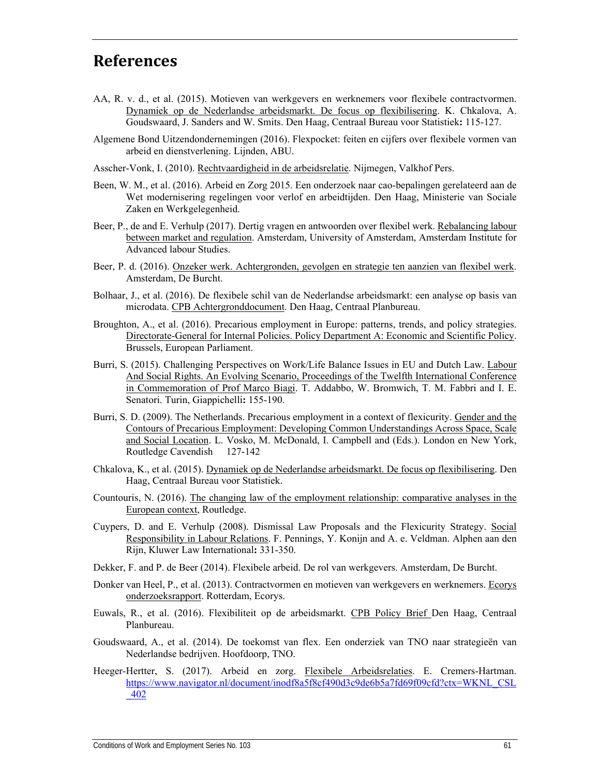## **References**

- AA, R. v. d., et al. (2015). Motieven van werkgevers en werknemers voor flexibele contractvormen. Dynamiek op de Nederlandse arbeidsmarkt. De focus op flexibilisering. K. Chkalova, A. Goudswaard, J. Sanders and W. Smits. Den Haag, Centraal Bureau voor Statistiek**:** 115-127.
- Algemene Bond Uitzendondernemingen (2016). Flexpocket: feiten en cijfers over flexibele vormen van arbeid en dienstverlening. Lijnden, ABU.
- Asscher-Vonk, I. (2010). Rechtvaardigheid in de arbeidsrelatie. Nijmegen, Valkhof Pers.
- Been, W. M., et al. (2016). Arbeid en Zorg 2015. Een onderzoek naar cao-bepalingen gerelateerd aan de Wet modernisering regelingen voor verlof en arbeidtijden. Den Haag, Ministerie van Sociale Zaken en Werkgelegenheid.
- Beer, P., de and E. Verhulp (2017). Dertig vragen en antwoorden over flexibel werk. Rebalancing labour between market and regulation. Amsterdam, University of Amsterdam, Amsterdam Institute for Advanced labour Studies.
- Beer, P. d. (2016). Onzeker werk. Achtergronden, gevolgen en strategie ten aanzien van flexibel werk. Amsterdam, De Burcht.
- Bolhaar, J., et al. (2016). De flexibele schil van de Nederlandse arbeidsmarkt: een analyse op basis van microdata. CPB Achtergronddocument. Den Haag, Centraal Planbureau.
- Broughton, A., et al. (2016). Precarious employment in Europe: patterns, trends, and policy strategies. Directorate-General for Internal Policies. Policy Department A: Economic and Scientific Policy. Brussels, European Parliament.
- Burri, S. (2015). Challenging Perspectives on Work/Life Balance Issues in EU and Dutch Law. Labour And Social Rights. An Evolving Scenario, Proceedings of the Twelfth International Conference in Commemoration of Prof Marco Biagi. T. Addabbo, W. Bromwich, T. M. Fabbri and I. E. Senatori. Turin, Giappichelli**:** 155-190.
- Burri, S. D. (2009). The Netherlands. Precarious employment in a context of flexicurity. Gender and the Contours of Precarious Employment: Developing Common Understandings Across Space, Scale and Social Location. L. Vosko, M. McDonald, I. Campbell and (Eds.). London en New York, Routledge Cavendish 127-142
- Chkalova, K., et al. (2015). Dynamiek op de Nederlandse arbeidsmarkt. De focus op flexibilisering. Den Haag, Centraal Bureau voor Statistiek.
- Countouris, N. (2016). The changing law of the employment relationship: comparative analyses in the European context, Routledge.
- Cuypers, D. and E. Verhulp (2008). Dismissal Law Proposals and the Flexicurity Strategy. Social Responsibility in Labour Relations. F. Pennings, Y. Konijn and A. e. Veldman. Alphen aan den Rijn, Kluwer Law International**:** 331-350.
- Dekker, F. and P. de Beer (2014). Flexibele arbeid. De rol van werkgevers. Amsterdam, De Burcht.
- Donker van Heel, P., et al. (2013). Contractvormen en motieven van werkgevers en werknemers. Ecorys onderzoeksrapport. Rotterdam, Ecorys.
- Euwals, R., et al. (2016). Flexibiliteit op de arbeidsmarkt. CPB Policy Brief Den Haag, Centraal Planbureau.
- Goudswaard, A., et al. (2014). De toekomst van flex. Een onderziek van TNO naar strategieën van Nederlandse bedrijven. Hoofdoorp, TNO.
- Heeger-Hertter, S. (2017). Arbeid en zorg. Flexibele Arbeidsrelaties. E. Cremers-Hartman. https://www.navigator.nl/document/inodf8a5f8cf490d3c9de6b5a7fd69f09cfd?ctx=WKNL\_CSL \_402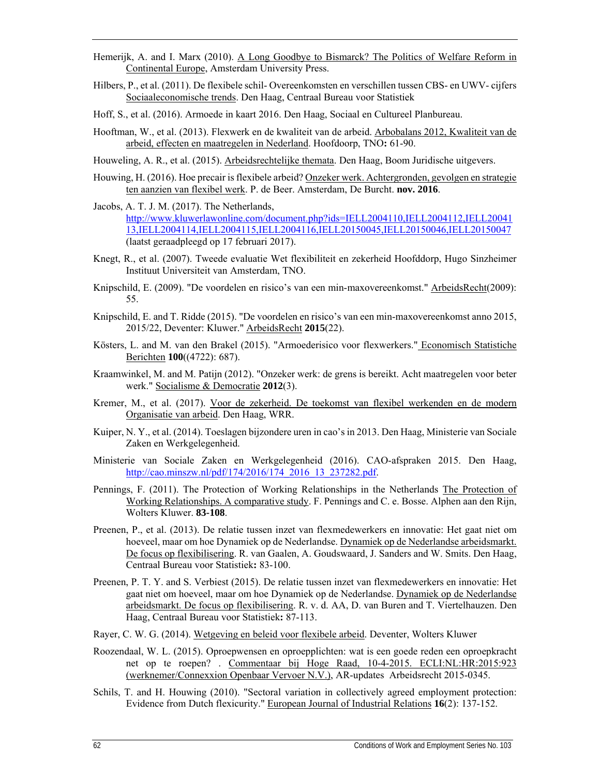- Hemerijk, A. and I. Marx (2010). A Long Goodbye to Bismarck? The Politics of Welfare Reform in Continental Europe, Amsterdam University Press.
- Hilbers, P., et al. (2011). De flexibele schil- Overeenkomsten en verschillen tussen CBS- en UWV- cijfers Sociaaleconomische trends. Den Haag, Centraal Bureau voor Statistiek
- Hoff, S., et al. (2016). Armoede in kaart 2016. Den Haag, Sociaal en Cultureel Planbureau.
- Hooftman, W., et al. (2013). Flexwerk en de kwaliteit van de arbeid. Arbobalans 2012, Kwaliteit van de arbeid, effecten en maatregelen in Nederland. Hoofdoorp, TNO**:** 61-90.
- Houweling, A. R., et al. (2015). Arbeidsrechtelijke themata. Den Haag, Boom Juridische uitgevers.
- Houwing, H. (2016). Hoe precair is flexibele arbeid? Onzeker werk. Achtergronden, gevolgen en strategie ten aanzien van flexibel werk. P. de Beer. Amsterdam, De Burcht. **nov. 2016**.
- Jacobs, A. T. J. M. (2017). The Netherlands, http://www.kluwerlawonline.com/document.php?ids=IELL2004110,IELL2004112,IELL20041 13,IELL2004114,IELL2004115,IELL2004116,IELL20150045,IELL20150046,IELL20150047 (laatst geraadpleegd op 17 februari 2017).
- Knegt, R., et al. (2007). Tweede evaluatie Wet flexibiliteit en zekerheid Hoofddorp, Hugo Sinzheimer Instituut Universiteit van Amsterdam, TNO.
- Knipschild, E. (2009). "De voordelen en risico's van een min-maxovereenkomst." ArbeidsRecht(2009): 55.
- Knipschild, E. and T. Ridde (2015). "De voordelen en risico's van een min-maxovereenkomst anno 2015, 2015/22, Deventer: Kluwer." ArbeidsRecht **2015**(22).
- Kösters, L. and M. van den Brakel (2015). "Armoederisico voor flexwerkers." Economisch Statistiche Berichten **100**((4722): 687).
- Kraamwinkel, M. and M. Patijn (2012). "Onzeker werk: de grens is bereikt. Acht maatregelen voor beter werk." Socialisme & Democratie **2012**(3).
- Kremer, M., et al. (2017). Voor de zekerheid. De toekomst van flexibel werkenden en de modern Organisatie van arbeid. Den Haag, WRR.
- Kuiper, N. Y., et al. (2014). Toeslagen bijzondere uren in cao's in 2013. Den Haag, Ministerie van Sociale Zaken en Werkgelegenheid.
- Ministerie van Sociale Zaken en Werkgelegenheid (2016). CAO-afspraken 2015. Den Haag, http://cao.minszw.nl/pdf/174/2016/174\_2016\_13\_237282.pdf.
- Pennings, F. (2011). The Protection of Working Relationships in the Netherlands The Protection of Working Relationships. A comparative study. F. Pennings and C. e. Bosse. Alphen aan den Rijn, Wolters Kluwer. **83-108**.
- Preenen, P., et al. (2013). De relatie tussen inzet van flexmedewerkers en innovatie: Het gaat niet om hoeveel, maar om hoe Dynamiek op de Nederlandse. Dynamiek op de Nederlandse arbeidsmarkt. De focus op flexibilisering. R. van Gaalen, A. Goudswaard, J. Sanders and W. Smits. Den Haag, Centraal Bureau voor Statistiek**:** 83-100.
- Preenen, P. T. Y. and S. Verbiest (2015). De relatie tussen inzet van flexmedewerkers en innovatie: Het gaat niet om hoeveel, maar om hoe Dynamiek op de Nederlandse. Dynamiek op de Nederlandse arbeidsmarkt. De focus op flexibilisering. R. v. d. AA, D. van Buren and T. Viertelhauzen. Den Haag, Centraal Bureau voor Statistiek**:** 87-113.
- Rayer, C. W. G. (2014). Wetgeving en beleid voor flexibele arbeid. Deventer, Wolters Kluwer
- Roozendaal, W. L. (2015). Oproepwensen en oproepplichten: wat is een goede reden een oproepkracht net op te roepen? . Commentaar bij Hoge Raad, 10-4-2015. ECLI:NL:HR:2015:923 (werknemer/Connexxion Openbaar Vervoer N.V.), AR-updates Arbeidsrecht 2015-0345.
- Schils, T. and H. Houwing (2010). "Sectoral variation in collectively agreed employment protection: Evidence from Dutch flexicurity." European Journal of Industrial Relations **16**(2): 137-152.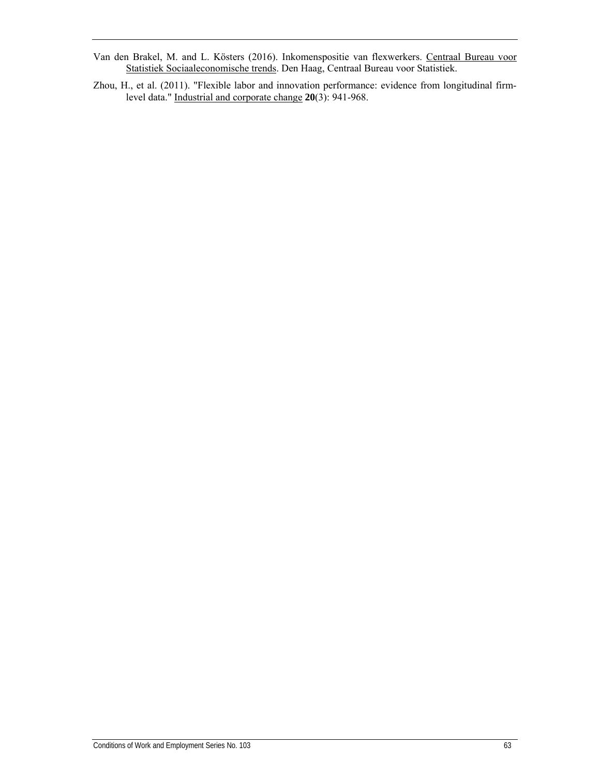- Van den Brakel, M. and L. Kösters (2016). Inkomenspositie van flexwerkers. Centraal Bureau voor Statistiek Sociaaleconomische trends. Den Haag, Centraal Bureau voor Statistiek.
- Zhou, H., et al. (2011). "Flexible labor and innovation performance: evidence from longitudinal firmlevel data." Industrial and corporate change **20**(3): 941-968.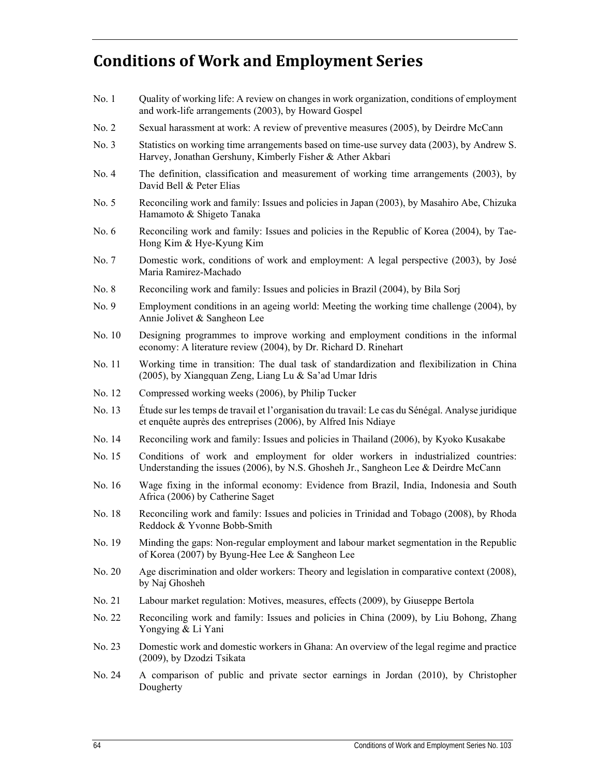# **Conditions of Work and Employment Series**

- No. 1 Quality of working life: A review on changes in work organization, conditions of employment and work-life arrangements (2003), by Howard Gospel
- No. 2 Sexual harassment at work: A review of preventive measures (2005), by Deirdre McCann
- No. 3 Statistics on working time arrangements based on time-use survey data (2003), by Andrew S. Harvey, Jonathan Gershuny, Kimberly Fisher & Ather Akbari
- No. 4 The definition, classification and measurement of working time arrangements (2003), by David Bell & Peter Elias
- No. 5 Reconciling work and family: Issues and policies in Japan (2003), by Masahiro Abe, Chizuka Hamamoto & Shigeto Tanaka
- No. 6 Reconciling work and family: Issues and policies in the Republic of Korea (2004), by Tae-Hong Kim & Hye-Kyung Kim
- No. 7 Domestic work, conditions of work and employment: A legal perspective (2003), by José Maria Ramirez-Machado
- No. 8 Reconciling work and family: Issues and policies in Brazil (2004), by Bila Sorj
- No. 9 Employment conditions in an ageing world: Meeting the working time challenge (2004), by Annie Jolivet & Sangheon Lee
- No. 10 Designing programmes to improve working and employment conditions in the informal economy: A literature review (2004), by Dr. Richard D. Rinehart
- No. 11 Working time in transition: The dual task of standardization and flexibilization in China (2005), by Xiangquan Zeng, Liang Lu & Sa'ad Umar Idris
- No. 12 Compressed working weeks (2006), by Philip Tucker
- No. 13 Étude sur les temps de travail et l'organisation du travail: Le cas du Sénégal. Analyse juridique et enquête auprès des entreprises (2006), by Alfred Inis Ndiaye
- No. 14 Reconciling work and family: Issues and policies in Thailand (2006), by Kyoko Kusakabe
- No. 15 Conditions of work and employment for older workers in industrialized countries: Understanding the issues (2006), by N.S. Ghosheh Jr., Sangheon Lee & Deirdre McCann
- No. 16 Wage fixing in the informal economy: Evidence from Brazil, India, Indonesia and South Africa (2006) by Catherine Saget
- No. 18 Reconciling work and family: Issues and policies in Trinidad and Tobago (2008), by Rhoda Reddock & Yvonne Bobb-Smith
- No. 19 Minding the gaps: Non-regular employment and labour market segmentation in the Republic of Korea (2007) by Byung-Hee Lee & Sangheon Lee
- No. 20 Age discrimination and older workers: Theory and legislation in comparative context (2008), by Naj Ghosheh
- No. 21 Labour market regulation: Motives, measures, effects (2009), by Giuseppe Bertola
- No. 22 Reconciling work and family: Issues and policies in China (2009), by Liu Bohong, Zhang Yongying & Li Yani
- No. 23 Domestic work and domestic workers in Ghana: An overview of the legal regime and practice (2009), by Dzodzi Tsikata
- No. 24 A comparison of public and private sector earnings in Jordan (2010), by Christopher Dougherty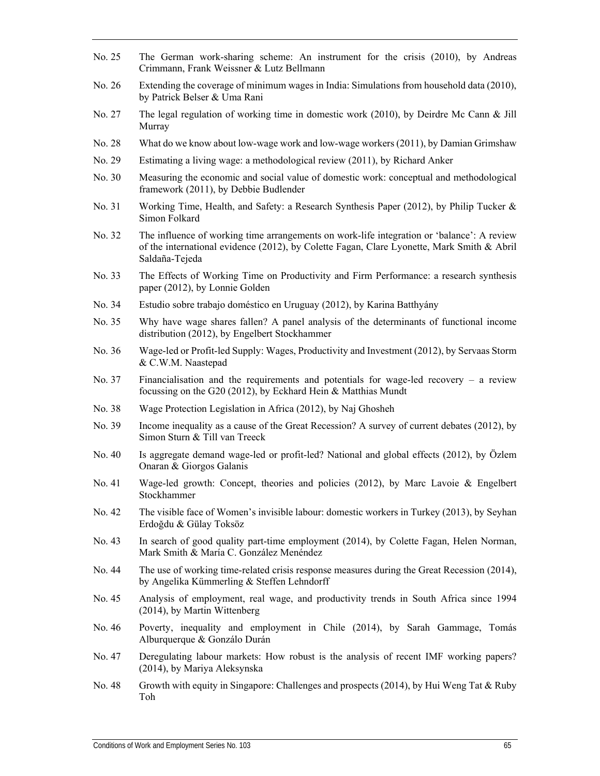- No. 25 The German work-sharing scheme: An instrument for the crisis (2010), by Andreas Crimmann, Frank Weissner & Lutz Bellmann
- No. 26 Extending the coverage of minimum wages in India: Simulations from household data (2010), by Patrick Belser & Uma Rani
- No. 27 The legal regulation of working time in domestic work (2010), by Deirdre Mc Cann & Jill Murray
- No. 28 What do we know about low-wage work and low-wage workers (2011), by Damian Grimshaw
- No. 29 Estimating a living wage: a methodological review (2011), by Richard Anker
- No. 30 Measuring the economic and social value of domestic work: conceptual and methodological framework (2011), by Debbie Budlender
- No. 31 Working Time, Health, and Safety: a Research Synthesis Paper (2012), by Philip Tucker & Simon Folkard
- No. 32 The influence of working time arrangements on work-life integration or 'balance': A review of the international evidence (2012), by Colette Fagan, Clare Lyonette, Mark Smith & Abril Saldaña-Tejeda
- No. 33 The Effects of Working Time on Productivity and Firm Performance: a research synthesis paper (2012), by Lonnie Golden
- No. 34 Estudio sobre trabajo doméstico en Uruguay (2012), by Karina Batthyány
- No. 35 Why have wage shares fallen? A panel analysis of the determinants of functional income distribution (2012), by Engelbert Stockhammer
- No. 36 Wage-led or Profit-led Supply: Wages, Productivity and Investment (2012), by Servaas Storm & C.W.M. Naastepad
- No. 37 Financialisation and the requirements and potentials for wage-led recovery a review focussing on the G20 (2012), by Eckhard Hein & Matthias Mundt
- No. 38 Wage Protection Legislation in Africa (2012), by Naj Ghosheh
- No. 39 Income inequality as a cause of the Great Recession? A survey of current debates (2012), by Simon Sturn & Till van Treeck
- No. 40 Is aggregate demand wage-led or profit-led? National and global effects (2012), by Özlem Onaran & Giorgos Galanis
- No. 41 Wage-led growth: Concept, theories and policies (2012), by Marc Lavoie & Engelbert Stockhammer
- No. 42 The visible face of Women's invisible labour: domestic workers in Turkey (2013), by Seyhan Erdoğdu & Gülay Toksöz
- No. 43 In search of good quality part-time employment (2014), by Colette Fagan, Helen Norman, Mark Smith & María C. González Menéndez
- No. 44 The use of working time-related crisis response measures during the Great Recession (2014), by Angelika Kümmerling & Steffen Lehndorff
- No. 45 Analysis of employment, real wage, and productivity trends in South Africa since 1994 (2014), by Martin Wittenberg
- No. 46 Poverty, inequality and employment in Chile (2014), by Sarah Gammage, Tomás Alburquerque & Gonzálo Durán
- No. 47 Deregulating labour markets: How robust is the analysis of recent IMF working papers? (2014), by Mariya Aleksynska
- No. 48 Growth with equity in Singapore: Challenges and prospects (2014), by Hui Weng Tat & Ruby Toh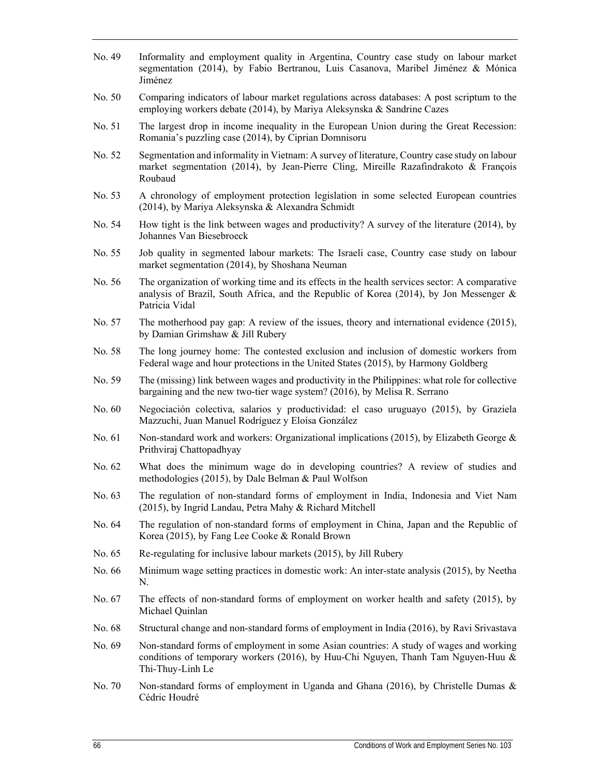- No. 49 Informality and employment quality in Argentina, Country case study on labour market segmentation (2014), by Fabio Bertranou, Luis Casanova, Maribel Jiménez & Mónica Jiménez
- No. 50 Comparing indicators of labour market regulations across databases: A post scriptum to the employing workers debate (2014), by Mariya Aleksynska & Sandrine Cazes
- No. 51 The largest drop in income inequality in the European Union during the Great Recession: Romania's puzzling case (2014), by Ciprian Domnisoru
- No. 52 Segmentation and informality in Vietnam: A survey of literature, Country case study on labour market segmentation (2014), by Jean-Pierre Cling, Mireille Razafindrakoto & François Roubaud
- No. 53 A chronology of employment protection legislation in some selected European countries (2014), by Mariya Aleksynska & Alexandra Schmidt
- No. 54 How tight is the link between wages and productivity? A survey of the literature (2014), by Johannes Van Biesebroeck
- No. 55 Job quality in segmented labour markets: The Israeli case, Country case study on labour market segmentation (2014), by Shoshana Neuman
- No. 56 The organization of working time and its effects in the health services sector: A comparative analysis of Brazil, South Africa, and the Republic of Korea (2014), by Jon Messenger  $\&$ Patricia Vidal
- No. 57 The motherhood pay gap: A review of the issues, theory and international evidence (2015), by Damian Grimshaw & Jill Rubery
- No. 58 The long journey home: The contested exclusion and inclusion of domestic workers from Federal wage and hour protections in the United States (2015), by Harmony Goldberg
- No. 59 The (missing) link between wages and productivity in the Philippines: what role for collective bargaining and the new two-tier wage system? (2016), by Melisa R. Serrano
- No. 60 Negociación colectiva, salarios y productividad: el caso uruguayo (2015), by Graziela Mazzuchi, Juan Manuel Rodríguez y Eloísa González
- No. 61 Non-standard work and workers: Organizational implications (2015), by Elizabeth George  $\&$ Prithviraj Chattopadhyay
- No. 62 What does the minimum wage do in developing countries? A review of studies and methodologies (2015), by Dale Belman & Paul Wolfson
- No. 63 The regulation of non-standard forms of employment in India, Indonesia and Viet Nam (2015), by Ingrid Landau, Petra Mahy & Richard Mitchell
- No. 64 The regulation of non-standard forms of employment in China, Japan and the Republic of Korea (2015), by Fang Lee Cooke & Ronald Brown
- No. 65 Re-regulating for inclusive labour markets (2015), by Jill Rubery
- No. 66 Minimum wage setting practices in domestic work: An inter-state analysis (2015), by Neetha N.
- No. 67 The effects of non-standard forms of employment on worker health and safety (2015), by Michael Quinlan
- No. 68 Structural change and non-standard forms of employment in India (2016), by Ravi Srivastava
- No. 69 Non-standard forms of employment in some Asian countries: A study of wages and working conditions of temporary workers (2016), by Huu-Chi Nguyen, Thanh Tam Nguyen-Huu & Thi-Thuy-Linh Le
- No. 70 Non-standard forms of employment in Uganda and Ghana (2016), by Christelle Dumas & Cédric Houdré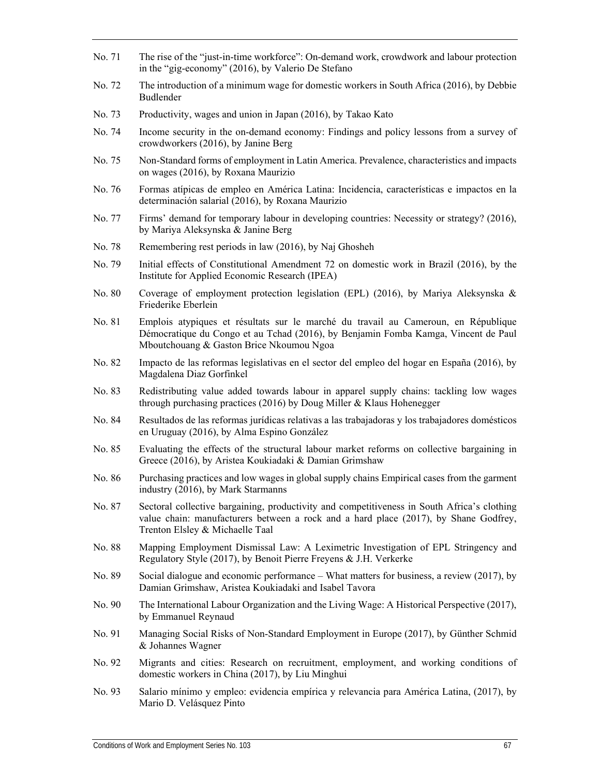- No. 71 The rise of the "just-in-time workforce": On-demand work, crowdwork and labour protection in the "gig-economy" (2016), by Valerio De Stefano
- No. 72 The introduction of a minimum wage for domestic workers in South Africa (2016), by Debbie Budlender
- No. 73 Productivity, wages and union in Japan (2016), by Takao Kato
- No. 74 Income security in the on-demand economy: Findings and policy lessons from a survey of crowdworkers (2016), by Janine Berg
- No. 75 Non-Standard forms of employment in Latin America. Prevalence, characteristics and impacts on wages (2016), by Roxana Maurizio
- No. 76 Formas atípicas de empleo en América Latina: Incidencia, características e impactos en la determinación salarial (2016), by Roxana Maurizio
- No. 77 Firms' demand for temporary labour in developing countries: Necessity or strategy? (2016), by Mariya Aleksynska & Janine Berg
- No. 78 Remembering rest periods in law (2016), by Naj Ghosheh
- No. 79 Initial effects of Constitutional Amendment 72 on domestic work in Brazil (2016), by the Institute for Applied Economic Research (IPEA)
- No. 80 Coverage of employment protection legislation (EPL) (2016), by Mariya Aleksynska & Friederike Eberlein
- No. 81 Emplois atypiques et résultats sur le marché du travail au Cameroun, en République Démocratique du Congo et au Tchad (2016), by Benjamin Fomba Kamga, Vincent de Paul Mboutchouang & Gaston Brice Nkoumou Ngoa
- No. 82 Impacto de las reformas legislativas en el sector del empleo del hogar en España (2016), by Magdalena Diaz Gorfinkel
- No. 83 Redistributing value added towards labour in apparel supply chains: tackling low wages through purchasing practices (2016) by Doug Miller & Klaus Hohenegger
- No. 84 Resultados de las reformas jurídicas relativas a las trabajadoras y los trabajadores domésticos en Uruguay (2016), by Alma Espino González
- No. 85 Evaluating the effects of the structural labour market reforms on collective bargaining in Greece (2016), by Aristea Koukiadaki & Damian Grimshaw
- No. 86 Purchasing practices and low wages in global supply chains Empirical cases from the garment industry (2016), by Mark Starmanns
- No. 87 Sectoral collective bargaining, productivity and competitiveness in South Africa's clothing value chain: manufacturers between a rock and a hard place (2017), by Shane Godfrey, Trenton Elsley & Michaelle Taal
- No. 88 Mapping Employment Dismissal Law: A Leximetric Investigation of EPL Stringency and Regulatory Style (2017), by Benoit Pierre Freyens & J.H. Verkerke
- No. 89 Social dialogue and economic performance What matters for business, a review (2017), by Damian Grimshaw, Aristea Koukiadaki and Isabel Tavora
- No. 90 The International Labour Organization and the Living Wage: A Historical Perspective (2017), by Emmanuel Reynaud
- No. 91 Managing Social Risks of Non-Standard Employment in Europe (2017), by Günther Schmid & Johannes Wagner
- No. 92 Migrants and cities: Research on recruitment, employment, and working conditions of domestic workers in China (2017), by Liu Minghui
- No. 93 Salario mínimo y empleo: evidencia empírica y relevancia para América Latina, (2017), by Mario D. Velásquez Pinto